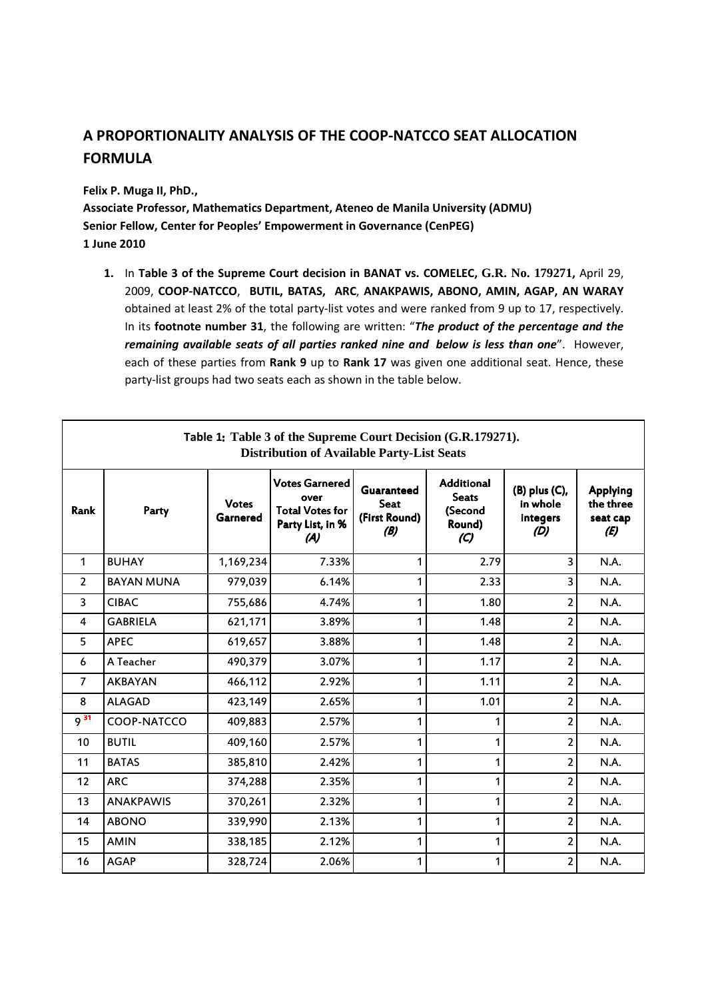## **A PROPORTIONALITY ANALYSIS OF THE COOP-NATCCO SEAT ALLOCATION FORMULA**

**Felix P. Muga II, PhD.,** 

**Associate Professor, Mathematics Department, Ateneo de Manila University (ADMU) Senior Fellow, Center for Peoples' Empowerment in Governance (CenPEG) 1 June 2010** 

**1.** In **Table 3 of the Supreme Court decision in BANAT vs. COMELEC, G.R. No. 179271,** April 29, 2009, **COOP-NATCCO**, **BUTIL, BATAS, ARC**, **ANAKPAWIS, ABONO, AMIN, AGAP, AN WARAY** obtained at least 2% of the total party-list votes and were ranked from 9 up to 17, respectively. In its **footnote number 31**, the following are written: "*The product of the percentage and the remaining available seats of all parties ranked nine and below is less than one*". However, each of these parties from **Rank 9** up to **Rank 17** was given one additional seat. Hence, these party-list groups had two seats each as shown in the table below.

|                |                   |                          | Table 1: Table 3 of the Supreme Court Decision (G.R.179271).<br><b>Distribution of Available Party-List Seats</b> |                                                   |                                                               |                                              |                                                 |
|----------------|-------------------|--------------------------|-------------------------------------------------------------------------------------------------------------------|---------------------------------------------------|---------------------------------------------------------------|----------------------------------------------|-------------------------------------------------|
| Rank           | Party             | <b>Votes</b><br>Garnered | <b>Votes Garnered</b><br>over<br><b>Total Votes for</b><br>Party List, in %<br>(A)                                | Guaranteed<br><b>Seat</b><br>(First Round)<br>(B) | <b>Additional</b><br><b>Seats</b><br>(Second<br>Round)<br>(C) | (B) plus (C),<br>in whole<br>integers<br>(D) | <b>Applying</b><br>the three<br>seat cap<br>(E) |
| $\mathbf{1}$   | <b>BUHAY</b>      | 1,169,234                | 7.33%                                                                                                             | 1                                                 | 2.79                                                          | 3                                            | N.A.                                            |
| $\overline{2}$ | <b>BAYAN MUNA</b> | 979,039                  | 6.14%                                                                                                             | 1                                                 | 2.33                                                          | 3                                            | N.A.                                            |
| 3              | <b>CIBAC</b>      | 755,686                  | 4.74%                                                                                                             | 1                                                 | 1.80                                                          | 2                                            | N.A.                                            |
| 4              | <b>GABRIELA</b>   | 621,171                  | 3.89%                                                                                                             | 1                                                 | 1.48                                                          | $\overline{2}$                               | N.A.                                            |
| 5              | <b>APEC</b>       | 619,657                  | 3.88%                                                                                                             | 1                                                 | 1.48                                                          | $\overline{2}$                               | N.A.                                            |
| 6              | A Teacher         | 490,379                  | 3.07%                                                                                                             | 1                                                 | 1.17                                                          | 2                                            | N.A.                                            |
| $\overline{7}$ | <b>AKBAYAN</b>    | 466,112                  | 2.92%                                                                                                             | 1                                                 | 1.11                                                          | $\overline{2}$                               | N.A.                                            |
| 8              | <b>ALAGAD</b>     | 423,149                  | 2.65%                                                                                                             | 1                                                 | 1.01                                                          | 2                                            | N.A.                                            |
| 9 31           | COOP-NATCCO       | 409,883                  | 2.57%                                                                                                             | 1                                                 |                                                               | 2                                            | N.A.                                            |
| 10             | <b>BUTIL</b>      | 409,160                  | 2.57%                                                                                                             | 1                                                 | 1                                                             | $\overline{2}$                               | N.A.                                            |
| 11             | <b>BATAS</b>      | 385,810                  | 2.42%                                                                                                             | 1                                                 | 1                                                             | $\overline{2}$                               | N.A.                                            |
| 12             | <b>ARC</b>        | 374,288                  | 2.35%                                                                                                             | 1                                                 | 1                                                             | $\overline{2}$                               | N.A.                                            |
| 13             | <b>ANAKPAWIS</b>  | 370,261                  | 2.32%                                                                                                             | 1                                                 | 1                                                             | $\overline{2}$                               | N.A.                                            |
| 14             | <b>ABONO</b>      | 339,990                  | 2.13%                                                                                                             | 1                                                 | 1                                                             | 2                                            | N.A.                                            |
| 15             | <b>AMIN</b>       | 338,185                  | 2.12%                                                                                                             | 1                                                 | 1                                                             | 2                                            | N.A.                                            |
| 16             | <b>AGAP</b>       | 328,724                  | 2.06%                                                                                                             | 1                                                 | 1                                                             | 2                                            | N.A.                                            |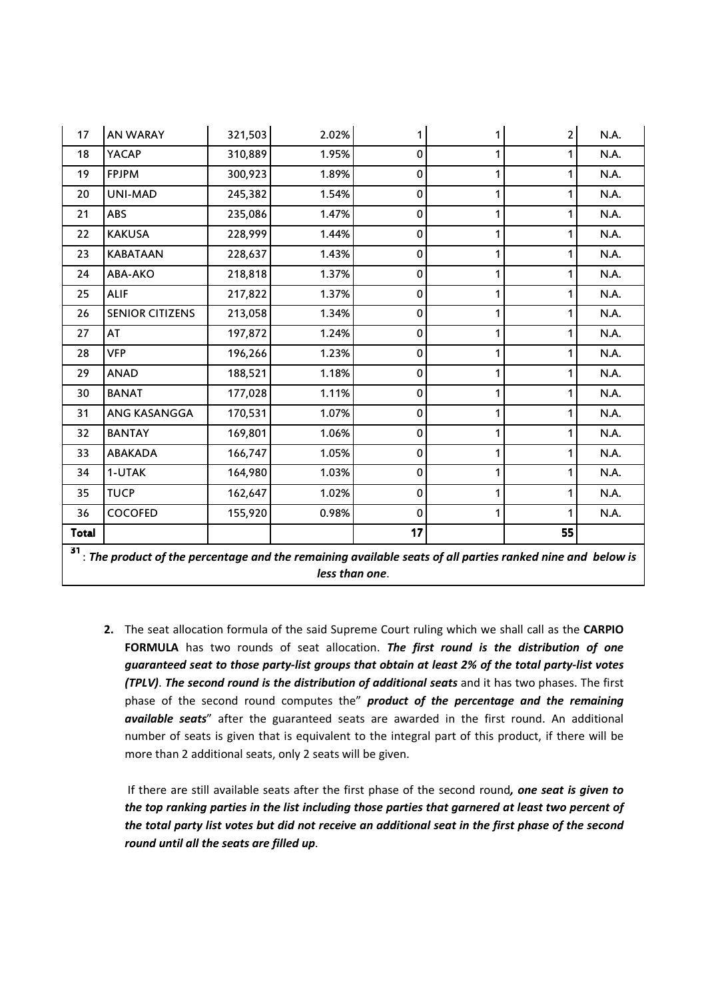|              | $31$ : The product of the percentage and the remaining available seats of all parties ranked nine and below is |         | less than one. |           |   |    |      |
|--------------|----------------------------------------------------------------------------------------------------------------|---------|----------------|-----------|---|----|------|
| <b>Total</b> |                                                                                                                |         |                | 17        |   | 55 |      |
| 36           | <b>COCOFED</b>                                                                                                 | 155,920 | 0.98%          | 0         | 1 |    | N.A. |
| 35           | <b>TUCP</b>                                                                                                    | 162,647 | 1.02%          | 0         | 1 |    | N.A. |
| 34           | 1-UTAK                                                                                                         | 164,980 | 1.03%          | 0         |   |    | N.A. |
| 33           | <b>ABAKADA</b>                                                                                                 | 166,747 | 1.05%          | 0         |   |    | N.A. |
| 32           | <b>BANTAY</b>                                                                                                  | 169,801 | 1.06%          | 0         | 1 |    | N.A. |
| 31           | ANG KASANGGA                                                                                                   | 170,531 | 1.07%          | $\pmb{0}$ | 1 | 1  | N.A. |
| 30           | <b>BANAT</b>                                                                                                   | 177,028 | 1.11%          | 0         |   |    | N.A. |
| 29           | <b>ANAD</b>                                                                                                    | 188,521 | 1.18%          | 0         |   |    | N.A. |
| 28           | <b>VFP</b>                                                                                                     | 196,266 | 1.23%          | 0         |   |    | N.A. |
| 27           | AT                                                                                                             | 197,872 | 1.24%          | 0         |   |    | N.A. |
| 26           | <b>SENIOR CITIZENS</b>                                                                                         | 213,058 | 1.34%          | 0         |   |    | N.A. |
| 25           | <b>ALIF</b>                                                                                                    | 217,822 | 1.37%          | 0         | 1 | 1  | N.A. |
| 24           | ABA-AKO                                                                                                        | 218,818 | 1.37%          | 0         | 1 |    | N.A. |
| 23           | <b>KABATAAN</b>                                                                                                | 228,637 | 1.43%          | 0         |   |    | N.A. |
| 22           | <b>KAKUSA</b>                                                                                                  | 228,999 | 1.44%          | 0         | 1 | 1  | N.A. |
| 21           | <b>ABS</b>                                                                                                     | 235,086 | 1.47%          | 0         | 1 | 1  | N.A. |
| 20           | UNI-MAD                                                                                                        | 245,382 | 1.54%          | 0         |   |    | N.A. |
| 19           | <b>FPJPM</b>                                                                                                   | 300,923 | 1.89%          | 0         | 1 |    | N.A. |
| 18           | <b>YACAP</b>                                                                                                   | 310,889 | 1.95%          | 0         | 1 | 1  | N.A. |
| 17           | <b>AN WARAY</b>                                                                                                | 321,503 | 2.02%          |           |   | 2  | N.A. |

**2.** The seat allocation formula of the said Supreme Court ruling which we shall call as the **CARPIO FORMULA** has two rounds of seat allocation. *The first round is the distribution of one guaranteed seat to those party-list groups that obtain at least 2% of the total party-list votes (TPLV)*. *The second round is the distribution of additional seats* and it has two phases. The first phase of the second round computes the" *product of the percentage and the remaining available seats*" after the guaranteed seats are awarded in the first round. An additional number of seats is given that is equivalent to the integral part of this product, if there will be more than 2 additional seats, only 2 seats will be given.

 If there are still available seats after the first phase of the second round*, one seat is given to the top ranking parties in the list including those parties that garnered at least two percent of the total party list votes but did not receive an additional seat in the first phase of the second round until all the seats are filled up*.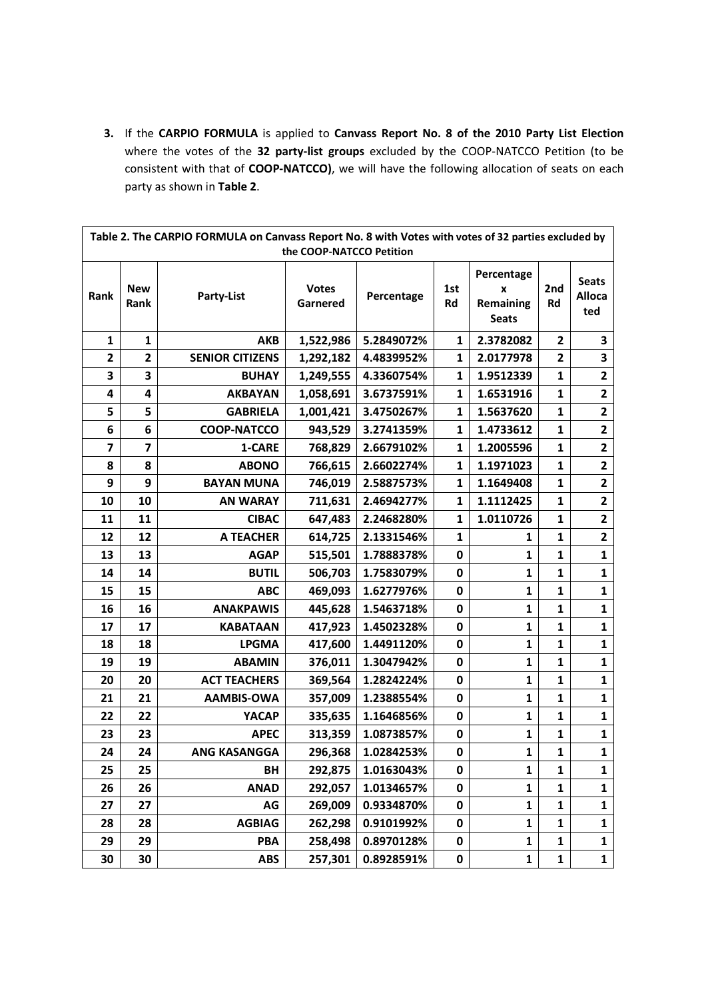**3.** If the **CARPIO FORMULA** is applied to **Canvass Report No. 8 of the 2010 Party List Election**  where the votes of the **32 party-list groups** excluded by the COOP-NATCCO Petition (to be consistent with that of **COOP-NATCCO)**, we will have the following allocation of seats on each party as shown in **Table 2**.

|                |                         | Table 2. The CARPIO FORMULA on Canvass Report No. 8 with Votes with votes of 32 parties excluded by | the COOP-NATCCO Petition |            |              |                                              |                  |                                      |
|----------------|-------------------------|-----------------------------------------------------------------------------------------------------|--------------------------|------------|--------------|----------------------------------------------|------------------|--------------------------------------|
| Rank           | <b>New</b><br>Rank      | <b>Party-List</b>                                                                                   | <b>Votes</b><br>Garnered | Percentage | 1st<br>Rd    | Percentage<br>X<br>Remaining<br><b>Seats</b> | 2nd<br><b>Rd</b> | <b>Seats</b><br><b>Alloca</b><br>ted |
| 1              | $\mathbf{1}$            | <b>AKB</b>                                                                                          | 1,522,986                | 5.2849072% | 1            | 2.3782082                                    | 2                | 3                                    |
| $\mathbf{2}$   | $\overline{2}$          | <b>SENIOR CITIZENS</b>                                                                              | 1,292,182                | 4.4839952% | 1            | 2.0177978                                    | $\overline{2}$   | 3                                    |
| 3              | 3                       | <b>BUHAY</b>                                                                                        | 1,249,555                | 4.3360754% | $\mathbf{1}$ | 1.9512339                                    | $\mathbf{1}$     | $\overline{2}$                       |
| 4              | 4                       | <b>AKBAYAN</b>                                                                                      | 1,058,691                | 3.6737591% | 1            | 1.6531916                                    | 1                | $\overline{\mathbf{2}}$              |
| 5              | 5                       | <b>GABRIELA</b>                                                                                     | 1,001,421                | 3.4750267% | $\mathbf{1}$ | 1.5637620                                    | $\mathbf{1}$     | $\overline{\mathbf{2}}$              |
| 6              | $6\phantom{1}6$         | <b>COOP-NATCCO</b>                                                                                  | 943,529                  | 3.2741359% | $\mathbf{1}$ | 1.4733612                                    | $\mathbf{1}$     | $\overline{2}$                       |
| $\overline{7}$ | $\overline{\mathbf{z}}$ | 1-CARE                                                                                              | 768,829                  | 2.6679102% | $\mathbf{1}$ | 1.2005596                                    | $\mathbf{1}$     | $\overline{2}$                       |
| 8              | 8                       | <b>ABONO</b>                                                                                        | 766,615                  | 2.6602274% | $\mathbf{1}$ | 1.1971023                                    | 1                | $\overline{\mathbf{c}}$              |
| 9              | 9                       | <b>BAYAN MUNA</b>                                                                                   | 746,019                  | 2.5887573% | $\mathbf{1}$ | 1.1649408                                    | $\mathbf{1}$     | $\overline{\mathbf{2}}$              |
| 10             | 10                      | <b>AN WARAY</b>                                                                                     | 711,631                  | 2.4694277% | $\mathbf{1}$ | 1.1112425                                    | $\mathbf{1}$     | $\overline{2}$                       |
| 11             | 11                      | <b>CIBAC</b>                                                                                        | 647,483                  | 2.2468280% | $\mathbf{1}$ | 1.0110726                                    | $\mathbf{1}$     | $\overline{2}$                       |
| 12             | 12                      | <b>A TEACHER</b>                                                                                    | 614,725                  | 2.1331546% | 1            | 1                                            | $\mathbf{1}$     | $\mathbf{2}$                         |
| 13             | 13                      | <b>AGAP</b>                                                                                         | 515,501                  | 1.7888378% | $\mathbf 0$  | $\mathbf{1}$                                 | $\mathbf{1}$     | $\mathbf{1}$                         |
| 14             | 14                      | <b>BUTIL</b>                                                                                        | 506,703                  | 1.7583079% | $\mathbf 0$  | $\mathbf{1}$                                 | $\mathbf{1}$     | $\mathbf{1}$                         |
| 15             | 15                      | <b>ABC</b>                                                                                          | 469,093                  | 1.6277976% | $\mathbf 0$  | $\mathbf{1}$                                 | $\mathbf{1}$     | $\mathbf{1}$                         |
| 16             | 16                      | <b>ANAKPAWIS</b>                                                                                    | 445,628                  | 1.5463718% | $\mathbf 0$  | 1                                            | 1                | 1                                    |
| 17             | 17                      | <b>KABATAAN</b>                                                                                     | 417,923                  | 1.4502328% | 0            | 1                                            | 1                | 1                                    |
| 18             | 18                      | <b>LPGMA</b>                                                                                        | 417,600                  | 1.4491120% | 0            | $\mathbf{1}$                                 | 1                | 1                                    |
| 19             | 19                      | <b>ABAMIN</b>                                                                                       | 376,011                  | 1.3047942% | $\mathbf 0$  | $\mathbf{1}$                                 | 1                | 1                                    |
| 20             | 20                      | <b>ACT TEACHERS</b>                                                                                 | 369,564                  | 1.2824224% | 0            | $\mathbf{1}$                                 | 1                | 1                                    |
| 21             | 21                      | <b>AAMBIS-OWA</b>                                                                                   | 357,009                  | 1.2388554% | 0            | $\mathbf{1}$                                 | 1                | $\mathbf{1}$                         |
| 22             | 22                      | <b>YACAP</b>                                                                                        | 335,635                  | 1.1646856% | $\mathbf 0$  | $\mathbf{1}$                                 | $\mathbf{1}$     | $\mathbf{1}$                         |
| 23             | 23                      | <b>APEC</b>                                                                                         | 313,359                  | 1.0873857% | 0            | $\mathbf{1}$                                 | 1                | $\mathbf{1}$                         |
| 24             | 24                      | <b>ANG KASANGGA</b>                                                                                 | 296,368                  | 1.0284253% | $\mathbf 0$  | $\mathbf{1}$                                 | $\mathbf{1}$     | $\mathbf{1}$                         |
| 25             | 25                      | BH                                                                                                  | 292,875                  | 1.0163043% | 0            | 1                                            | 1                | 1                                    |
| 26             | 26                      | <b>ANAD</b>                                                                                         | 292,057                  | 1.0134657% | 0            | $\mathbf{1}$                                 | $\mathbf{1}$     | $\mathbf{1}$                         |
| 27             | 27                      | AG                                                                                                  | 269,009                  | 0.9334870% | 0            | $\mathbf{1}$                                 | 1                | $\mathbf{1}$                         |
| 28             | 28                      | <b>AGBIAG</b>                                                                                       | 262,298                  | 0.9101992% | $\pmb{0}$    | $\mathbf{1}$                                 | $\mathbf{1}$     | $\mathbf{1}$                         |
| 29             | 29                      | <b>PBA</b>                                                                                          | 258,498                  | 0.8970128% | 0            | 1                                            | 1                | 1                                    |
| 30             | 30                      | ABS                                                                                                 | 257,301                  | 0.8928591% | $\mathbf 0$  | $\mathbf{1}$                                 | $\mathbf{1}$     | $\mathbf{1}$                         |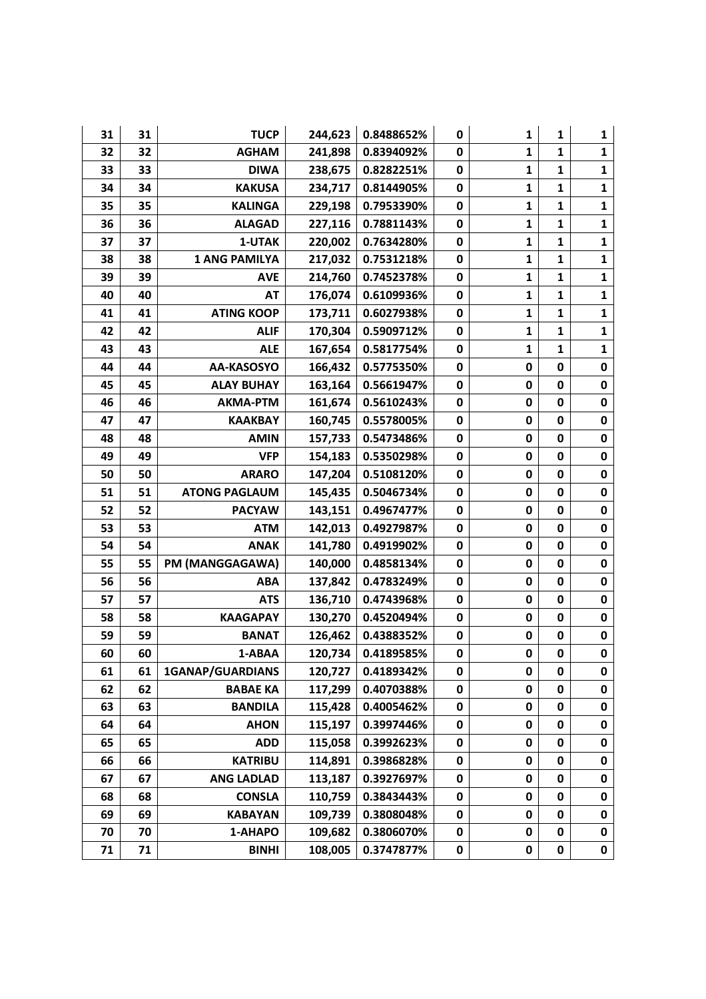| 31 | 31 | <b>TUCP</b>             | 244,623 | 0.8488652% | 0           | 1            | 1            | 1            |
|----|----|-------------------------|---------|------------|-------------|--------------|--------------|--------------|
| 32 | 32 | <b>AGHAM</b>            | 241,898 | 0.8394092% | $\mathbf 0$ | $\mathbf{1}$ | $\mathbf{1}$ | $\mathbf{1}$ |
| 33 | 33 | <b>DIWA</b>             | 238,675 | 0.8282251% | 0           | 1            | 1            | $\mathbf{1}$ |
| 34 | 34 | <b>KAKUSA</b>           | 234,717 | 0.8144905% | $\mathbf 0$ | $\mathbf{1}$ | $\mathbf{1}$ | $\mathbf{1}$ |
| 35 | 35 | <b>KALINGA</b>          | 229,198 | 0.7953390% | 0           | $\mathbf{1}$ | 1            | $\mathbf 1$  |
| 36 | 36 | <b>ALAGAD</b>           | 227,116 | 0.7881143% | $\mathbf 0$ | $\mathbf{1}$ | $\mathbf{1}$ | $\mathbf{1}$ |
| 37 | 37 | 1-UTAK                  | 220,002 | 0.7634280% | 0           | $\mathbf{1}$ | 1            | $\mathbf 1$  |
| 38 | 38 | <b>1 ANG PAMILYA</b>    | 217,032 | 0.7531218% | 0           | $\mathbf{1}$ | 1            | 1            |
| 39 | 39 | <b>AVE</b>              | 214,760 | 0.7452378% | 0           | 1            | 1            | $\mathbf{1}$ |
| 40 | 40 | AT                      | 176,074 | 0.6109936% | 0           | $\mathbf{1}$ | 1            | $\mathbf 1$  |
| 41 | 41 | <b>ATING KOOP</b>       | 173,711 | 0.6027938% | 0           | $\mathbf{1}$ | 1            | $\mathbf{1}$ |
| 42 | 42 | <b>ALIF</b>             | 170,304 | 0.5909712% | $\mathbf 0$ | $\mathbf{1}$ | 1            | $\mathbf{1}$ |
| 43 | 43 | <b>ALE</b>              | 167,654 | 0.5817754% | 0           | $\mathbf{1}$ | 1            | $\mathbf{1}$ |
| 44 | 44 | AA-KASOSYO              | 166,432 | 0.5775350% | 0           | 0            | $\mathbf 0$  | $\pmb{0}$    |
| 45 | 45 | <b>ALAY BUHAY</b>       | 163,164 | 0.5661947% | 0           | $\pmb{0}$    | 0            | $\pmb{0}$    |
| 46 | 46 | <b>AKMA-PTM</b>         | 161,674 | 0.5610243% | 0           | 0            | $\mathbf 0$  | $\mathbf 0$  |
| 47 | 47 | <b>KAAKBAY</b>          | 160,745 | 0.5578005% | 0           | 0            | 0            | $\mathbf 0$  |
| 48 | 48 | <b>AMIN</b>             | 157,733 | 0.5473486% | $\mathbf 0$ | 0            | $\mathbf 0$  | $\mathbf 0$  |
| 49 | 49 | <b>VFP</b>              | 154,183 | 0.5350298% | 0           | 0            | $\mathbf 0$  | $\pmb{0}$    |
| 50 | 50 | <b>ARARO</b>            | 147,204 | 0.5108120% | 0           | 0            | $\mathbf 0$  | $\mathbf 0$  |
| 51 | 51 | <b>ATONG PAGLAUM</b>    | 145,435 | 0.5046734% | 0           | 0            | 0            | $\mathbf 0$  |
| 52 | 52 | <b>PACYAW</b>           | 143,151 | 0.4967477% | $\mathbf 0$ | 0            | $\mathbf 0$  | $\mathbf 0$  |
| 53 | 53 | <b>ATM</b>              | 142,013 | 0.4927987% | $\mathbf 0$ | $\mathbf 0$  | $\mathbf 0$  | $\pmb{0}$    |
| 54 | 54 | <b>ANAK</b>             | 141,780 | 0.4919902% | $\mathbf 0$ | $\mathbf 0$  | $\mathbf 0$  | $\mathbf 0$  |
| 55 | 55 | PM (MANGGAGAWA)         | 140,000 | 0.4858134% | $\mathbf 0$ | $\mathbf 0$  | 0            | $\mathbf 0$  |
| 56 | 56 | <b>ABA</b>              | 137,842 | 0.4783249% | 0           | 0            | 0            | $\pmb{0}$    |
| 57 | 57 | <b>ATS</b>              | 136,710 | 0.4743968% | $\mathbf 0$ | 0            | 0            | $\mathbf 0$  |
| 58 | 58 | <b>KAAGAPAY</b>         | 130,270 | 0.4520494% | 0           | 0            | 0            | $\bf{0}$     |
| 59 | 59 | <b>BANAT</b>            | 126,462 | 0.4388352% | 0           | 0            | $\mathbf 0$  | $\pmb{0}$    |
| 60 | 60 | 1-ABAA                  | 120,734 | 0.4189585% | 0           | 0            | 0            | $\mathbf 0$  |
| 61 | 61 | <b>1GANAP/GUARDIANS</b> | 120,727 | 0.4189342% | 0           | 0            | 0            | $\pmb{0}$    |
| 62 | 62 | <b>BABAE KA</b>         | 117,299 | 0.4070388% | 0           | 0            | 0            | 0            |
| 63 | 63 | <b>BANDILA</b>          | 115,428 | 0.4005462% | 0           | 0            | 0            | $\pmb{0}$    |
| 64 | 64 | <b>AHON</b>             | 115,197 | 0.3997446% | 0           | 0            | 0            | $\mathbf 0$  |
| 65 | 65 | <b>ADD</b>              | 115,058 | 0.3992623% | 0           | 0            | 0            | $\pmb{0}$    |
| 66 | 66 | <b>KATRIBU</b>          | 114,891 | 0.3986828% | 0           | 0            | 0            | 0            |
| 67 | 67 | <b>ANG LADLAD</b>       | 113,187 | 0.3927697% | 0           | 0            | $\pmb{0}$    | $\pmb{0}$    |
| 68 | 68 | <b>CONSLA</b>           | 110,759 | 0.3843443% | 0           | 0            | 0            | 0            |
| 69 | 69 | <b>KABAYAN</b>          | 109,739 | 0.3808048% | 0           | 0            | 0            | 0            |
| 70 | 70 | 1-AHAPO                 | 109,682 | 0.3806070% | 0           | 0            | 0            | $\pmb{0}$    |
| 71 | 71 | <b>BINHI</b>            | 108,005 | 0.3747877% | 0           | 0            | $\pmb{0}$    | $\pmb{0}$    |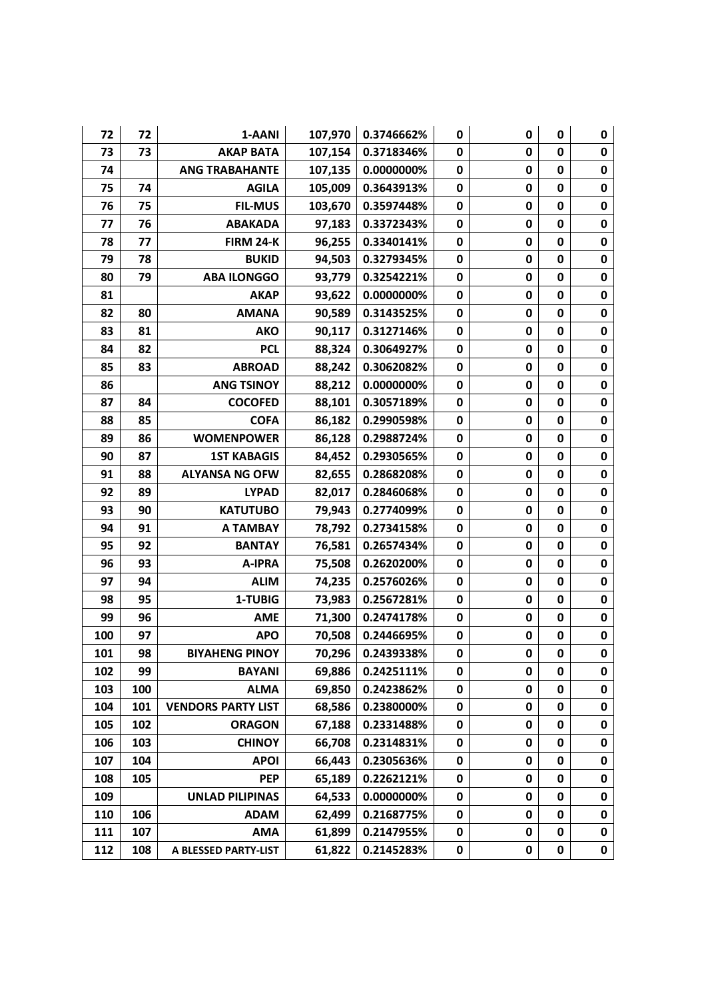| 72  | 72  | 1-AANI                    | 107,970 | 0.3746662% | 0           | 0           | 0           | 0           |
|-----|-----|---------------------------|---------|------------|-------------|-------------|-------------|-------------|
| 73  | 73  | <b>AKAP BATA</b>          | 107,154 | 0.3718346% | $\mathbf 0$ | 0           | 0           | $\mathbf 0$ |
| 74  |     | <b>ANG TRABAHANTE</b>     | 107,135 | 0.0000000% | 0           | 0           | 0           | $\bf{0}$    |
| 75  | 74  | <b>AGILA</b>              | 105,009 | 0.3643913% | $\mathbf 0$ | $\mathbf 0$ | $\mathbf 0$ | $\mathbf 0$ |
| 76  | 75  | <b>FIL-MUS</b>            | 103,670 | 0.3597448% | 0           | 0           | 0           | $\mathbf 0$ |
| 77  | 76  | <b>ABAKADA</b>            | 97,183  | 0.3372343% | $\mathbf 0$ | 0           | $\mathbf 0$ | $\mathbf 0$ |
| 78  | 77  | <b>FIRM 24-K</b>          | 96,255  | 0.3340141% | 0           | 0           | 0           | $\bf{0}$    |
| 79  | 78  | <b>BUKID</b>              | 94,503  | 0.3279345% | $\mathbf 0$ | 0           | $\mathbf 0$ | $\mathbf 0$ |
| 80  | 79  | <b>ABA ILONGGO</b>        | 93,779  | 0.3254221% | 0           | 0           | 0           | 0           |
| 81  |     | <b>AKAP</b>               | 93,622  | 0.0000000% | 0           | 0           | 0           | $\mathbf 0$ |
| 82  | 80  | <b>AMANA</b>              | 90,589  | 0.3143525% | 0           | 0           | 0           | $\pmb{0}$   |
| 83  | 81  | AKO                       | 90,117  | 0.3127146% | $\mathbf 0$ | 0           | $\mathbf 0$ | $\mathbf 0$ |
| 84  | 82  | <b>PCL</b>                | 88,324  | 0.3064927% | 0           | 0           | 0           | 0           |
| 85  | 83  | <b>ABROAD</b>             | 88,242  | 0.3062082% | 0           | 0           | $\mathbf 0$ | $\bf{0}$    |
| 86  |     | <b>ANG TSINOY</b>         | 88,212  | 0.0000000% | 0           | 0           | 0           | $\pmb{0}$   |
| 87  | 84  | <b>COCOFED</b>            | 88,101  | 0.3057189% | $\mathbf 0$ | 0           | 0           | $\mathbf 0$ |
| 88  | 85  | <b>COFA</b>               | 86,182  | 0.2990598% | 0           | 0           | 0           | $\mathbf 0$ |
| 89  | 86  | <b>WOMENPOWER</b>         | 86,128  | 0.2988724% | 0           | 0           | 0           | $\pmb{0}$   |
| 90  | 87  | <b>1ST KABAGIS</b>        | 84,452  | 0.2930565% | 0           | 0           | 0           | $\pmb{0}$   |
| 91  | 88  | <b>ALYANSA NG OFW</b>     | 82,655  | 0.2868208% | $\mathbf 0$ | 0           | $\mathbf 0$ | $\mathbf 0$ |
| 92  | 89  | <b>LYPAD</b>              | 82,017  | 0.2846068% | 0           | 0           | 0           | $\bf{0}$    |
| 93  | 90  | <b>KATUTUBO</b>           | 79,943  | 0.2774099% | $\mathbf 0$ | 0           | $\pmb{0}$   | $\mathbf 0$ |
| 94  | 91  | A TAMBAY                  | 78,792  | 0.2734158% | 0           | 0           | 0           | $\pmb{0}$   |
| 95  | 92  | <b>BANTAY</b>             | 76,581  | 0.2657434% | 0           | 0           | 0           | $\bf{0}$    |
| 96  | 93  | A-IPRA                    | 75,508  | 0.2620200% | 0           | 0           | 0           | $\mathbf 0$ |
| 97  | 94  | <b>ALIM</b>               | 74,235  | 0.2576026% | $\mathbf 0$ | $\mathbf 0$ | $\mathbf 0$ | $\pmb{0}$   |
| 98  | 95  | 1-TUBIG                   | 73,983  | 0.2567281% | $\mathbf 0$ | 0           | 0           | $\pmb{0}$   |
| 99  | 96  | <b>AME</b>                | 71,300  | 0.2474178% | $\mathbf 0$ | $\mathbf 0$ | $\mathbf 0$ | $\mathbf 0$ |
| 100 | 97  | <b>APO</b>                | 70,508  | 0.2446695% | 0           | 0           | 0           | $\pmb{0}$   |
| 101 | 98  | <b>BIYAHENG PINOY</b>     | 70,296  | 0.2439338% | 0           | 0           | 0           | $\mathbf 0$ |
| 102 | 99  | <b>BAYANI</b>             | 69,886  | 0.2425111% | 0           | 0           | 0           | 0           |
| 103 | 100 | <b>ALMA</b>               | 69,850  | 0.2423862% | 0           | 0           | 0           | 0           |
| 104 | 101 | <b>VENDORS PARTY LIST</b> | 68,586  | 0.2380000% | 0           | 0           | 0           | 0           |
| 105 | 102 | <b>ORAGON</b>             | 67,188  | 0.2331488% | 0           | 0           | 0           | 0           |
| 106 | 103 | <b>CHINOY</b>             | 66,708  | 0.2314831% | 0           | 0           | 0           | $\mathbf 0$ |
| 107 | 104 | <b>APOI</b>               | 66,443  | 0.2305636% | 0           | 0           | 0           | $\mathbf 0$ |
| 108 | 105 | <b>PEP</b>                | 65,189  | 0.2262121% | $\mathbf 0$ | 0           | 0           | $\pmb{0}$   |
| 109 |     | <b>UNLAD PILIPINAS</b>    | 64,533  | 0.0000000% | 0           | 0           | 0           | 0           |
| 110 | 106 | <b>ADAM</b>               | 62,499  | 0.2168775% | 0           | 0           | $\mathbf 0$ | $\pmb{0}$   |
| 111 | 107 | <b>AMA</b>                | 61,899  | 0.2147955% | 0           | 0           | 0           | 0           |
| 112 | 108 | A BLESSED PARTY-LIST      | 61,822  | 0.2145283% | $\pmb{0}$   | 0           | 0           | $\pmb{0}$   |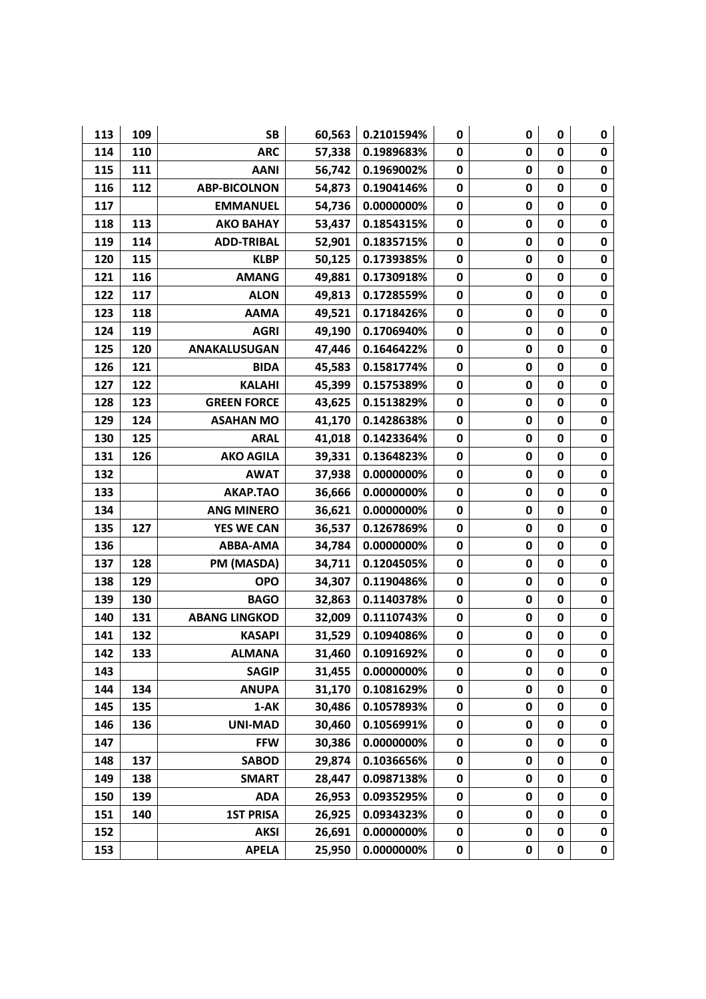| 113 | 109 | <b>SB</b>            | 60,563 | 0.2101594% | 0           | 0 | 0           | 0           |
|-----|-----|----------------------|--------|------------|-------------|---|-------------|-------------|
| 114 | 110 | <b>ARC</b>           | 57,338 | 0.1989683% | $\mathbf 0$ | 0 | 0           | $\mathbf 0$ |
| 115 | 111 | <b>AANI</b>          | 56,742 | 0.1969002% | 0           | 0 | 0           | $\bf{0}$    |
| 116 | 112 | <b>ABP-BICOLNON</b>  | 54,873 | 0.1904146% | $\mathbf 0$ | 0 | 0           | $\mathbf 0$ |
| 117 |     | <b>EMMANUEL</b>      | 54,736 | 0.0000000% | 0           | 0 | 0           | $\mathbf 0$ |
| 118 | 113 | <b>AKO BAHAY</b>     | 53,437 | 0.1854315% | 0           | 0 | 0           | $\pmb{0}$   |
| 119 | 114 | <b>ADD-TRIBAL</b>    | 52,901 | 0.1835715% | 0           | 0 | 0           | $\pmb{0}$   |
| 120 | 115 | <b>KLBP</b>          | 50,125 | 0.1739385% | 0           | 0 | $\mathbf 0$ | $\mathbf 0$ |
| 121 | 116 | <b>AMANG</b>         | 49,881 | 0.1730918% | 0           | 0 | 0           | $\mathbf 0$ |
| 122 | 117 | <b>ALON</b>          | 49,813 | 0.1728559% | 0           | 0 | 0           | $\mathbf 0$ |
| 123 | 118 | <b>AAMA</b>          | 49,521 | 0.1718426% | $\pmb{0}$   | 0 | 0           | $\pmb{0}$   |
| 124 | 119 | <b>AGRI</b>          | 49,190 | 0.1706940% | $\pmb{0}$   | 0 | 0           | $\pmb{0}$   |
| 125 | 120 | ANAKALUSUGAN         | 47,446 | 0.1646422% | 0           | 0 | 0           | $\pmb{0}$   |
| 126 | 121 | <b>BIDA</b>          | 45,583 | 0.1581774% | 0           | 0 | 0           | $\mathbf 0$ |
| 127 | 122 | <b>KALAHI</b>        | 45,399 | 0.1575389% | 0           | 0 | 0           | $\pmb{0}$   |
| 128 | 123 | <b>GREEN FORCE</b>   | 43,625 | 0.1513829% | 0           | 0 | 0           | $\pmb{0}$   |
| 129 | 124 | <b>ASAHAN MO</b>     | 41,170 | 0.1428638% | 0           | 0 | 0           | $\pmb{0}$   |
| 130 | 125 | <b>ARAL</b>          | 41,018 | 0.1423364% | 0           | 0 | 0           | $\pmb{0}$   |
| 131 | 126 | <b>AKO AGILA</b>     | 39,331 | 0.1364823% | 0           | 0 | 0           | $\pmb{0}$   |
| 132 |     | <b>AWAT</b>          | 37,938 | 0.0000000% | 0           | 0 | 0           | $\mathbf 0$ |
| 133 |     | AKAP.TAO             | 36,666 | 0.0000000% | 0           | 0 | 0           | $\pmb{0}$   |
| 134 |     | <b>ANG MINERO</b>    | 36,621 | 0.0000000% | $\pmb{0}$   | 0 | 0           | $\mathbf 0$ |
| 135 | 127 | <b>YES WE CAN</b>    | 36,537 | 0.1267869% | 0           | 0 | 0           | $\pmb{0}$   |
| 136 |     | ABBA-AMA             | 34,784 | 0.0000000% | 0           | 0 | 0           | $\pmb{0}$   |
| 137 | 128 | PM (MASDA)           | 34,711 | 0.1204505% | 0           | 0 | 0           | $\pmb{0}$   |
| 138 | 129 | <b>OPO</b>           | 34,307 | 0.1190486% | $\mathbf 0$ | 0 | $\mathbf 0$ | $\mathbf 0$ |
| 139 | 130 | <b>BAGO</b>          | 32,863 | 0.1140378% | 0           | 0 | 0           | $\pmb{0}$   |
| 140 | 131 | <b>ABANG LINGKOD</b> | 32,009 | 0.1110743% | 0           | 0 | 0           | $\mathbf 0$ |
| 141 | 132 | <b>KASAPI</b>        | 31,529 | 0.1094086% | 0           | 0 | 0           | $\pmb{0}$   |
| 142 | 133 | <b>ALMANA</b>        | 31,460 | 0.1091692% | 0           | 0 | 0           | $\mathbf 0$ |
| 143 |     | <b>SAGIP</b>         | 31,455 | 0.0000000% | 0           | 0 | 0           | 0           |
| 144 | 134 | <b>ANUPA</b>         | 31,170 | 0.1081629% | 0           | 0 | 0           | 0           |
| 145 | 135 | $1-AK$               | 30,486 | 0.1057893% | 0           | 0 | 0           | 0           |
| 146 | 136 | <b>UNI-MAD</b>       | 30,460 | 0.1056991% | 0           | 0 | 0           | 0           |
| 147 |     | <b>FFW</b>           | 30,386 | 0.0000000% | 0           | 0 | 0           | $\mathbf 0$ |
| 148 | 137 | <b>SABOD</b>         | 29,874 | 0.1036656% | 0           | 0 | 0           | 0           |
| 149 | 138 | <b>SMART</b>         | 28,447 | 0.0987138% | $\mathbf 0$ | 0 | 0           | $\pmb{0}$   |
| 150 | 139 | <b>ADA</b>           | 26,953 | 0.0935295% | 0           | 0 | 0           | 0           |
| 151 | 140 | <b>1ST PRISA</b>     | 26,925 | 0.0934323% | 0           | 0 | 0           | $\pmb{0}$   |
| 152 |     | <b>AKSI</b>          | 26,691 | 0.0000000% | 0           | 0 | 0           | $\pmb{0}$   |
| 153 |     | <b>APELA</b>         | 25,950 | 0.0000000% | $\pmb{0}$   | 0 | $\pmb{0}$   | $\pmb{0}$   |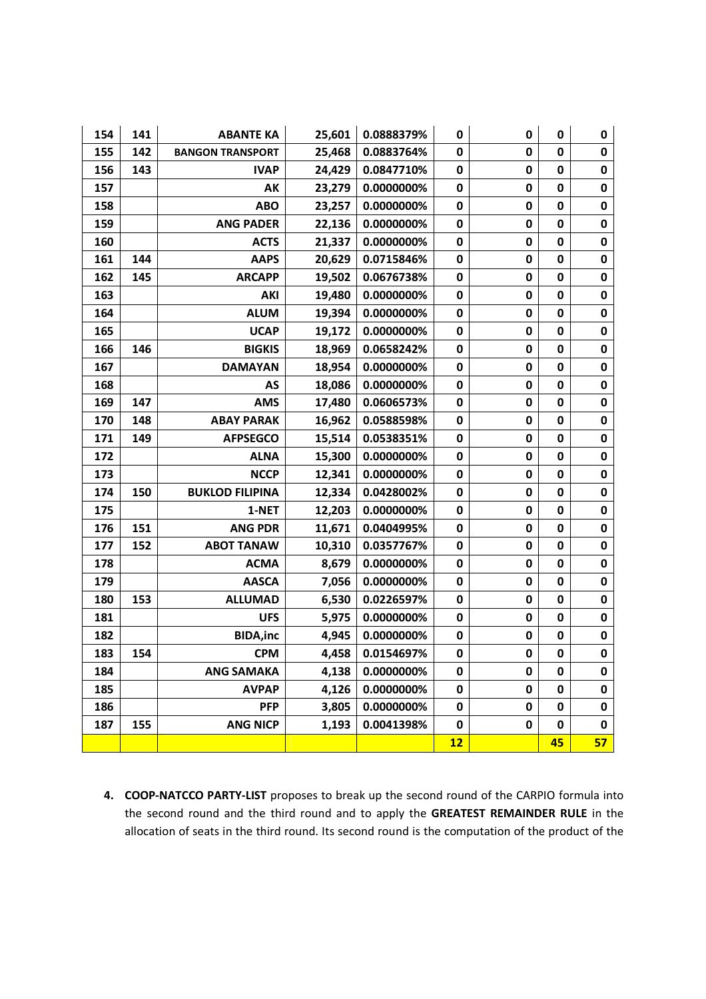| 154 | 141 | <b>ABANTE KA</b>        | 25,601 | 0.0888379% | 0           | 0           | 0           | 0           |
|-----|-----|-------------------------|--------|------------|-------------|-------------|-------------|-------------|
| 155 | 142 | <b>BANGON TRANSPORT</b> | 25,468 | 0.0883764% | 0           | $\mathbf 0$ | 0           | $\mathbf 0$ |
| 156 | 143 | <b>IVAP</b>             | 24,429 | 0.0847710% | 0           | $\pmb{0}$   | 0           | $\pmb{0}$   |
| 157 |     | АΚ                      | 23,279 | 0.0000000% | $\mathbf 0$ | $\mathbf 0$ | $\mathbf 0$ | $\mathbf 0$ |
| 158 |     | <b>ABO</b>              | 23,257 | 0.0000000% | 0           | $\mathbf 0$ | 0           | $\bf{0}$    |
| 159 |     | <b>ANG PADER</b>        | 22,136 | 0.0000000% | 0           | $\mathbf 0$ | 0           | $\mathbf 0$ |
| 160 |     | <b>ACTS</b>             | 21,337 | 0.0000000% | 0           | 0           | 0           | $\mathbf 0$ |
| 161 | 144 | <b>AAPS</b>             | 20,629 | 0.0715846% | 0           | $\mathbf 0$ | $\mathbf 0$ | $\mathbf 0$ |
| 162 | 145 | <b>ARCAPP</b>           | 19,502 | 0.0676738% | 0           | 0           | 0           | 0           |
| 163 |     | AKI                     | 19,480 | 0.0000000% | 0           | $\mathbf 0$ | $\mathbf 0$ | $\mathbf 0$ |
| 164 |     | <b>ALUM</b>             | 19,394 | 0.0000000% | 0           | 0           | 0           | $\mathbf 0$ |
| 165 |     | <b>UCAP</b>             | 19,172 | 0.0000000% | 0           | $\mathbf 0$ | $\mathbf 0$ | $\mathbf 0$ |
| 166 | 146 | <b>BIGKIS</b>           | 18,969 | 0.0658242% | 0           | 0           | 0           | $\mathbf 0$ |
| 167 |     | <b>DAMAYAN</b>          | 18,954 | 0.0000000% | 0           | $\mathbf 0$ | 0           | $\mathbf 0$ |
| 168 |     | AS                      | 18,086 | 0.0000000% | 0           | $\mathbf 0$ | 0           | $\pmb{0}$   |
| 169 | 147 | <b>AMS</b>              | 17,480 | 0.0606573% | 0           | 0           | 0           | $\mathbf 0$ |
| 170 | 148 | <b>ABAY PARAK</b>       | 16,962 | 0.0588598% | 0           | $\mathbf 0$ | 0           | $\mathbf 0$ |
| 171 | 149 | <b>AFPSEGCO</b>         | 15,514 | 0.0538351% | 0           | 0           | 0           | $\pmb{0}$   |
| 172 |     | <b>ALNA</b>             | 15,300 | 0.0000000% | 0           | $\pmb{0}$   | 0           | $\mathbf 0$ |
| 173 |     | <b>NCCP</b>             | 12,341 | 0.0000000% | 0           | $\mathbf 0$ | $\mathbf 0$ | $\mathbf 0$ |
| 174 | 150 | <b>BUKLOD FILIPINA</b>  | 12,334 | 0.0428002% | 0           | $\pmb{0}$   | 0           | $\mathbf 0$ |
| 175 |     | 1-NET                   | 12,203 | 0.0000000% | 0           | $\mathbf 0$ | $\mathbf 0$ | $\pmb{0}$   |
| 176 | 151 | <b>ANG PDR</b>          | 11,671 | 0.0404995% | 0           | $\pmb{0}$   | 0           | $\mathbf 0$ |
| 177 | 152 | <b>ABOT TANAW</b>       | 10,310 | 0.0357767% | 0           | 0           | 0           | $\mathbf 0$ |
| 178 |     | <b>ACMA</b>             | 8,679  | 0.0000000% | 0           | $\pmb{0}$   | 0           | $\mathbf 0$ |
| 179 |     | <b>AASCA</b>            | 7,056  | 0.0000000% | 0           | $\mathbf 0$ | $\mathbf 0$ | $\mathbf 0$ |
| 180 | 153 | <b>ALLUMAD</b>          | 6,530  | 0.0226597% | 0           | 0           | $\mathbf 0$ | $\mathbf 0$ |
| 181 |     | <b>UFS</b>              | 5,975  | 0.0000000% | 0           | $\mathbf 0$ | $\mathbf 0$ | $\mathbf 0$ |
| 182 |     | <b>BIDA, inc</b>        | 4,945  | 0.0000000% | 0           | 0           | 0           | $\mathbf 0$ |
| 183 | 154 | <b>CPM</b>              | 4,458  | 0.0154697% | 0           | 0           | 0           | $\mathbf 0$ |
| 184 |     | <b>ANG SAMAKA</b>       | 4,138  | 0.0000000% | 0           | $\mathbf 0$ | 0           | 0           |
| 185 |     | <b>AVPAP</b>            | 4,126  | 0.0000000% | 0           | 0           | 0           | 0           |
| 186 |     | <b>PFP</b>              | 3,805  | 0.0000000% | 0           | 0           | 0           | 0           |
| 187 | 155 | <b>ANG NICP</b>         | 1,193  | 0.0041398% | 0           | 0           | 0           | 0           |
|     |     |                         |        |            | 12          |             | 45          | 57          |

**4. COOP-NATCCO PARTY-LIST** proposes to break up the second round of the CARPIO formula into the second round and the third round and to apply the **GREATEST REMAINDER RULE** in the allocation of seats in the third round. Its second round is the computation of the product of the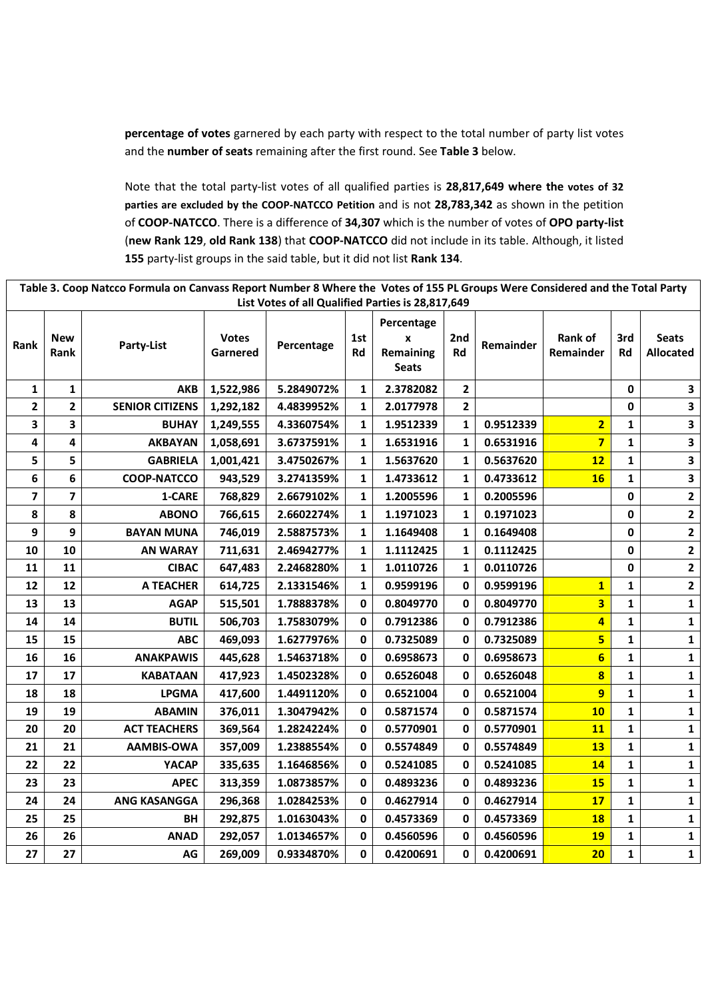**percentage of votes** garnered by each party with respect to the total number of party list votes and the **number of seats** remaining after the first round. See **Table 3** below.

Note that the total party-list votes of all qualified parties is **28,817,649 where the votes of 32 parties are excluded by the COOP-NATCCO Petition** and is not **28,783,342** as shown in the petition of **COOP-NATCCO**. There is a difference of **34,307** which is the number of votes of **OPO party-list** (**new Rank 129**, **old Rank 138**) that **COOP-NATCCO** did not include in its table. Although, it listed **155** party-list groups in the said table, but it did not list **Rank 134**.

|                |                    | Table 3. Coop Natcco Formula on Canvass Report Number 8 Where the Votes of 155 PL Groups Were Considered and the Total Party |                          | List Votes of all Qualified Parties is 28,817,649 |              |                                              |                |                  |                         |                  |                                  |
|----------------|--------------------|------------------------------------------------------------------------------------------------------------------------------|--------------------------|---------------------------------------------------|--------------|----------------------------------------------|----------------|------------------|-------------------------|------------------|----------------------------------|
| Rank           | <b>New</b><br>Rank | Party-List                                                                                                                   | <b>Votes</b><br>Garnered | Percentage                                        | 1st<br>Rd    | Percentage<br>X<br>Remaining<br><b>Seats</b> | 2nd<br>Rd      | <b>Remainder</b> | Rank of<br>Remainder    | 3rd<br><b>Rd</b> | <b>Seats</b><br><b>Allocated</b> |
| $\mathbf{1}$   | $\mathbf{1}$       | <b>AKB</b>                                                                                                                   | 1,522,986                | 5.2849072%                                        | 1            | 2.3782082                                    | $\mathbf{2}$   |                  |                         | $\mathbf{0}$     | $\overline{\mathbf{3}}$          |
| $\overline{2}$ | $\overline{2}$     | <b>SENIOR CITIZENS</b>                                                                                                       | 1,292,182                | 4.4839952%                                        | 1            | 2.0177978                                    | $\overline{2}$ |                  |                         | 0                | $\overline{\mathbf{3}}$          |
| 3              | 3                  | <b>BUHAY</b>                                                                                                                 | 1,249,555                | 4.3360754%                                        | 1            | 1.9512339                                    | 1              | 0.9512339        | $\overline{2}$          | 1                | $\overline{\mathbf{3}}$          |
| 4              | 4                  | <b>AKBAYAN</b>                                                                                                               | 1,058,691                | 3.6737591%                                        | 1            | 1.6531916                                    | 1              | 0.6531916        | $\overline{\mathbf{z}}$ | 1                | $\overline{\mathbf{3}}$          |
| 5              | 5                  | <b>GABRIELA</b>                                                                                                              | 1,001,421                | 3.4750267%                                        | 1            | 1.5637620                                    | $\mathbf{1}$   | 0.5637620        | 12                      | 1                | $\overline{\mathbf{3}}$          |
| 6              | 6                  | <b>COOP-NATCCO</b>                                                                                                           | 943,529                  | 3.2741359%                                        | 1            | 1.4733612                                    | $\mathbf{1}$   | 0.4733612        | 16                      | 1                | $\overline{\mathbf{3}}$          |
| 7              | $\overline{7}$     | 1-CARE                                                                                                                       | 768,829                  | 2.6679102%                                        | 1            | 1.2005596                                    | 1              | 0.2005596        |                         | $\mathbf 0$      | $\mathbf{2}$                     |
| 8              | 8                  | <b>ABONO</b>                                                                                                                 | 766,615                  | 2.6602274%                                        | 1            | 1.1971023                                    | 1              | 0.1971023        |                         | 0                | $\mathbf{2}$                     |
| 9              | 9                  | <b>BAYAN MUNA</b>                                                                                                            | 746,019                  | 2.5887573%                                        | 1            | 1.1649408                                    | $\mathbf{1}$   | 0.1649408        |                         | 0                | $\mathbf{2}$                     |
| 10             | 10                 | <b>AN WARAY</b>                                                                                                              | 711,631                  | 2.4694277%                                        | 1            | 1.1112425                                    | $\mathbf{1}$   | 0.1112425        |                         | 0                | $\mathbf{2}$                     |
| 11             | 11                 | <b>CIBAC</b>                                                                                                                 | 647,483                  | 2.2468280%                                        | 1            | 1.0110726                                    | 1              | 0.0110726        |                         | $\mathbf 0$      | $\mathbf{2}$                     |
| 12             | 12                 | A TEACHER                                                                                                                    | 614,725                  | 2.1331546%                                        | 1            | 0.9599196                                    | 0              | 0.9599196        | $\mathbf{1}$            | 1                | $\mathbf{2}$                     |
| 13             | 13                 | <b>AGAP</b>                                                                                                                  | 515,501                  | 1.7888378%                                        | 0            | 0.8049770                                    | 0              | 0.8049770        | $\overline{\mathbf{3}}$ | 1                | $\mathbf 1$                      |
| 14             | 14                 | <b>BUTIL</b>                                                                                                                 | 506,703                  | 1.7583079%                                        | $\mathbf 0$  | 0.7912386                                    | 0              | 0.7912386        | $\overline{\mathbf{4}}$ | 1                | $\mathbf 1$                      |
| 15             | 15                 | <b>ABC</b>                                                                                                                   | 469,093                  | 1.6277976%                                        | 0            | 0.7325089                                    | $\mathbf{0}$   | 0.7325089        | 5                       | 1                | $\mathbf 1$                      |
| 16             | 16                 | <b>ANAKPAWIS</b>                                                                                                             | 445,628                  | 1.5463718%                                        | 0            | 0.6958673                                    | 0              | 0.6958673        | $6\phantom{a}$          | 1                | $\mathbf 1$                      |
| 17             | 17                 | <b>KABATAAN</b>                                                                                                              | 417,923                  | 1.4502328%                                        | 0            | 0.6526048                                    | 0              | 0.6526048        | 8                       | 1                | $\mathbf 1$                      |
| 18             | 18                 | <b>LPGMA</b>                                                                                                                 | 417,600                  | 1.4491120%                                        | 0            | 0.6521004                                    | 0              | 0.6521004        | $\overline{9}$          | 1                | $\mathbf{1}$                     |
| 19             | 19                 | <b>ABAMIN</b>                                                                                                                | 376,011                  | 1.3047942%                                        | 0            | 0.5871574                                    | 0              | 0.5871574        | 10                      | 1                | $\mathbf{1}$                     |
| 20             | 20                 | <b>ACT TEACHERS</b>                                                                                                          | 369,564                  | 1.2824224%                                        | 0            | 0.5770901                                    | 0              | 0.5770901        | 11                      | $\mathbf{1}$     | $\mathbf 1$                      |
| 21             | 21                 | <b>AAMBIS-OWA</b>                                                                                                            | 357,009                  | 1.2388554%                                        | 0            | 0.5574849                                    | 0              | 0.5574849        | 13                      | 1                | $\mathbf 1$                      |
| 22             | 22                 | <b>YACAP</b>                                                                                                                 | 335,635                  | 1.1646856%                                        | $\mathbf 0$  | 0.5241085                                    | 0              | 0.5241085        | 14                      | 1                | $\mathbf{1}$                     |
| 23             | 23                 | <b>APEC</b>                                                                                                                  | 313,359                  | 1.0873857%                                        | $\mathbf{0}$ | 0.4893236                                    | 0              | 0.4893236        | <b>15</b>               | 1                | 1                                |
| 24             | 24                 | ANG KASANGGA                                                                                                                 | 296,368                  | 1.0284253%                                        | 0            | 0.4627914                                    | 0              | 0.4627914        | 17                      | $\mathbf{1}$     | $\mathbf 1$                      |
| 25             | 25                 | BH                                                                                                                           | 292,875                  | 1.0163043%                                        | 0            | 0.4573369                                    | 0              | 0.4573369        | <b>18</b>               | 1                | $\mathbf{1}$                     |
| 26             | 26                 | <b>ANAD</b>                                                                                                                  | 292,057                  | 1.0134657%                                        | 0            | 0.4560596                                    | 0              | 0.4560596        | <b>19</b>               | 1                | $\mathbf 1$                      |
| 27             | 27                 | AG                                                                                                                           | 269,009                  | 0.9334870%                                        | 0            | 0.4200691                                    | $\mathbf{0}$   | 0.4200691        | 20 <sub>2</sub>         | 1                | $\mathbf{1}$                     |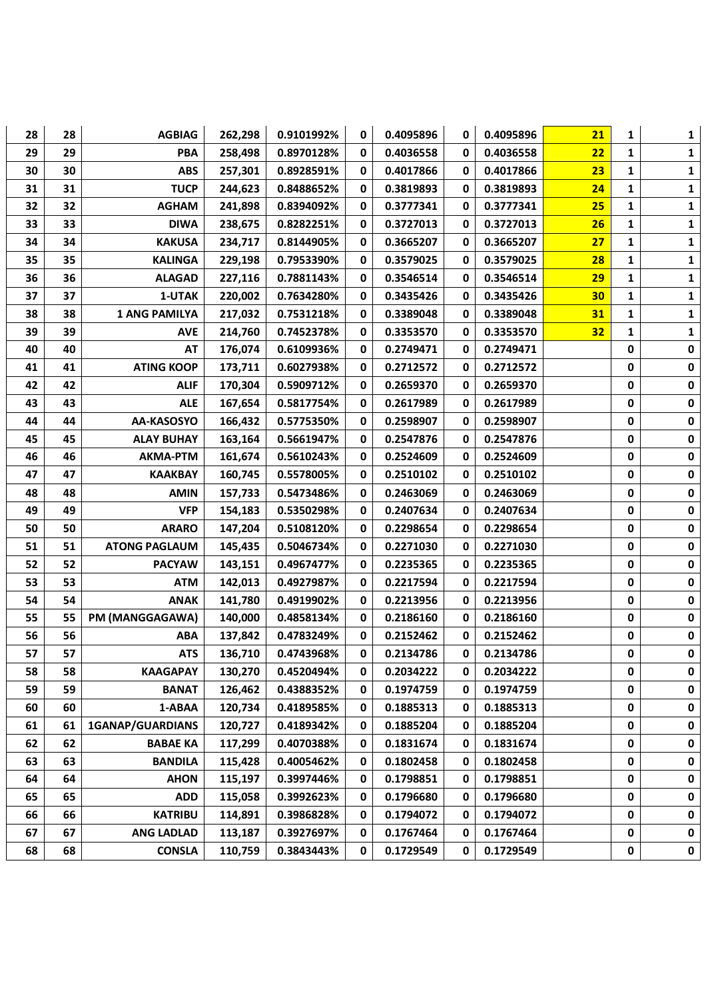| 28 | 28 | <b>AGBIAG</b>           | 262,298 | 0.9101992% | 0            | 0.4095896 | 0 | 0.4095896 | 21 | 1            | 1            |
|----|----|-------------------------|---------|------------|--------------|-----------|---|-----------|----|--------------|--------------|
| 29 | 29 | <b>PBA</b>              | 258,498 | 0.8970128% | $\mathbf{0}$ | 0.4036558 | 0 | 0.4036558 | 22 | $\mathbf{1}$ | $\mathbf{1}$ |
| 30 | 30 | <b>ABS</b>              | 257,301 | 0.8928591% | 0            | 0.4017866 | 0 | 0.4017866 | 23 | 1            | 1            |
| 31 | 31 | <b>TUCP</b>             | 244,623 | 0.8488652% | 0            | 0.3819893 | 0 | 0.3819893 | 24 | 1            | 1            |
| 32 | 32 | <b>AGHAM</b>            | 241,898 | 0.8394092% | 0            | 0.3777341 | 0 | 0.3777341 | 25 | 1            | 1            |
| 33 | 33 | <b>DIWA</b>             | 238,675 | 0.8282251% | 0            | 0.3727013 | 0 | 0.3727013 | 26 | 1            | 1            |
| 34 | 34 | <b>KAKUSA</b>           | 234,717 | 0.8144905% | 0            | 0.3665207 | 0 | 0.3665207 | 27 | 1            | 1            |
| 35 | 35 | <b>KALINGA</b>          | 229,198 | 0.7953390% | 0            | 0.3579025 | 0 | 0.3579025 | 28 | 1            | $\mathbf{1}$ |
| 36 | 36 | <b>ALAGAD</b>           | 227,116 | 0.7881143% | 0            | 0.3546514 | 0 | 0.3546514 | 29 | 1            | 1            |
| 37 | 37 | 1-UTAK                  | 220,002 | 0.7634280% | 0            | 0.3435426 | 0 | 0.3435426 | 30 | 1            | 1            |
| 38 | 38 | <b>1 ANG PAMILYA</b>    | 217,032 | 0.7531218% | 0            | 0.3389048 | 0 | 0.3389048 | 31 | 1            | 1            |
| 39 | 39 | <b>AVE</b>              | 214,760 | 0.7452378% | 0            | 0.3353570 | 0 | 0.3353570 | 32 | 1            | $\mathbf{1}$ |
| 40 | 40 | <b>AT</b>               | 176,074 | 0.6109936% | 0            | 0.2749471 | 0 | 0.2749471 |    | 0            | 0            |
| 41 | 41 | <b>ATING KOOP</b>       | 173,711 | 0.6027938% | 0            | 0.2712572 | 0 | 0.2712572 |    | 0            | $\pmb{0}$    |
| 42 | 42 | <b>ALIF</b>             | 170,304 | 0.5909712% | 0            | 0.2659370 | 0 | 0.2659370 |    | 0            | 0            |
| 43 | 43 | <b>ALE</b>              | 167,654 | 0.5817754% | 0            | 0.2617989 | 0 | 0.2617989 |    | 0            | $\pmb{0}$    |
| 44 | 44 | AA-KASOSYO              | 166,432 | 0.5775350% | 0            | 0.2598907 | 0 | 0.2598907 |    | 0            | $\pmb{0}$    |
| 45 | 45 | <b>ALAY BUHAY</b>       | 163,164 | 0.5661947% | 0            | 0.2547876 | 0 | 0.2547876 |    | 0            | $\pmb{0}$    |
| 46 | 46 | <b>AKMA-PTM</b>         | 161,674 | 0.5610243% | 0            | 0.2524609 | 0 | 0.2524609 |    | 0            | 0            |
| 47 | 47 | <b>KAAKBAY</b>          | 160,745 | 0.5578005% | 0            | 0.2510102 | 0 | 0.2510102 |    | 0            | 0            |
| 48 | 48 | <b>AMIN</b>             | 157,733 | 0.5473486% | 0            | 0.2463069 | 0 | 0.2463069 |    | 0            | 0            |
| 49 | 49 | <b>VFP</b>              | 154,183 | 0.5350298% | 0            | 0.2407634 | 0 | 0.2407634 |    | 0            | 0            |
| 50 | 50 | <b>ARARO</b>            | 147,204 | 0.5108120% | 0            | 0.2298654 | 0 | 0.2298654 |    | 0            | 0            |
| 51 | 51 | <b>ATONG PAGLAUM</b>    | 145,435 | 0.5046734% | 0            | 0.2271030 | 0 | 0.2271030 |    | 0            | 0            |
| 52 | 52 | <b>PACYAW</b>           | 143,151 | 0.4967477% | 0            | 0.2235365 | 0 | 0.2235365 |    | 0            | 0            |
| 53 | 53 | <b>ATM</b>              | 142,013 | 0.4927987% | 0            | 0.2217594 | 0 | 0.2217594 |    | 0            | 0            |
| 54 | 54 | <b>ANAK</b>             | 141,780 | 0.4919902% | 0            | 0.2213956 | 0 | 0.2213956 |    | 0            | $\mathbf 0$  |
| 55 | 55 | PM (MANGGAGAWA)         | 140,000 | 0.4858134% | 0            | 0.2186160 | 0 | 0.2186160 |    | 0            | 0            |
| 56 | 56 | <b>ABA</b>              | 137,842 | 0.4783249% | 0            | 0.2152462 | 0 | 0.2152462 |    | 0            | 0            |
| 57 | 57 | <b>ATS</b>              | 136,710 | 0.4743968% | 0            | 0.2134786 | 0 | 0.2134786 |    | 0            | 0            |
| 58 | 58 | <b>KAAGAPAY</b>         | 130,270 | 0.4520494% | 0            | 0.2034222 | 0 | 0.2034222 |    | 0            | 0            |
| 59 | 59 | <b>BANAT</b>            | 126,462 | 0.4388352% | 0            | 0.1974759 | 0 | 0.1974759 |    | 0            | 0            |
| 60 | 60 | 1-ABAA                  | 120,734 | 0.4189585% | 0            | 0.1885313 | 0 | 0.1885313 |    | 0            | 0            |
| 61 | 61 | <b>1GANAP/GUARDIANS</b> | 120,727 | 0.4189342% | 0            | 0.1885204 | 0 | 0.1885204 |    | 0            | 0            |
| 62 | 62 | <b>BABAE KA</b>         | 117,299 | 0.4070388% | 0            | 0.1831674 | 0 | 0.1831674 |    | 0            | 0            |
| 63 | 63 | <b>BANDILA</b>          | 115,428 | 0.4005462% | 0            | 0.1802458 | 0 | 0.1802458 |    | 0            | 0            |
| 64 | 64 | <b>AHON</b>             | 115,197 | 0.3997446% | 0            | 0.1798851 | 0 | 0.1798851 |    | 0            | 0            |
| 65 | 65 | <b>ADD</b>              | 115,058 | 0.3992623% | 0            | 0.1796680 | 0 | 0.1796680 |    | 0            | 0            |
| 66 | 66 | <b>KATRIBU</b>          | 114,891 | 0.3986828% | 0            | 0.1794072 | 0 | 0.1794072 |    | 0            | 0            |
| 67 | 67 | <b>ANG LADLAD</b>       | 113,187 | 0.3927697% | 0            | 0.1767464 | 0 | 0.1767464 |    | 0            | 0            |
| 68 | 68 | <b>CONSLA</b>           | 110,759 | 0.3843443% | 0            | 0.1729549 | 0 | 0.1729549 |    | 0            | $\pmb{0}$    |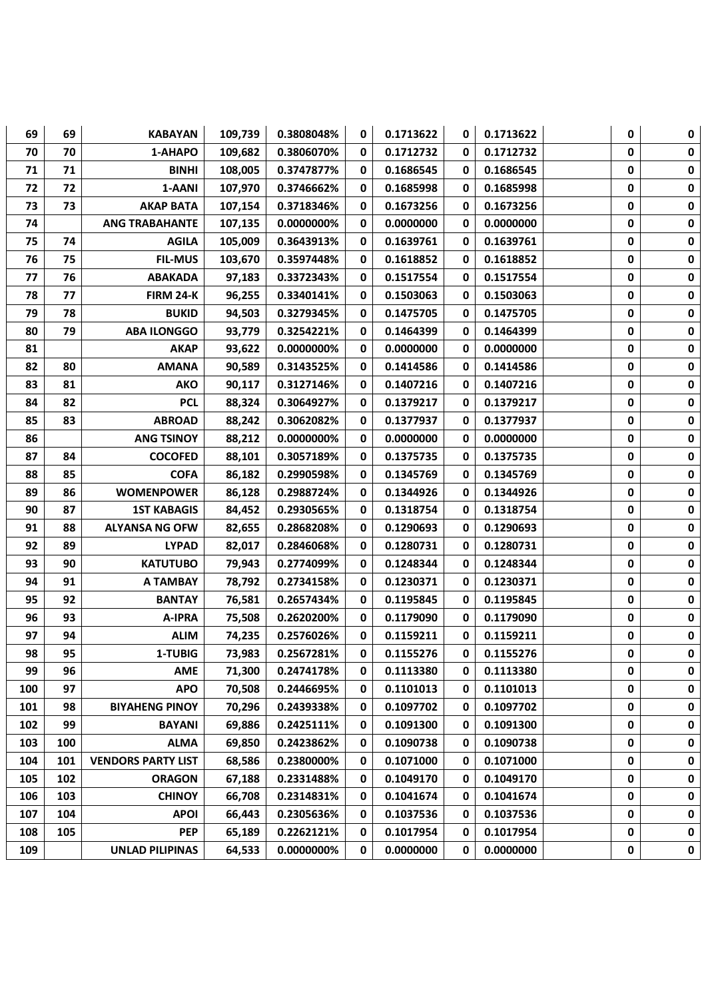| 69  | 69  | <b>KABAYAN</b>            | 109,739 | 0.3808048% | 0 | 0.1713622 | 0 | 0.1713622 | 0 | 0           |
|-----|-----|---------------------------|---------|------------|---|-----------|---|-----------|---|-------------|
| 70  | 70  | 1-AHAPO                   | 109,682 | 0.3806070% | 0 | 0.1712732 | 0 | 0.1712732 | 0 | $\mathbf 0$ |
| 71  | 71  | <b>BINHI</b>              | 108,005 | 0.3747877% | 0 | 0.1686545 | 0 | 0.1686545 | 0 | 0           |
| 72  | 72  | 1-AANI                    | 107,970 | 0.3746662% | 0 | 0.1685998 | 0 | 0.1685998 | 0 | 0           |
| 73  | 73  | <b>AKAP BATA</b>          | 107,154 | 0.3718346% | 0 | 0.1673256 | 0 | 0.1673256 | 0 | 0           |
| 74  |     | <b>ANG TRABAHANTE</b>     | 107,135 | 0.0000000% | 0 | 0.0000000 | 0 | 0.0000000 | 0 | $\pmb{0}$   |
| 75  | 74  | <b>AGILA</b>              | 105,009 | 0.3643913% | 0 | 0.1639761 | 0 | 0.1639761 | 0 | 0           |
| 76  | 75  | <b>FIL-MUS</b>            | 103,670 | 0.3597448% | 0 | 0.1618852 | 0 | 0.1618852 | 0 | $\pmb{0}$   |
| 77  | 76  | <b>ABAKADA</b>            | 97,183  | 0.3372343% | 0 | 0.1517554 | 0 | 0.1517554 | 0 | 0           |
| 78  | 77  | <b>FIRM 24-K</b>          | 96,255  | 0.3340141% | 0 | 0.1503063 | 0 | 0.1503063 | 0 | $\pmb{0}$   |
| 79  | 78  | <b>BUKID</b>              | 94,503  | 0.3279345% | 0 | 0.1475705 | 0 | 0.1475705 | 0 | 0           |
| 80  | 79  | <b>ABA ILONGGO</b>        | 93,779  | 0.3254221% | 0 | 0.1464399 | 0 | 0.1464399 | 0 | $\mathbf 0$ |
| 81  |     | <b>AKAP</b>               | 93,622  | 0.0000000% | 0 | 0.0000000 | 0 | 0.0000000 | 0 | $\pmb{0}$   |
| 82  | 80  | <b>AMANA</b>              | 90,589  | 0.3143525% | 0 | 0.1414586 | 0 | 0.1414586 | 0 | $\pmb{0}$   |
| 83  | 81  | <b>AKO</b>                | 90,117  | 0.3127146% | 0 | 0.1407216 | 0 | 0.1407216 | 0 | $\pmb{0}$   |
| 84  | 82  | <b>PCL</b>                | 88,324  | 0.3064927% | 0 | 0.1379217 | 0 | 0.1379217 | 0 | 0           |
| 85  | 83  | <b>ABROAD</b>             | 88,242  | 0.3062082% | 0 | 0.1377937 | 0 | 0.1377937 | 0 | 0           |
| 86  |     | <b>ANG TSINOY</b>         | 88,212  | 0.0000000% | 0 | 0.0000000 | 0 | 0.0000000 | 0 | 0           |
| 87  | 84  | <b>COCOFED</b>            | 88,101  | 0.3057189% | 0 | 0.1375735 | 0 | 0.1375735 | 0 | 0           |
| 88  | 85  | <b>COFA</b>               | 86,182  | 0.2990598% | 0 | 0.1345769 | 0 | 0.1345769 | 0 | 0           |
| 89  | 86  | <b>WOMENPOWER</b>         | 86,128  | 0.2988724% | 0 | 0.1344926 | 0 | 0.1344926 | 0 | 0           |
| 90  | 87  | <b>1ST KABAGIS</b>        | 84,452  | 0.2930565% | 0 | 0.1318754 | 0 | 0.1318754 | 0 | 0           |
| 91  | 88  | <b>ALYANSA NG OFW</b>     | 82,655  | 0.2868208% | 0 | 0.1290693 | 0 | 0.1290693 | 0 | $\mathbf 0$ |
| 92  | 89  | <b>LYPAD</b>              | 82,017  | 0.2846068% | 0 | 0.1280731 | 0 | 0.1280731 | 0 | 0           |
| 93  | 90  | <b>KATUTUBO</b>           | 79,943  | 0.2774099% | 0 | 0.1248344 | 0 | 0.1248344 | 0 | 0           |
| 94  | 91  | <b>A TAMBAY</b>           | 78,792  | 0.2734158% | 0 | 0.1230371 | 0 | 0.1230371 | 0 | 0           |
| 95  | 92  | <b>BANTAY</b>             | 76,581  | 0.2657434% | 0 | 0.1195845 | 0 | 0.1195845 | 0 | $\mathbf 0$ |
| 96  | 93  | A-IPRA                    | 75,508  | 0.2620200% | 0 | 0.1179090 | 0 | 0.1179090 | 0 | 0           |
| 97  | 94  | <b>ALIM</b>               | 74,235  | 0.2576026% | 0 | 0.1159211 | 0 | 0.1159211 | 0 | 0           |
| 98  | 95  | 1-TUBIG                   | 73,983  | 0.2567281% | 0 | 0.1155276 | 0 | 0.1155276 | 0 | 0           |
| 99  | 96  | <b>AME</b>                | 71,300  | 0.2474178% | 0 | 0.1113380 | 0 | 0.1113380 | 0 | 0           |
| 100 | 97  | <b>APO</b>                | 70,508  | 0.2446695% | 0 | 0.1101013 | 0 | 0.1101013 | 0 | 0           |
| 101 | 98  | <b>BIYAHENG PINOY</b>     | 70,296  | 0.2439338% | 0 | 0.1097702 | 0 | 0.1097702 | 0 | 0           |
| 102 | 99  | <b>BAYANI</b>             | 69,886  | 0.2425111% | 0 | 0.1091300 | 0 | 0.1091300 | 0 | 0           |
| 103 | 100 | <b>ALMA</b>               | 69,850  | 0.2423862% | 0 | 0.1090738 | 0 | 0.1090738 | 0 | 0           |
| 104 | 101 | <b>VENDORS PARTY LIST</b> | 68,586  | 0.2380000% | 0 | 0.1071000 | 0 | 0.1071000 | 0 | 0           |
| 105 | 102 | <b>ORAGON</b>             | 67,188  | 0.2331488% | 0 | 0.1049170 | 0 | 0.1049170 | 0 | 0           |
| 106 | 103 | <b>CHINOY</b>             | 66,708  | 0.2314831% | 0 | 0.1041674 | 0 | 0.1041674 | 0 | 0           |
| 107 | 104 | <b>APOI</b>               | 66,443  | 0.2305636% | 0 | 0.1037536 | 0 | 0.1037536 | 0 | 0           |
| 108 | 105 | <b>PEP</b>                | 65,189  | 0.2262121% | 0 | 0.1017954 | 0 | 0.1017954 | 0 | 0           |
| 109 |     | <b>UNLAD PILIPINAS</b>    | 64,533  | 0.0000000% | 0 | 0.0000000 | 0 | 0.0000000 | 0 | $\pmb{0}$   |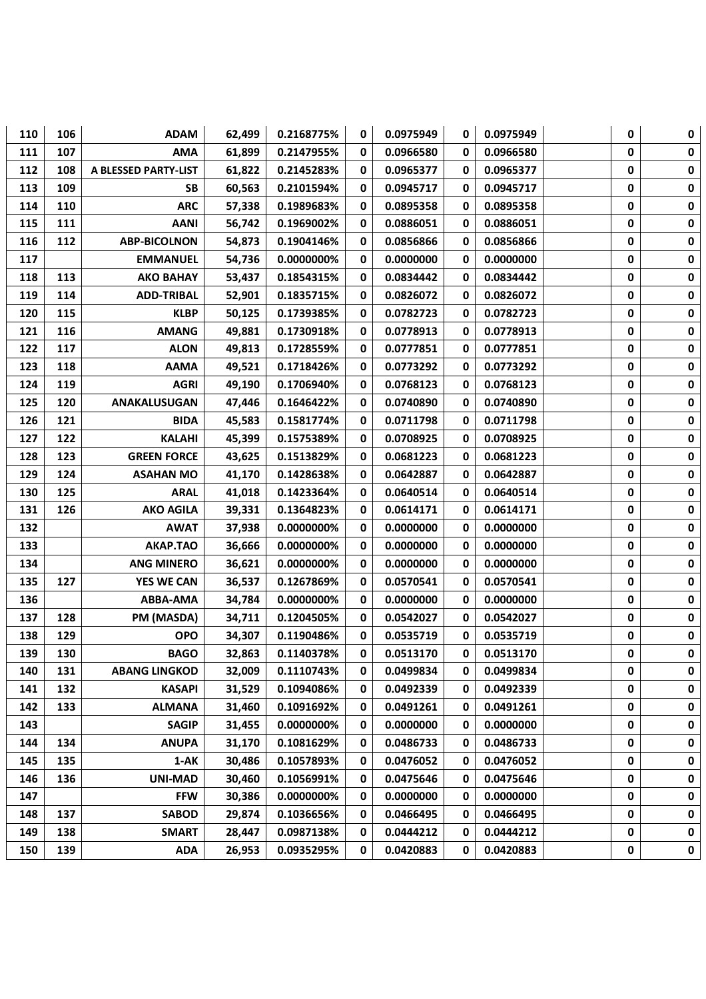| 110 | 106 | <b>ADAM</b>          | 62,499 | 0.2168775% | 0 | 0.0975949 | 0 | 0.0975949 | 0 | 0           |
|-----|-----|----------------------|--------|------------|---|-----------|---|-----------|---|-------------|
| 111 | 107 | <b>AMA</b>           | 61,899 | 0.2147955% | 0 | 0.0966580 | 0 | 0.0966580 | 0 | 0           |
| 112 | 108 | A BLESSED PARTY-LIST | 61,822 | 0.2145283% | 0 | 0.0965377 | 0 | 0.0965377 | 0 | 0           |
| 113 | 109 | SB                   | 60,563 | 0.2101594% | 0 | 0.0945717 | 0 | 0.0945717 | 0 | 0           |
| 114 | 110 | <b>ARC</b>           | 57,338 | 0.1989683% | 0 | 0.0895358 | 0 | 0.0895358 | 0 | 0           |
| 115 | 111 | <b>AANI</b>          | 56,742 | 0.1969002% | 0 | 0.0886051 | 0 | 0.0886051 | 0 | $\mathbf 0$ |
| 116 | 112 | <b>ABP-BICOLNON</b>  | 54,873 | 0.1904146% | 0 | 0.0856866 | 0 | 0.0856866 | 0 | 0           |
| 117 |     | <b>EMMANUEL</b>      | 54,736 | 0.0000000% | 0 | 0.0000000 | 0 | 0.0000000 | 0 | $\pmb{0}$   |
| 118 | 113 | <b>AKO BAHAY</b>     | 53,437 | 0.1854315% | 0 | 0.0834442 | 0 | 0.0834442 | 0 | 0           |
| 119 | 114 | <b>ADD-TRIBAL</b>    | 52,901 | 0.1835715% | 0 | 0.0826072 | 0 | 0.0826072 | 0 | $\mathbf 0$ |
| 120 | 115 | <b>KLBP</b>          | 50,125 | 0.1739385% | 0 | 0.0782723 | 0 | 0.0782723 | 0 | 0           |
| 121 | 116 | <b>AMANG</b>         | 49,881 | 0.1730918% | 0 | 0.0778913 | 0 | 0.0778913 | 0 | $\mathbf 0$ |
| 122 | 117 | <b>ALON</b>          | 49,813 | 0.1728559% | 0 | 0.0777851 | 0 | 0.0777851 | 0 | $\pmb{0}$   |
| 123 | 118 | <b>AAMA</b>          | 49,521 | 0.1718426% | 0 | 0.0773292 | 0 | 0.0773292 | 0 | $\mathbf 0$ |
| 124 | 119 | <b>AGRI</b>          | 49,190 | 0.1706940% | 0 | 0.0768123 | 0 | 0.0768123 | 0 | $\pmb{0}$   |
| 125 | 120 | ANAKALUSUGAN         | 47,446 | 0.1646422% | 0 | 0.0740890 | 0 | 0.0740890 | 0 | 0           |
| 126 | 121 | <b>BIDA</b>          | 45,583 | 0.1581774% | 0 | 0.0711798 | 0 | 0.0711798 | 0 | 0           |
| 127 | 122 | <b>KALAHI</b>        | 45,399 | 0.1575389% | 0 | 0.0708925 | 0 | 0.0708925 | 0 | 0           |
| 128 | 123 | <b>GREEN FORCE</b>   | 43,625 | 0.1513829% | 0 | 0.0681223 | 0 | 0.0681223 | 0 | 0           |
| 129 | 124 | <b>ASAHAN MO</b>     | 41,170 | 0.1428638% | 0 | 0.0642887 | 0 | 0.0642887 | 0 | 0           |
| 130 | 125 | <b>ARAL</b>          | 41,018 | 0.1423364% | 0 | 0.0640514 | 0 | 0.0640514 | 0 | 0           |
| 131 | 126 | <b>AKO AGILA</b>     | 39,331 | 0.1364823% | 0 | 0.0614171 | 0 | 0.0614171 | 0 | 0           |
| 132 |     | <b>AWAT</b>          | 37,938 | 0.0000000% | 0 | 0.0000000 | 0 | 0.0000000 | 0 | 0           |
| 133 |     | AKAP.TAO             | 36,666 | 0.0000000% | 0 | 0.0000000 | 0 | 0.0000000 | 0 | 0           |
| 134 |     | <b>ANG MINERO</b>    | 36,621 | 0.0000000% | 0 | 0.0000000 | 0 | 0.0000000 | 0 | 0           |
| 135 | 127 | <b>YES WE CAN</b>    | 36,537 | 0.1267869% | 0 | 0.0570541 | 0 | 0.0570541 | 0 | 0           |
| 136 |     | ABBA-AMA             | 34,784 | 0.0000000% | 0 | 0.0000000 | 0 | 0.0000000 | 0 | $\mathbf 0$ |
| 137 | 128 | PM (MASDA)           | 34,711 | 0.1204505% | 0 | 0.0542027 | 0 | 0.0542027 | 0 | 0           |
| 138 | 129 | <b>OPO</b>           | 34,307 | 0.1190486% | 0 | 0.0535719 | 0 | 0.0535719 | 0 | $\mathbf 0$ |
| 139 | 130 | <b>BAGO</b>          | 32,863 | 0.1140378% | 0 | 0.0513170 | 0 | 0.0513170 | 0 | 0           |
| 140 | 131 | <b>ABANG LINGKOD</b> | 32,009 | 0.1110743% | 0 | 0.0499834 | 0 | 0.0499834 | 0 | 0           |
| 141 | 132 | <b>KASAPI</b>        | 31,529 | 0.1094086% | 0 | 0.0492339 | 0 | 0.0492339 | 0 | 0           |
| 142 | 133 | <b>ALMANA</b>        | 31,460 | 0.1091692% | 0 | 0.0491261 | 0 | 0.0491261 | 0 | 0           |
| 143 |     | <b>SAGIP</b>         | 31,455 | 0.0000000% | 0 | 0.0000000 | 0 | 0.0000000 | 0 | 0           |
| 144 | 134 | <b>ANUPA</b>         | 31,170 | 0.1081629% | 0 | 0.0486733 | 0 | 0.0486733 | 0 | 0           |
| 145 | 135 | 1-AK                 | 30,486 | 0.1057893% | 0 | 0.0476052 | 0 | 0.0476052 | 0 | 0           |
| 146 | 136 | UNI-MAD              | 30,460 | 0.1056991% | 0 | 0.0475646 | 0 | 0.0475646 | 0 | 0           |
| 147 |     | <b>FFW</b>           | 30,386 | 0.0000000% | 0 | 0.0000000 | 0 | 0.0000000 | 0 | 0           |
| 148 | 137 | <b>SABOD</b>         | 29,874 | 0.1036656% | 0 | 0.0466495 | 0 | 0.0466495 | 0 | 0           |
| 149 | 138 | <b>SMART</b>         | 28,447 | 0.0987138% | 0 | 0.0444212 | 0 | 0.0444212 | 0 | 0           |
| 150 | 139 | <b>ADA</b>           | 26,953 | 0.0935295% | 0 | 0.0420883 | 0 | 0.0420883 | 0 | $\pmb{0}$   |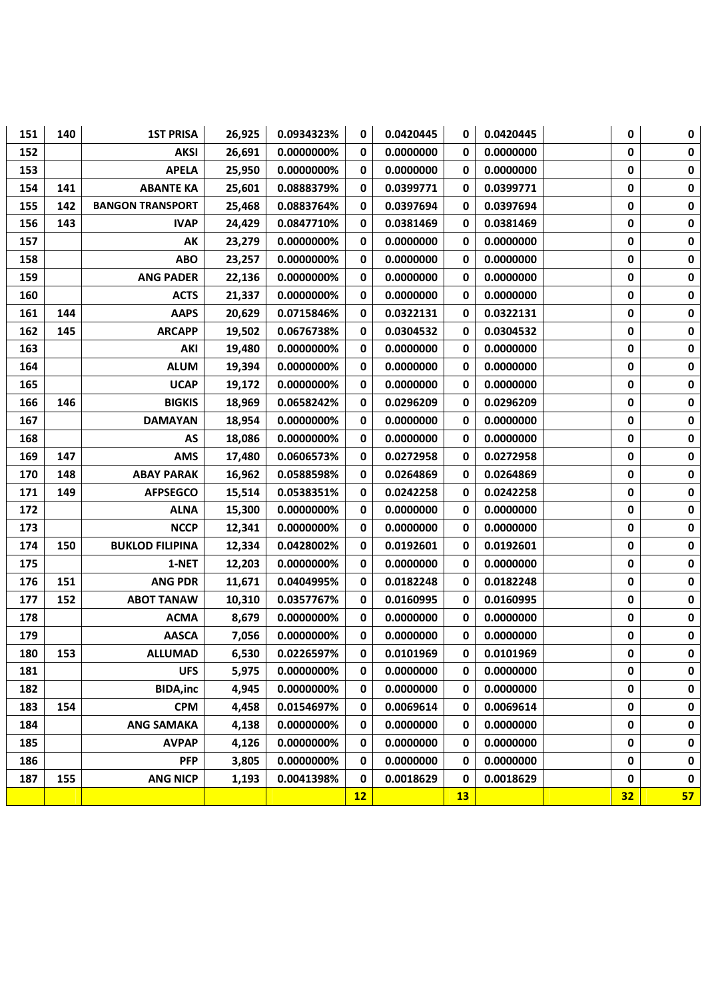| 151 | 140 | <b>1ST PRISA</b>        | 26,925 | 0.0934323% | 0         | 0.0420445 | 0         | 0.0420445 | 0  | 0           |
|-----|-----|-------------------------|--------|------------|-----------|-----------|-----------|-----------|----|-------------|
| 152 |     | <b>AKSI</b>             | 26,691 | 0.0000000% | 0         | 0.0000000 | 0         | 0.0000000 | 0  | $\mathbf 0$ |
| 153 |     | <b>APELA</b>            | 25,950 | 0.0000000% | 0         | 0.0000000 | 0         | 0.0000000 | 0  | 0           |
| 154 | 141 | <b>ABANTE KA</b>        | 25,601 | 0.0888379% | 0         | 0.0399771 | 0         | 0.0399771 | 0  | 0           |
| 155 | 142 | <b>BANGON TRANSPORT</b> | 25,468 | 0.0883764% | 0         | 0.0397694 | 0         | 0.0397694 | 0  | 0           |
| 156 | 143 | <b>IVAP</b>             | 24,429 | 0.0847710% | 0         | 0.0381469 | 0         | 0.0381469 | 0  | $\pmb{0}$   |
| 157 |     | AK                      | 23,279 | 0.0000000% | 0         | 0.0000000 | 0         | 0.0000000 | 0  | 0           |
| 158 |     | ABO                     | 23,257 | 0.0000000% | 0         | 0.0000000 | 0         | 0.0000000 | 0  | 0           |
| 159 |     | <b>ANG PADER</b>        | 22,136 | 0.0000000% | 0         | 0.0000000 | 0         | 0.0000000 | 0  | 0           |
| 160 |     | <b>ACTS</b>             | 21,337 | 0.0000000% | 0         | 0.0000000 | 0         | 0.0000000 | 0  | 0           |
| 161 | 144 | <b>AAPS</b>             | 20,629 | 0.0715846% | 0         | 0.0322131 | 0         | 0.0322131 | 0  | 0           |
| 162 | 145 | <b>ARCAPP</b>           | 19,502 | 0.0676738% | 0         | 0.0304532 | 0         | 0.0304532 | 0  | 0           |
| 163 |     | AKI                     | 19,480 | 0.0000000% | 0         | 0.0000000 | 0         | 0.0000000 | 0  | 0           |
| 164 |     | <b>ALUM</b>             | 19,394 | 0.0000000% | 0         | 0.0000000 | 0         | 0.0000000 | 0  | $\pmb{0}$   |
| 165 |     | <b>UCAP</b>             | 19,172 | 0.0000000% | 0         | 0.0000000 | 0         | 0.0000000 | 0  | 0           |
| 166 | 146 | <b>BIGKIS</b>           | 18,969 | 0.0658242% | 0         | 0.0296209 | 0         | 0.0296209 | 0  | $\pmb{0}$   |
| 167 |     | <b>DAMAYAN</b>          | 18,954 | 0.0000000% | 0         | 0.0000000 | 0         | 0.0000000 | 0  | 0           |
| 168 |     | AS                      | 18,086 | 0.0000000% | 0         | 0.0000000 | 0         | 0.0000000 | 0  | $\pmb{0}$   |
| 169 | 147 | <b>AMS</b>              | 17,480 | 0.0606573% | 0         | 0.0272958 | 0         | 0.0272958 | 0  | 0           |
| 170 | 148 | <b>ABAY PARAK</b>       | 16,962 | 0.0588598% | 0         | 0.0264869 | 0         | 0.0264869 | 0  | $\pmb{0}$   |
| 171 | 149 | <b>AFPSEGCO</b>         | 15,514 | 0.0538351% | 0         | 0.0242258 | 0         | 0.0242258 | 0  | 0           |
| 172 |     | <b>ALNA</b>             | 15,300 | 0.0000000% | 0         | 0.0000000 | 0         | 0.0000000 | 0  | $\pmb{0}$   |
| 173 |     | <b>NCCP</b>             | 12,341 | 0.0000000% | 0         | 0.0000000 | 0         | 0.0000000 | 0  | $\pmb{0}$   |
| 174 | 150 | <b>BUKLOD FILIPINA</b>  | 12,334 | 0.0428002% | 0         | 0.0192601 | 0         | 0.0192601 | 0  | $\pmb{0}$   |
| 175 |     | 1-NET                   | 12,203 | 0.0000000% | 0         | 0.0000000 | 0         | 0.0000000 | 0  | 0           |
| 176 | 151 | <b>ANG PDR</b>          | 11,671 | 0.0404995% | 0         | 0.0182248 | 0         | 0.0182248 | 0  | 0           |
| 177 | 152 | <b>ABOT TANAW</b>       | 10,310 | 0.0357767% | 0         | 0.0160995 | 0         | 0.0160995 | 0  | 0           |
| 178 |     | <b>ACMA</b>             | 8,679  | 0.0000000% | 0         | 0.0000000 | 0         | 0.0000000 | 0  | 0           |
| 179 |     | <b>AASCA</b>            | 7,056  | 0.0000000% | 0         | 0.0000000 | 0         | 0.0000000 | 0  | $\mathbf 0$ |
| 180 | 153 | <b>ALLUMAD</b>          | 6,530  | 0.0226597% | 0         | 0.0101969 | 0         | 0.0101969 | 0  | 0           |
| 181 |     | <b>UFS</b>              | 5,975  | 0.0000000% | 0         | 0.0000000 | 0         | 0.0000000 | 0  | 0           |
| 182 |     | <b>BIDA, inc</b>        | 4,945  | 0.0000000% | 0         | 0.0000000 | 0         | 0.0000000 | 0  | 0           |
| 183 | 154 | <b>CPM</b>              | 4,458  | 0.0154697% | 0         | 0.0069614 | 0         | 0.0069614 | 0  | 0           |
| 184 |     | <b>ANG SAMAKA</b>       | 4,138  | 0.0000000% | 0         | 0.0000000 | 0         | 0.0000000 | 0  | 0           |
| 185 |     | <b>AVPAP</b>            | 4,126  | 0.0000000% | 0         | 0.0000000 | 0         | 0.0000000 | 0  | 0           |
| 186 |     | <b>PFP</b>              | 3,805  | 0.0000000% | 0         | 0.0000000 | 0         | 0.0000000 | 0  | 0           |
| 187 | 155 | <b>ANG NICP</b>         | 1,193  | 0.0041398% | 0         | 0.0018629 | 0         | 0.0018629 | 0  | $\mathbf 0$ |
|     |     |                         |        |            | <u>12</u> |           | <b>13</b> |           | 32 | 57          |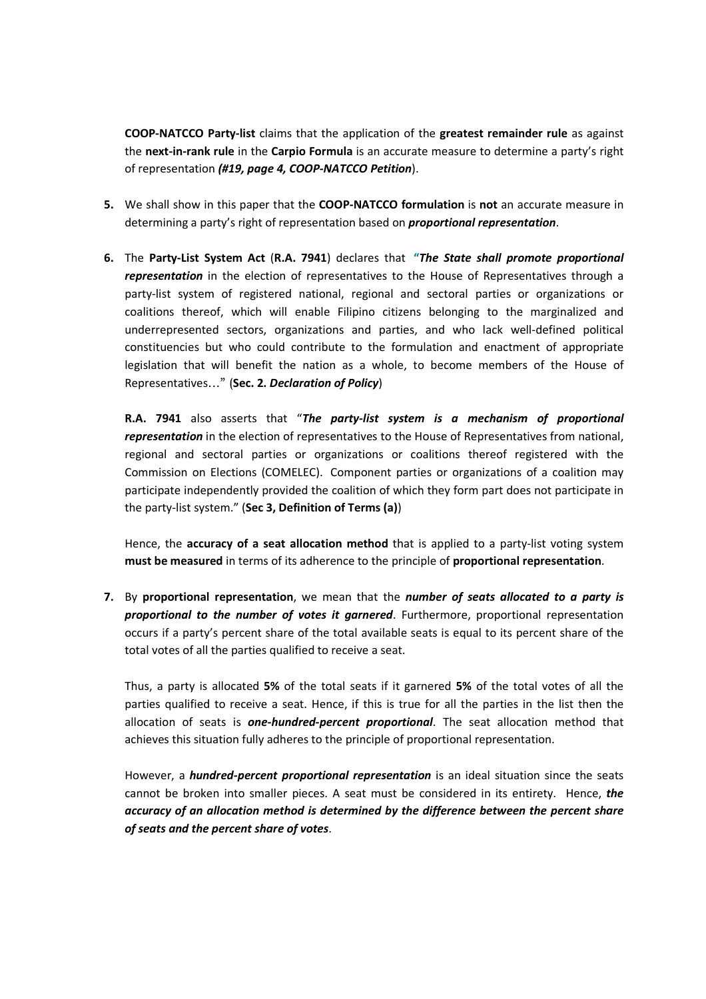**COOP-NATCCO Party-list** claims that the application of the **greatest remainder rule** as against the **next-in-rank rule** in the **Carpio Formula** is an accurate measure to determine a party's right of representation *(#19, page 4, COOP-NATCCO Petition*).

- **5.** We shall show in this paper that the **COOP-NATCCO formulation** is **not** an accurate measure in determining a party's right of representation based on *proportional representation*.
- **6.** The **Party-List System Act** (**R.A. 7941**) declares that **"***The State shall promote proportional representation* in the election of representatives to the House of Representatives through a party-list system of registered national, regional and sectoral parties or organizations or coalitions thereof, which will enable Filipino citizens belonging to the marginalized and underrepresented sectors, organizations and parties, and who lack well-defined political constituencies but who could contribute to the formulation and enactment of appropriate legislation that will benefit the nation as a whole, to become members of the House of Representatives..." (**Sec. 2.** *Declaration of Policy*)

**R.A. 7941** also asserts that "*The party-list system is a mechanism of proportional representation* in the election of representatives to the House of Representatives from national, regional and sectoral parties or organizations or coalitions thereof registered with the Commission on Elections (COMELEC). Component parties or organizations of a coalition may participate independently provided the coalition of which they form part does not participate in the party-list system." (**Sec 3, Definition of Terms (a)**)

Hence, the **accuracy of a seat allocation method** that is applied to a party-list voting system **must be measured** in terms of its adherence to the principle of **proportional representation**.

**7.** By **proportional representation**, we mean that the *number of seats allocated to a party is proportional to the number of votes it garnered*. Furthermore, proportional representation occurs if a party's percent share of the total available seats is equal to its percent share of the total votes of all the parties qualified to receive a seat.

Thus, a party is allocated **5%** of the total seats if it garnered **5%** of the total votes of all the parties qualified to receive a seat. Hence, if this is true for all the parties in the list then the allocation of seats is *one-hundred-percent proportional*. The seat allocation method that achieves this situation fully adheres to the principle of proportional representation.

However, a *hundred-percent proportional representation* is an ideal situation since the seats cannot be broken into smaller pieces. A seat must be considered in its entirety. Hence, *the accuracy of an allocation method is determined by the difference between the percent share of seats and the percent share of votes*.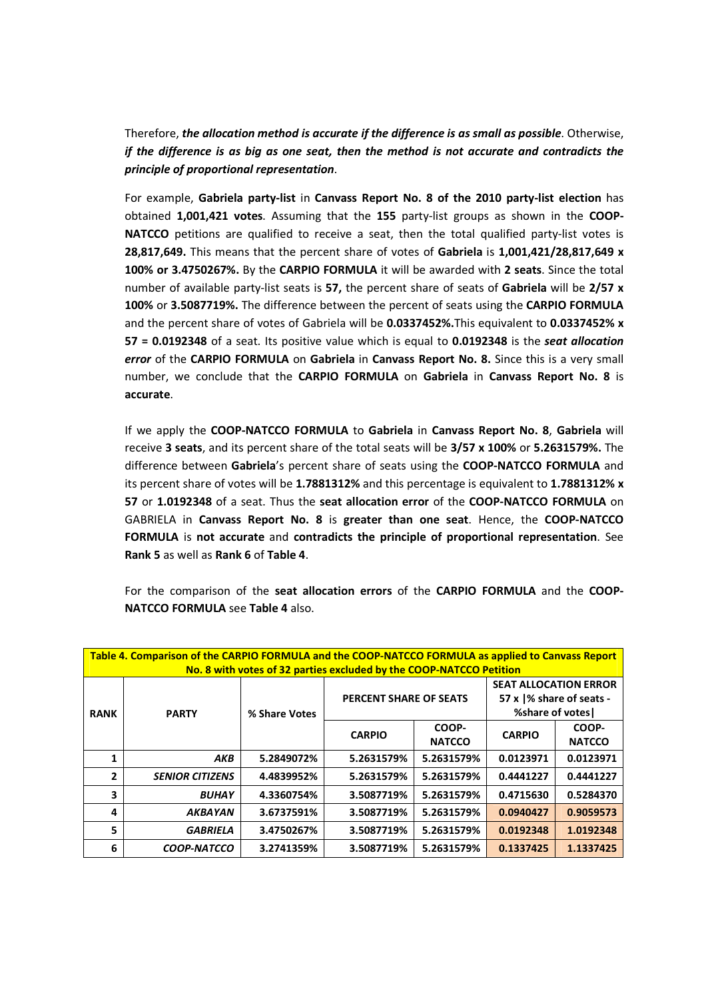Therefore, *the allocation method is accurate if the difference is as small as possible*. Otherwise, *if the difference is as big as one seat, then the method is not accurate and contradicts the principle of proportional representation*.

For example, **Gabriela party-list** in **Canvass Report No. 8 of the 2010 party-list election** has obtained **1,001,421 votes**. Assuming that the **155** party-list groups as shown in the **COOP-NATCCO** petitions are qualified to receive a seat, then the total qualified party-list votes is **28,817,649.** This means that the percent share of votes of **Gabriela** is **1,001,421/28,817,649 x 100% or 3.4750267%.** By the **CARPIO FORMULA** it will be awarded with **2 seats**. Since the total number of available party-list seats is **57,** the percent share of seats of **Gabriela** will be **2/57 x 100%** or **3.5087719%.** The difference between the percent of seats using the **CARPIO FORMULA** and the percent share of votes of Gabriela will be **0.0337452%.**This equivalent to **0.0337452% x 57 = 0.0192348** of a seat. Its positive value which is equal to **0.0192348** is the *seat allocation error* of the **CARPIO FORMULA** on **Gabriela** in **Canvass Report No. 8.** Since this is a very small number, we conclude that the **CARPIO FORMULA** on **Gabriela** in **Canvass Report No. 8** is **accurate**.

If we apply the **COOP-NATCCO FORMULA** to **Gabriela** in **Canvass Report No. 8**, **Gabriela** will receive **3 seats**, and its percent share of the total seats will be **3/57 x 100%** or **5.2631579%.** The difference between **Gabriela**'s percent share of seats using the **COOP-NATCCO FORMULA** and its percent share of votes will be **1.7881312%** and this percentage is equivalent to **1.7881312% x 57** or **1.0192348** of a seat. Thus the **seat allocation error** of the **COOP-NATCCO FORMULA** on GABRIELA in **Canvass Report No. 8** is **greater than one seat**. Hence, the **COOP-NATCCO FORMULA** is **not accurate** and **contradicts the principle of proportional representation**. See **Rank 5** as well as **Rank 6** of **Table 4**.

For the comparison of the **seat allocation errors** of the **CARPIO FORMULA** and the **COOP-NATCCO FORMULA** see **Table 4** also.

|                | Table 4. Comparison of the CARPIO FORMULA and the COOP-NATCCO FORMULA as applied to Canvass Report<br>No. 8 with votes of 32 parties excluded by the COOP-NATCCO Petition |               |                                                                                                                      |            |                                                          |           |  |  |  |  |  |  |
|----------------|---------------------------------------------------------------------------------------------------------------------------------------------------------------------------|---------------|----------------------------------------------------------------------------------------------------------------------|------------|----------------------------------------------------------|-----------|--|--|--|--|--|--|
| <b>RANK</b>    | <b>PARTY</b>                                                                                                                                                              | % Share Votes | PERCENT SHARE OF SEATS                                                                                               |            | <b>SEAT ALLOCATION ERROR</b><br>57 x  % share of seats - |           |  |  |  |  |  |  |
|                |                                                                                                                                                                           |               | %share of votes<br>COOP-<br><b>CARPIO</b><br><b>CARPIO</b><br><b>NATCCO</b><br>0.0123971<br>5.2631579%<br>5.2631579% |            | COOP-<br><b>NATCCO</b>                                   |           |  |  |  |  |  |  |
| 1              | AKB                                                                                                                                                                       | 5.2849072%    |                                                                                                                      |            |                                                          | 0.0123971 |  |  |  |  |  |  |
| $\overline{2}$ | <b>SENIOR CITIZENS</b>                                                                                                                                                    | 4.4839952%    | 5.2631579%                                                                                                           | 5.2631579% | 0.4441227                                                | 0.4441227 |  |  |  |  |  |  |
| 3              | <b>BUHAY</b>                                                                                                                                                              | 4.3360754%    | 3.5087719%                                                                                                           | 5.2631579% | 0.4715630                                                | 0.5284370 |  |  |  |  |  |  |
| 4              | <b>AKBAYAN</b>                                                                                                                                                            | 3.6737591%    | 3.5087719%                                                                                                           | 5.2631579% | 0.0940427                                                | 0.9059573 |  |  |  |  |  |  |
| 5              | <b>GABRIELA</b>                                                                                                                                                           | 3.4750267%    | 3.5087719%                                                                                                           | 5.2631579% | 0.0192348                                                | 1.0192348 |  |  |  |  |  |  |
| 6              | COOP-NATCCO                                                                                                                                                               | 3.2741359%    | 3.5087719%                                                                                                           | 5.2631579% | 0.1337425                                                | 1.1337425 |  |  |  |  |  |  |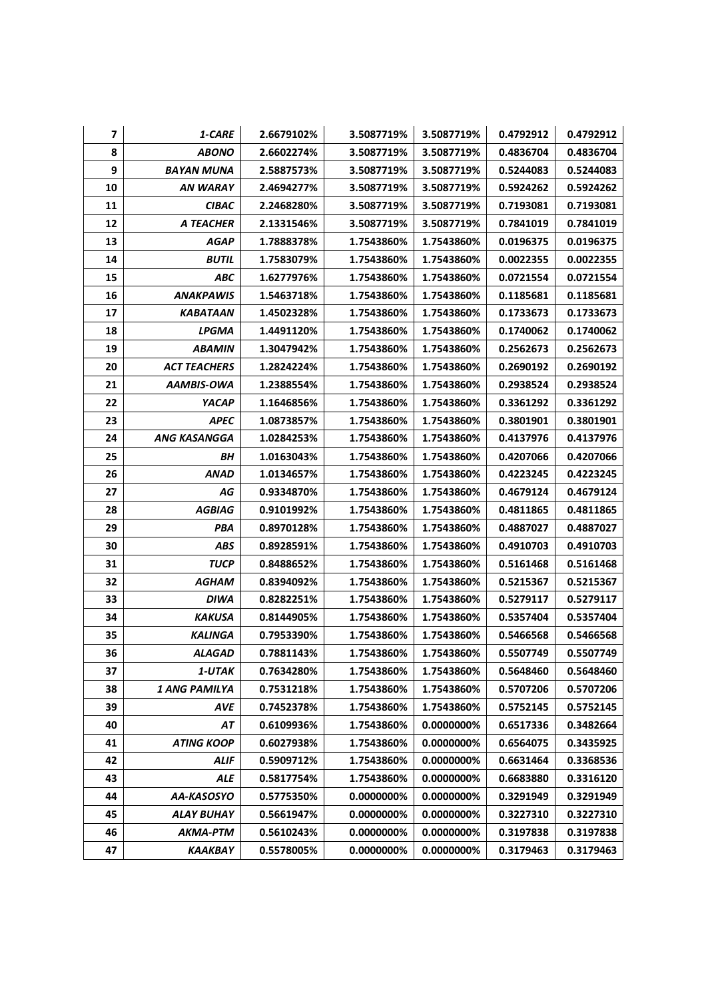| $\overline{\mathbf{z}}$ | 1-CARE              | 2.6679102% | 3.5087719% | 3.5087719% | 0.4792912 | 0.4792912 |
|-------------------------|---------------------|------------|------------|------------|-----------|-----------|
| 8                       | <b>ABONO</b>        | 2.6602274% | 3.5087719% | 3.5087719% | 0.4836704 | 0.4836704 |
| 9                       | <b>BAYAN MUNA</b>   | 2.5887573% | 3.5087719% | 3.5087719% | 0.5244083 | 0.5244083 |
| 10                      | AN WARAY            | 2.4694277% | 3.5087719% | 3.5087719% | 0.5924262 | 0.5924262 |
| 11                      | CIBAC               | 2.2468280% | 3.5087719% | 3.5087719% | 0.7193081 | 0.7193081 |
| 12                      | A TEACHER           | 2.1331546% | 3.5087719% | 3.5087719% | 0.7841019 | 0.7841019 |
| 13                      | <b>AGAP</b>         | 1.7888378% | 1.7543860% | 1.7543860% | 0.0196375 | 0.0196375 |
| 14                      | <b>BUTIL</b>        | 1.7583079% | 1.7543860% | 1.7543860% | 0.0022355 | 0.0022355 |
| 15                      | ABC                 | 1.6277976% | 1.7543860% | 1.7543860% | 0.0721554 | 0.0721554 |
| 16                      | <b>ANAKPAWIS</b>    | 1.5463718% | 1.7543860% | 1.7543860% | 0.1185681 | 0.1185681 |
| 17                      | <b>KABATAAN</b>     | 1.4502328% | 1.7543860% | 1.7543860% | 0.1733673 | 0.1733673 |
| 18                      | <b>LPGMA</b>        | 1.4491120% | 1.7543860% | 1.7543860% | 0.1740062 | 0.1740062 |
| 19                      | <b>ABAMIN</b>       | 1.3047942% | 1.7543860% | 1.7543860% | 0.2562673 | 0.2562673 |
| 20                      | <b>ACT TEACHERS</b> | 1.2824224% | 1.7543860% | 1.7543860% | 0.2690192 | 0.2690192 |
| 21                      | AAMBIS-OWA          | 1.2388554% | 1.7543860% | 1.7543860% | 0.2938524 | 0.2938524 |
| 22                      | YACAP               | 1.1646856% | 1.7543860% | 1.7543860% | 0.3361292 | 0.3361292 |
| 23                      | <b>APEC</b>         | 1.0873857% | 1.7543860% | 1.7543860% | 0.3801901 | 0.3801901 |
| 24                      | ANG KASANGGA        | 1.0284253% | 1.7543860% | 1.7543860% | 0.4137976 | 0.4137976 |
| 25                      | BΗ                  | 1.0163043% | 1.7543860% | 1.7543860% | 0.4207066 | 0.4207066 |
| 26                      | ANAD                | 1.0134657% | 1.7543860% | 1.7543860% | 0.4223245 | 0.4223245 |
| 27                      | ΑG                  | 0.9334870% | 1.7543860% | 1.7543860% | 0.4679124 | 0.4679124 |
| 28                      | <b>AGBIAG</b>       | 0.9101992% | 1.7543860% | 1.7543860% | 0.4811865 | 0.4811865 |
| 29                      | PBA                 | 0.8970128% | 1.7543860% | 1.7543860% | 0.4887027 | 0.4887027 |
| 30                      | ABS                 | 0.8928591% | 1.7543860% | 1.7543860% | 0.4910703 | 0.4910703 |
| 31                      | <b>TUCP</b>         | 0.8488652% | 1.7543860% | 1.7543860% | 0.5161468 | 0.5161468 |
| 32                      | <i><b>AGHAM</b></i> | 0.8394092% | 1.7543860% | 1.7543860% | 0.5215367 | 0.5215367 |
| 33                      | <b>DIWA</b>         | 0.8282251% | 1.7543860% | 1.7543860% | 0.5279117 | 0.5279117 |
| 34                      | <b>KAKUSA</b>       | 0.8144905% | 1.7543860% | 1.7543860% | 0.5357404 | 0.5357404 |
| 35                      | <b>KALINGA</b>      | 0.7953390% | 1.7543860% | 1.7543860% | 0.5466568 | 0.5466568 |
| 36                      | ALAGAD              | 0.7881143% | 1.7543860% | 1.7543860% | 0.5507749 | 0.5507749 |
| 37                      | 1-UTAK              | 0.7634280% | 1.7543860% | 1.7543860% | 0.5648460 | 0.5648460 |
| 38                      | 1 ANG PAMILYA       | 0.7531218% | 1.7543860% | 1.7543860% | 0.5707206 | 0.5707206 |
| 39                      | AVE                 | 0.7452378% | 1.7543860% | 1.7543860% | 0.5752145 | 0.5752145 |
| 40                      | AT                  | 0.6109936% | 1.7543860% | 0.0000000% | 0.6517336 | 0.3482664 |
| 41                      | <b>ATING KOOP</b>   | 0.6027938% | 1.7543860% | 0.0000000% | 0.6564075 | 0.3435925 |
| 42                      | ALIF                | 0.5909712% | 1.7543860% | 0.0000000% | 0.6631464 | 0.3368536 |
| 43                      | ALE                 | 0.5817754% | 1.7543860% | 0.0000000% | 0.6683880 | 0.3316120 |
| 44                      | AA-KASOSYO          | 0.5775350% | 0.0000000% | 0.0000000% | 0.3291949 | 0.3291949 |
| 45                      | ALAY BUHAY          | 0.5661947% | 0.0000000% | 0.0000000% | 0.3227310 | 0.3227310 |
| 46                      | AKMA-PTM            | 0.5610243% | 0.0000000% | 0.0000000% | 0.3197838 | 0.3197838 |
| 47                      | <b>KAAKBAY</b>      | 0.5578005% | 0.0000000% | 0.0000000% | 0.3179463 | 0.3179463 |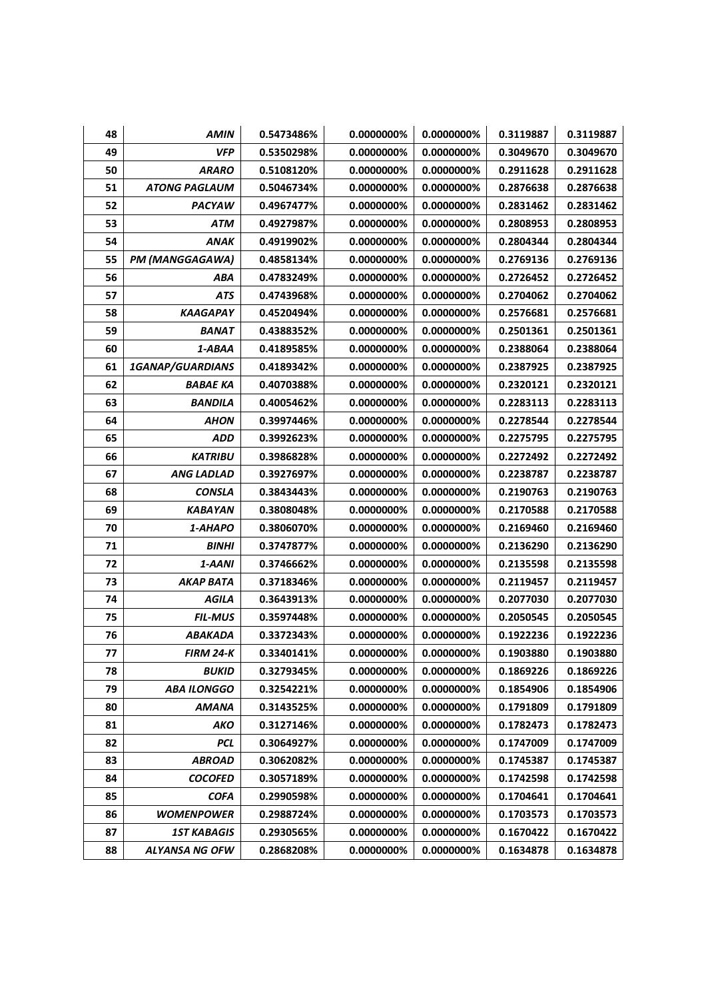| 48 | <b>AMIN</b>             | 0.5473486% | 0.0000000% | 0.0000000% | 0.3119887 | 0.3119887 |
|----|-------------------------|------------|------------|------------|-----------|-----------|
| 49 | <b>VFP</b>              | 0.5350298% | 0.0000000% | 0.0000000% | 0.3049670 | 0.3049670 |
| 50 | <b>ARARO</b>            | 0.5108120% | 0.0000000% | 0.0000000% | 0.2911628 | 0.2911628 |
| 51 | <b>ATONG PAGLAUM</b>    | 0.5046734% | 0.0000000% | 0.0000000% | 0.2876638 | 0.2876638 |
| 52 | <b>PACYAW</b>           | 0.4967477% | 0.0000000% | 0.0000000% | 0.2831462 | 0.2831462 |
| 53 | ATM                     | 0.4927987% | 0.0000000% | 0.0000000% | 0.2808953 | 0.2808953 |
| 54 | ANAK                    | 0.4919902% | 0.0000000% | 0.0000000% | 0.2804344 | 0.2804344 |
| 55 | PM (MANGGAGAWA)         | 0.4858134% | 0.0000000% | 0.0000000% | 0.2769136 | 0.2769136 |
| 56 | <b>ABA</b>              | 0.4783249% | 0.0000000% | 0.0000000% | 0.2726452 | 0.2726452 |
| 57 | <b>ATS</b>              | 0.4743968% | 0.0000000% | 0.0000000% | 0.2704062 | 0.2704062 |
| 58 | <b>KAAGAPAY</b>         | 0.4520494% | 0.0000000% | 0.0000000% | 0.2576681 | 0.2576681 |
| 59 | <b>BANAT</b>            | 0.4388352% | 0.0000000% | 0.0000000% | 0.2501361 | 0.2501361 |
| 60 | 1-ABAA                  | 0.4189585% | 0.0000000% | 0.0000000% | 0.2388064 | 0.2388064 |
| 61 | <b>1GANAP/GUARDIANS</b> | 0.4189342% | 0.0000000% | 0.0000000% | 0.2387925 | 0.2387925 |
| 62 | BABAE KA                | 0.4070388% | 0.0000000% | 0.0000000% | 0.2320121 | 0.2320121 |
| 63 | BANDILA                 | 0.4005462% | 0.0000000% | 0.0000000% | 0.2283113 | 0.2283113 |
| 64 | <b>AHON</b>             | 0.3997446% | 0.0000000% | 0.0000000% | 0.2278544 | 0.2278544 |
| 65 | ADD                     | 0.3992623% | 0.0000000% | 0.0000000% | 0.2275795 | 0.2275795 |
| 66 | <b>KATRIBU</b>          | 0.3986828% | 0.0000000% | 0.0000000% | 0.2272492 | 0.2272492 |
| 67 | <b>ANG LADLAD</b>       | 0.3927697% | 0.0000000% | 0.0000000% | 0.2238787 | 0.2238787 |
| 68 | <b>CONSLA</b>           | 0.3843443% | 0.0000000% | 0.0000000% | 0.2190763 | 0.2190763 |
| 69 | KABAYAN                 | 0.3808048% | 0.0000000% | 0.0000000% | 0.2170588 | 0.2170588 |
| 70 | 1-AHAPO                 | 0.3806070% | 0.0000000% | 0.0000000% | 0.2169460 | 0.2169460 |
| 71 | BINHI                   | 0.3747877% | 0.0000000% | 0.0000000% | 0.2136290 | 0.2136290 |
| 72 | 1-AANI                  | 0.3746662% | 0.0000000% | 0.0000000% | 0.2135598 | 0.2135598 |
| 73 | <b>AKAP BATA</b>        | 0.3718346% | 0.0000000% | 0.0000000% | 0.2119457 | 0.2119457 |
| 74 | AGILA                   | 0.3643913% | 0.0000000% | 0.0000000% | 0.2077030 | 0.2077030 |
| 75 | <b>FIL-MUS</b>          | 0.3597448% | 0.0000000% | 0.0000000% | 0.2050545 | 0.2050545 |
| 76 | ABAKADA                 | 0.3372343% | 0.0000000% | 0.0000000% | 0.1922236 | 0.1922236 |
| 77 | FIRM 24-K               | 0.3340141% | 0.0000000% | 0.0000000% | 0.1903880 | 0.1903880 |
| 78 | <b>BUKID</b>            | 0.3279345% | 0.0000000% | 0.0000000% | 0.1869226 | 0.1869226 |
| 79 | <b>ABA ILONGGO</b>      | 0.3254221% | 0.0000000% | 0.0000000% | 0.1854906 | 0.1854906 |
| 80 | AMANA                   | 0.3143525% | 0.0000000% | 0.0000000% | 0.1791809 | 0.1791809 |
| 81 | AKO                     | 0.3127146% | 0.0000000% | 0.0000000% | 0.1782473 | 0.1782473 |
| 82 | <b>PCL</b>              | 0.3064927% | 0.0000000% | 0.0000000% | 0.1747009 | 0.1747009 |
| 83 | <b>ABROAD</b>           | 0.3062082% | 0.0000000% | 0.0000000% | 0.1745387 | 0.1745387 |
| 84 | <b>COCOFED</b>          | 0.3057189% | 0.0000000% | 0.0000000% | 0.1742598 | 0.1742598 |
| 85 | <b>COFA</b>             | 0.2990598% | 0.0000000% | 0.0000000% | 0.1704641 | 0.1704641 |
| 86 | <b>WOMENPOWER</b>       | 0.2988724% | 0.0000000% | 0.0000000% | 0.1703573 | 0.1703573 |
| 87 | 1ST KABAGIS             | 0.2930565% | 0.0000000% | 0.0000000% | 0.1670422 | 0.1670422 |
| 88 | <b>ALYANSA NG OFW</b>   | 0.2868208% | 0.0000000% | 0.0000000% | 0.1634878 | 0.1634878 |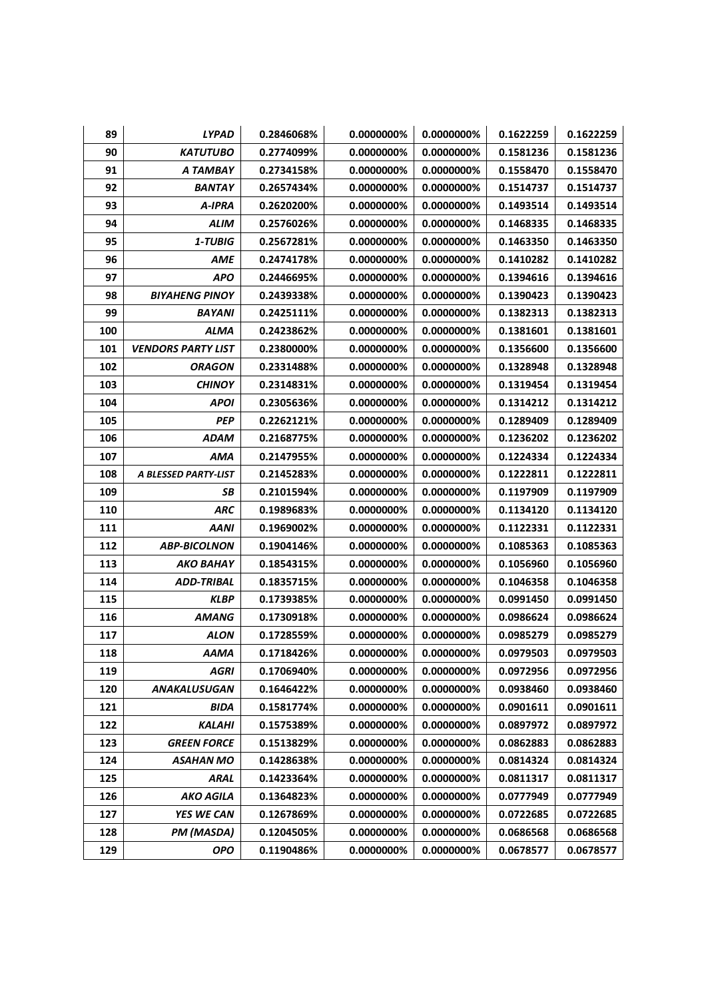| 89  | <b>LYPAD</b>              | 0.2846068% | 0.0000000% | 0.0000000% | 0.1622259 | 0.1622259 |
|-----|---------------------------|------------|------------|------------|-----------|-----------|
| 90  | <b>KATUTUBO</b>           | 0.2774099% | 0.0000000% | 0.0000000% | 0.1581236 | 0.1581236 |
| 91  | <b>A TAMBAY</b>           | 0.2734158% | 0.0000000% | 0.0000000% | 0.1558470 | 0.1558470 |
| 92  | BANTAY                    | 0.2657434% | 0.0000000% | 0.0000000% | 0.1514737 | 0.1514737 |
| 93  | A-IPRA                    | 0.2620200% | 0.0000000% | 0.0000000% | 0.1493514 | 0.1493514 |
| 94  | <b>ALIM</b>               | 0.2576026% | 0.0000000% | 0.0000000% | 0.1468335 | 0.1468335 |
| 95  | 1-TUBIG                   | 0.2567281% | 0.0000000% | 0.0000000% | 0.1463350 | 0.1463350 |
| 96  | AME                       | 0.2474178% | 0.0000000% | 0.0000000% | 0.1410282 | 0.1410282 |
| 97  | <b>APO</b>                | 0.2446695% | 0.0000000% | 0.0000000% | 0.1394616 | 0.1394616 |
| 98  | <b>BIYAHENG PINOY</b>     | 0.2439338% | 0.0000000% | 0.0000000% | 0.1390423 | 0.1390423 |
| 99  | BAYANI                    | 0.2425111% | 0.0000000% | 0.0000000% | 0.1382313 | 0.1382313 |
| 100 | ALMA                      | 0.2423862% | 0.0000000% | 0.0000000% | 0.1381601 | 0.1381601 |
| 101 | <b>VENDORS PARTY LIST</b> | 0.2380000% | 0.0000000% | 0.0000000% | 0.1356600 | 0.1356600 |
| 102 | <b>ORAGON</b>             | 0.2331488% | 0.0000000% | 0.0000000% | 0.1328948 | 0.1328948 |
| 103 | <b>CHINOY</b>             | 0.2314831% | 0.0000000% | 0.0000000% | 0.1319454 | 0.1319454 |
| 104 | <b>APOI</b>               | 0.2305636% | 0.0000000% | 0.0000000% | 0.1314212 | 0.1314212 |
| 105 | <b>PEP</b>                | 0.2262121% | 0.0000000% | 0.0000000% | 0.1289409 | 0.1289409 |
| 106 | ADAM                      | 0.2168775% | 0.0000000% | 0.0000000% | 0.1236202 | 0.1236202 |
| 107 | AMA                       | 0.2147955% | 0.0000000% | 0.0000000% | 0.1224334 | 0.1224334 |
| 108 | A BLESSED PARTY-LIST      | 0.2145283% | 0.0000000% | 0.0000000% | 0.1222811 | 0.1222811 |
| 109 | SB                        | 0.2101594% | 0.0000000% | 0.0000000% | 0.1197909 | 0.1197909 |
| 110 | <b>ARC</b>                | 0.1989683% | 0.0000000% | 0.0000000% | 0.1134120 | 0.1134120 |
| 111 | AANI                      | 0.1969002% | 0.0000000% | 0.0000000% | 0.1122331 | 0.1122331 |
| 112 | <b>ABP-BICOLNON</b>       | 0.1904146% | 0.0000000% | 0.0000000% | 0.1085363 | 0.1085363 |
| 113 | AKO BAHAY                 | 0.1854315% | 0.0000000% | 0.0000000% | 0.1056960 | 0.1056960 |
| 114 | <b>ADD-TRIBAL</b>         | 0.1835715% | 0.0000000% | 0.0000000% | 0.1046358 | 0.1046358 |
| 115 | <b>KLBP</b>               | 0.1739385% | 0.0000000% | 0.0000000% | 0.0991450 | 0.0991450 |
| 116 | <b>AMANG</b>              | 0.1730918% | 0.0000000% | 0.0000000% | 0.0986624 | 0.0986624 |
| 117 | ALON                      | 0.1728559% | 0.0000000% | 0.0000000% | 0.0985279 | 0.0985279 |
| 118 | AAMA                      | 0.1718426% | 0.0000000% | 0.0000000% | 0.0979503 | 0.0979503 |
| 119 | AGRI                      | 0.1706940% | 0.0000000% | 0.0000000% | 0.0972956 | 0.0972956 |
| 120 | ANAKALUSUGAN              | 0.1646422% | 0.0000000% | 0.0000000% | 0.0938460 | 0.0938460 |
| 121 | BIDA                      | 0.1581774% | 0.0000000% | 0.0000000% | 0.0901611 | 0.0901611 |
| 122 | KALAHI                    | 0.1575389% | 0.0000000% | 0.0000000% | 0.0897972 | 0.0897972 |
| 123 | <b>GREEN FORCE</b>        | 0.1513829% | 0.0000000% | 0.0000000% | 0.0862883 | 0.0862883 |
| 124 | ASAHAN MO                 | 0.1428638% | 0.0000000% | 0.0000000% | 0.0814324 | 0.0814324 |
| 125 | ARAL                      | 0.1423364% | 0.0000000% | 0.0000000% | 0.0811317 | 0.0811317 |
| 126 | <b>AKO AGILA</b>          | 0.1364823% | 0.0000000% | 0.0000000% | 0.0777949 | 0.0777949 |
| 127 | YES WE CAN                | 0.1267869% | 0.0000000% | 0.0000000% | 0.0722685 | 0.0722685 |
| 128 | PM (MASDA)                | 0.1204505% | 0.0000000% | 0.0000000% | 0.0686568 | 0.0686568 |
| 129 | <b>OPO</b>                | 0.1190486% | 0.0000000% | 0.0000000% | 0.0678577 | 0.0678577 |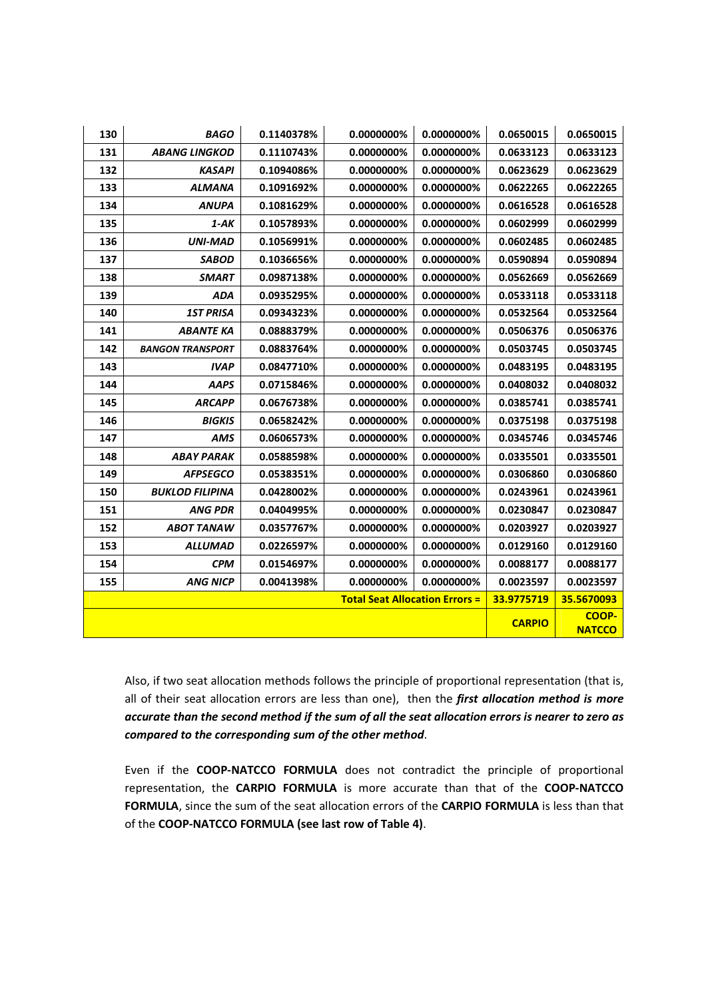| 130 | <b>BAGO</b>             | 0.1140378% | 0.0000000%                            | 0.0000000% | 0.0650015     | 0.0650015                     |
|-----|-------------------------|------------|---------------------------------------|------------|---------------|-------------------------------|
| 131 | <b>ABANG LINGKOD</b>    | 0.1110743% | 0.0000000%                            | 0.0000000% | 0.0633123     | 0.0633123                     |
| 132 | <b>KASAPI</b>           | 0.1094086% | 0.0000000%                            | 0.0000000% | 0.0623629     | 0.0623629                     |
| 133 | <b>ALMANA</b>           | 0.1091692% | 0.0000000%                            | 0.0000000% | 0.0622265     | 0.0622265                     |
| 134 | <b>ANUPA</b>            | 0.1081629% | 0.0000000%                            | 0.0000000% | 0.0616528     | 0.0616528                     |
| 135 | 1-AK                    | 0.1057893% | 0.0000000%                            | 0.0000000% | 0.0602999     | 0.0602999                     |
| 136 | <b>UNI-MAD</b>          | 0.1056991% | 0.0000000%                            | 0.0000000% | 0.0602485     | 0.0602485                     |
| 137 | <b>SABOD</b>            | 0.1036656% | 0.0000000%                            | 0.0000000% | 0.0590894     | 0.0590894                     |
| 138 | <b>SMART</b>            | 0.0987138% | 0.0000000%                            | 0.0000000% | 0.0562669     | 0.0562669                     |
| 139 | <b>ADA</b>              | 0.0935295% | 0.0000000%                            | 0.0000000% | 0.0533118     | 0.0533118                     |
| 140 | <b>1ST PRISA</b>        | 0.0934323% | 0.0000000%                            | 0.0000000% | 0.0532564     | 0.0532564                     |
| 141 | <b>ABANTE KA</b>        | 0.0888379% | 0.0000000%                            | 0.0000000% | 0.0506376     | 0.0506376                     |
| 142 | <b>BANGON TRANSPORT</b> | 0.0883764% | 0.0000000%                            | 0.0000000% | 0.0503745     | 0.0503745                     |
| 143 | <b>IVAP</b>             | 0.0847710% | 0.0000000%                            | 0.0000000% | 0.0483195     | 0.0483195                     |
| 144 | <b>AAPS</b>             | 0.0715846% | 0.0000000%                            | 0.0000000% | 0.0408032     | 0.0408032                     |
| 145 | <b>ARCAPP</b>           | 0.0676738% | 0.0000000%                            | 0.0000000% | 0.0385741     | 0.0385741                     |
| 146 | <b>BIGKIS</b>           | 0.0658242% | 0.0000000%                            | 0.0000000% | 0.0375198     | 0.0375198                     |
| 147 | AMS                     | 0.0606573% | 0.0000000%                            | 0.0000000% | 0.0345746     | 0.0345746                     |
| 148 | <b>ABAY PARAK</b>       | 0.0588598% | 0.0000000%                            | 0.0000000% | 0.0335501     | 0.0335501                     |
| 149 | <b>AFPSEGCO</b>         | 0.0538351% | 0.0000000%                            | 0.0000000% | 0.0306860     | 0.0306860                     |
| 150 | <b>BUKLOD FILIPINA</b>  | 0.0428002% | 0.0000000%                            | 0.0000000% | 0.0243961     | 0.0243961                     |
| 151 | <b>ANG PDR</b>          | 0.0404995% | 0.0000000%                            | 0.0000000% | 0.0230847     | 0.0230847                     |
| 152 | <b>ABOT TANAW</b>       | 0.0357767% | 0.0000000%                            | 0.0000000% | 0.0203927     | 0.0203927                     |
| 153 | <b>ALLUMAD</b>          | 0.0226597% | 0.0000000%                            | 0.0000000% | 0.0129160     | 0.0129160                     |
| 154 | <b>CPM</b>              | 0.0154697% | 0.0000000%                            | 0.0000000% | 0.0088177     | 0.0088177                     |
| 155 | <b>ANG NICP</b>         | 0.0041398% | 0.0000000%                            | 0.0000000% | 0.0023597     | 0.0023597                     |
|     |                         |            | <b>Total Seat Allocation Errors =</b> |            | 33.9775719    | 35.5670093                    |
|     |                         |            |                                       |            | <b>CARPIO</b> | <b>COOP-</b><br><b>NATCCO</b> |

Also, if two seat allocation methods follows the principle of proportional representation (that is, all of their seat allocation errors are less than one), then the *first allocation method is more accurate than the second method if the sum of all the seat allocation errors is nearer to zero as compared to the corresponding sum of the other method*.

Even if the **COOP-NATCCO FORMULA** does not contradict the principle of proportional representation, the **CARPIO FORMULA** is more accurate than that of the **COOP-NATCCO FORMULA**, since the sum of the seat allocation errors of the **CARPIO FORMULA** is less than that of the **COOP-NATCCO FORMULA (see last row of Table 4)**.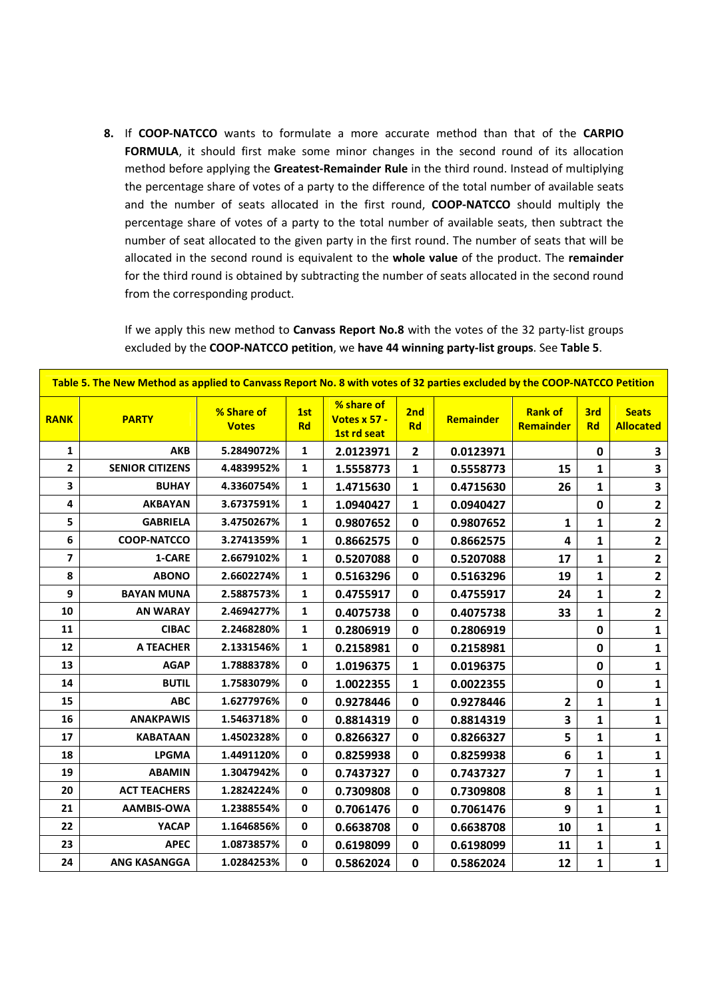**8.** If **COOP-NATCCO** wants to formulate a more accurate method than that of the **CARPIO FORMULA**, it should first make some minor changes in the second round of its allocation method before applying the **Greatest-Remainder Rule** in the third round. Instead of multiplying the percentage share of votes of a party to the difference of the total number of available seats and the number of seats allocated in the first round, **COOP-NATCCO** should multiply the percentage share of votes of a party to the total number of available seats, then subtract the number of seat allocated to the given party in the first round. The number of seats that will be allocated in the second round is equivalent to the **whole value** of the product. The **remainder** for the third round is obtained by subtracting the number of seats allocated in the second round from the corresponding product.

If we apply this new method to **Canvass Report No.8** with the votes of the 32 party-list groups excluded by the **COOP-NATCCO petition**, we **have 44 winning party-list groups**. See **Table 5**.

| Table 5. The New Method as applied to Canvass Report No. 8 with votes of 32 parties excluded by the COOP-NATCCO Petition |                        |                            |                  |                                           |              |                  |                             |                  |                                  |  |
|--------------------------------------------------------------------------------------------------------------------------|------------------------|----------------------------|------------------|-------------------------------------------|--------------|------------------|-----------------------------|------------------|----------------------------------|--|
| <b>RANK</b>                                                                                                              | <b>PARTY</b>           | % Share of<br><b>Votes</b> | 1st<br><b>Rd</b> | % share of<br>Votes x 57 -<br>1st rd seat | 2nd<br>Rd    | <b>Remainder</b> | <b>Rank of</b><br>Remainder | 3rd<br><b>Rd</b> | <b>Seats</b><br><b>Allocated</b> |  |
| $\mathbf{1}$                                                                                                             | <b>AKB</b>             | 5.2849072%                 | $\mathbf{1}$     | 2.0123971                                 | $\mathbf{2}$ | 0.0123971        |                             | 0                | 3                                |  |
| $\mathbf{2}$                                                                                                             | <b>SENIOR CITIZENS</b> | 4.4839952%                 | $\mathbf{1}$     | 1.5558773                                 | $\mathbf{1}$ | 0.5558773        | 15                          | 1                | 3                                |  |
| 3                                                                                                                        | <b>BUHAY</b>           | 4.3360754%                 | $\mathbf{1}$     | 1.4715630                                 | 1            | 0.4715630        | 26                          | 1                | 3                                |  |
| 4                                                                                                                        | <b>AKBAYAN</b>         | 3.6737591%                 | 1                | 1.0940427                                 | 1            | 0.0940427        |                             | 0                | $\overline{2}$                   |  |
| 5                                                                                                                        | <b>GABRIELA</b>        | 3.4750267%                 | $\mathbf{1}$     | 0.9807652                                 | $\mathbf{0}$ | 0.9807652        | $\mathbf{1}$                | 1                | $\mathbf{2}$                     |  |
| 6                                                                                                                        | <b>COOP-NATCCO</b>     | 3.2741359%                 | $\mathbf{1}$     | 0.8662575                                 | 0            | 0.8662575        | 4                           | 1                | $\mathbf{2}$                     |  |
| 7                                                                                                                        | 1-CARE                 | 2.6679102%                 | 1                | 0.5207088                                 | 0            | 0.5207088        | 17                          | 1                | $\mathbf{2}$                     |  |
| 8                                                                                                                        | <b>ABONO</b>           | 2.6602274%                 | 1                | 0.5163296                                 | 0            | 0.5163296        | 19                          | 1                | $\mathbf{2}$                     |  |
| 9                                                                                                                        | <b>BAYAN MUNA</b>      | 2.5887573%                 | 1                | 0.4755917                                 | 0            | 0.4755917        | 24                          | 1                | $\mathbf{2}$                     |  |
| 10                                                                                                                       | <b>AN WARAY</b>        | 2.4694277%                 | $\mathbf{1}$     | 0.4075738                                 | 0            | 0.4075738        | 33                          | 1                | $\mathbf{2}$                     |  |
| 11                                                                                                                       | <b>CIBAC</b>           | 2.2468280%                 | $\mathbf{1}$     | 0.2806919                                 | 0            | 0.2806919        |                             | 0                | $\mathbf{1}$                     |  |
| 12                                                                                                                       | A TEACHER              | 2.1331546%                 | $\mathbf{1}$     | 0.2158981                                 | $\pmb{0}$    | 0.2158981        |                             | 0                | $\mathbf{1}$                     |  |
| 13                                                                                                                       | <b>AGAP</b>            | 1.7888378%                 | $\mathbf 0$      | 1.0196375                                 | 1            | 0.0196375        |                             | 0                | $\mathbf{1}$                     |  |
| 14                                                                                                                       | <b>BUTIL</b>           | 1.7583079%                 | 0                | 1.0022355                                 | 1            | 0.0022355        |                             | 0                | 1                                |  |
| 15                                                                                                                       | <b>ABC</b>             | 1.6277976%                 | 0                | 0.9278446                                 | $\mathbf{0}$ | 0.9278446        | 2                           | 1                | $\mathbf{1}$                     |  |
| 16                                                                                                                       | <b>ANAKPAWIS</b>       | 1.5463718%                 | 0                | 0.8814319                                 | $\mathbf{0}$ | 0.8814319        | 3                           | 1                | $\mathbf 1$                      |  |
| 17                                                                                                                       | <b>KABATAAN</b>        | 1.4502328%                 | 0                | 0.8266327                                 | 0            | 0.8266327        | 5                           | 1                | $\mathbf{1}$                     |  |
| 18                                                                                                                       | <b>LPGMA</b>           | 1.4491120%                 | 0                | 0.8259938                                 | $\mathbf 0$  | 0.8259938        | 6                           | 1                | $\mathbf{1}$                     |  |
| 19                                                                                                                       | <b>ABAMIN</b>          | 1.3047942%                 | $\mathbf 0$      | 0.7437327                                 | $\mathbf 0$  | 0.7437327        | 7                           | 1                | $\mathbf 1$                      |  |
| 20                                                                                                                       | <b>ACT TEACHERS</b>    | 1.2824224%                 | $\mathbf 0$      | 0.7309808                                 | 0            | 0.7309808        | 8                           | 1                | $\mathbf 1$                      |  |
| 21                                                                                                                       | <b>AAMBIS-OWA</b>      | 1.2388554%                 | 0                | 0.7061476                                 | 0            | 0.7061476        | 9                           | 1                | 1                                |  |
| 22                                                                                                                       | <b>YACAP</b>           | 1.1646856%                 | $\pmb{0}$        | 0.6638708                                 | $\mathbf 0$  | 0.6638708        | 10                          | 1                | $\mathbf{1}$                     |  |
| 23                                                                                                                       | <b>APEC</b>            | 1.0873857%                 | $\pmb{0}$        | 0.6198099                                 | $\mathbf 0$  | 0.6198099        | 11                          | 1                | $\mathbf{1}$                     |  |
| 24                                                                                                                       | <b>ANG KASANGGA</b>    | 1.0284253%                 | 0                | 0.5862024                                 | $\mathbf{0}$ | 0.5862024        | 12                          | $\mathbf{1}$     | $\mathbf{1}$                     |  |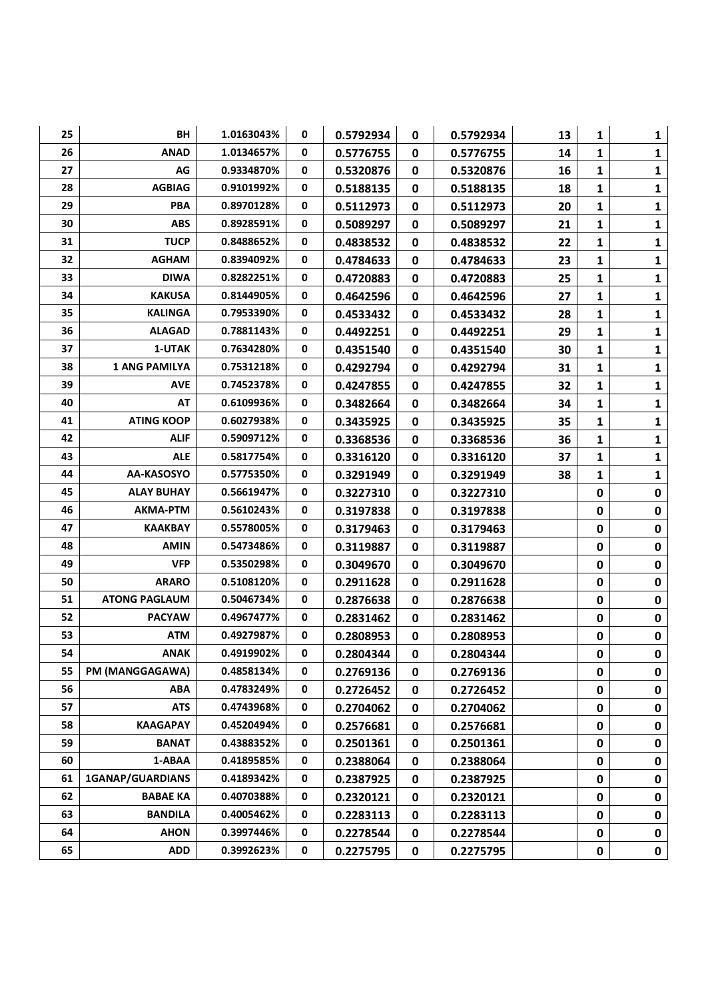| 25 | BH                   | 1.0163043% | 0            | 0.5792934 | 0           | 0.5792934 | 13 | 1            | 1            |
|----|----------------------|------------|--------------|-----------|-------------|-----------|----|--------------|--------------|
| 26 | <b>ANAD</b>          | 1.0134657% | 0            | 0.5776755 | $\mathbf 0$ | 0.5776755 | 14 | 1            | 1            |
| 27 | AG                   | 0.9334870% | 0            | 0.5320876 | 0           | 0.5320876 | 16 | 1            | 1            |
| 28 | <b>AGBIAG</b>        | 0.9101992% | 0            | 0.5188135 | $\mathbf 0$ | 0.5188135 | 18 | 1            | 1            |
| 29 | <b>PBA</b>           | 0.8970128% | 0            | 0.5112973 | $\mathbf 0$ | 0.5112973 | 20 | 1            | 1            |
| 30 | <b>ABS</b>           | 0.8928591% | 0            | 0.5089297 | $\mathbf 0$ | 0.5089297 | 21 | 1            | 1            |
| 31 | <b>TUCP</b>          | 0.8488652% | 0            | 0.4838532 | $\mathbf 0$ | 0.4838532 | 22 | 1            | 1            |
| 32 | <b>AGHAM</b>         | 0.8394092% | 0            | 0.4784633 | $\mathbf 0$ | 0.4784633 | 23 | $\mathbf{1}$ | 1            |
| 33 | <b>DIWA</b>          | 0.8282251% | 0            | 0.4720883 | 0           | 0.4720883 | 25 | 1            | 1            |
| 34 | <b>KAKUSA</b>        | 0.8144905% | 0            | 0.4642596 | $\mathbf 0$ | 0.4642596 | 27 | 1            | 1            |
| 35 | <b>KALINGA</b>       | 0.7953390% | 0            | 0.4533432 | 0           | 0.4533432 | 28 | $\mathbf{1}$ | 1            |
| 36 | <b>ALAGAD</b>        | 0.7881143% | 0            | 0.4492251 | $\mathbf 0$ | 0.4492251 | 29 | $\mathbf{1}$ | $\mathbf{1}$ |
| 37 | 1-UTAK               | 0.7634280% | 0            | 0.4351540 | 0           | 0.4351540 | 30 | $\mathbf{1}$ | $\mathbf{1}$ |
| 38 | <b>1 ANG PAMILYA</b> | 0.7531218% | $\mathbf{0}$ | 0.4292794 | 0           | 0.4292794 | 31 | $\mathbf{1}$ | 1            |
| 39 | <b>AVE</b>           | 0.7452378% | 0            | 0.4247855 | $\mathbf 0$ | 0.4247855 | 32 | 1            | 1            |
| 40 | <b>AT</b>            | 0.6109936% | 0            | 0.3482664 | $\mathbf 0$ | 0.3482664 | 34 | 1            | 1            |
| 41 | <b>ATING KOOP</b>    | 0.6027938% | 0            | 0.3435925 | 0           | 0.3435925 | 35 | 1            | 1            |
| 42 | <b>ALIF</b>          | 0.5909712% | $\mathbf{0}$ | 0.3368536 | $\mathbf 0$ | 0.3368536 | 36 | 1            | 1            |
| 43 | <b>ALE</b>           | 0.5817754% | 0            | 0.3316120 | 0           | 0.3316120 | 37 | 1            | 1            |
| 44 | AA-KASOSYO           | 0.5775350% | 0            | 0.3291949 | $\mathbf 0$ | 0.3291949 | 38 | 1            | 1            |
| 45 | <b>ALAY BUHAY</b>    | 0.5661947% | 0            | 0.3227310 | 0           | 0.3227310 |    | 0            | $\pmb{0}$    |
| 46 | AKMA-PTM             | 0.5610243% | $\mathbf 0$  | 0.3197838 | $\mathbf 0$ | 0.3197838 |    | $\pmb{0}$    | $\pmb{0}$    |
| 47 | <b>KAAKBAY</b>       | 0.5578005% | 0            | 0.3179463 | $\mathbf 0$ | 0.3179463 |    | $\pmb{0}$    | $\pmb{0}$    |
| 48 | <b>AMIN</b>          | 0.5473486% | 0            | 0.3119887 | $\mathbf 0$ | 0.3119887 |    | $\pmb{0}$    | $\pmb{0}$    |
| 49 | <b>VFP</b>           | 0.5350298% | 0            | 0.3049670 | $\mathbf 0$ | 0.3049670 |    | 0            | $\pmb{0}$    |
| 50 | <b>ARARO</b>         | 0.5108120% | 0            | 0.2911628 | $\mathbf 0$ | 0.2911628 |    | $\mathbf 0$  | $\pmb{0}$    |
| 51 | <b>ATONG PAGLAUM</b> | 0.5046734% | 0            | 0.2876638 | 0           | 0.2876638 |    | $\pmb{0}$    | $\pmb{0}$    |
| 52 | <b>PACYAW</b>        | 0.4967477% | 0            | 0.2831462 | 0           | 0.2831462 |    | $\mathbf 0$  | $\pmb{0}$    |
| 53 | <b>ATM</b>           | 0.4927987% | 0            | 0.2808953 | 0           | 0.2808953 |    | $\mathbf 0$  | $\pmb{0}$    |
| 54 | <b>ANAK</b>          | 0.4919902% | $\mathbf{0}$ | 0.2804344 | 0           | 0.2804344 |    | 0            | $\mathbf 0$  |
| 55 | PM (MANGGAGAWA)      | 0.4858134% | 0            | 0.2769136 | $\mathbf 0$ | 0.2769136 |    | $\mathbf 0$  | $\pmb{0}$    |
| 56 | ABA                  | 0.4783249% | 0            | 0.2726452 | 0           | 0.2726452 |    | 0            | 0            |
| 57 | <b>ATS</b>           | 0.4743968% | 0            | 0.2704062 | 0           | 0.2704062 |    | $\mathbf 0$  | $\pmb{0}$    |
| 58 | <b>KAAGAPAY</b>      | 0.4520494% | 0            | 0.2576681 | 0           | 0.2576681 |    | 0            | 0            |
| 59 | <b>BANAT</b>         | 0.4388352% | 0            | 0.2501361 | 0           | 0.2501361 |    | 0            | 0            |
| 60 | 1-ABAA               | 0.4189585% | 0            | 0.2388064 | 0           | 0.2388064 |    | 0            | 0            |
| 61 | 1GANAP/GUARDIANS     | 0.4189342% | 0            | 0.2387925 | 0           | 0.2387925 |    | 0            | 0            |
| 62 | <b>BABAE KA</b>      | 0.4070388% | 0            | 0.2320121 | 0           | 0.2320121 |    | 0            | 0            |
| 63 | <b>BANDILA</b>       | 0.4005462% | 0            | 0.2283113 | 0           | 0.2283113 |    | 0            | 0            |
| 64 | <b>AHON</b>          | 0.3997446% | 0            | 0.2278544 | 0           | 0.2278544 |    | 0            | 0            |
| 65 | <b>ADD</b>           | 0.3992623% | 0            | 0.2275795 | $\mathbf 0$ | 0.2275795 |    | $\pmb{0}$    | 0            |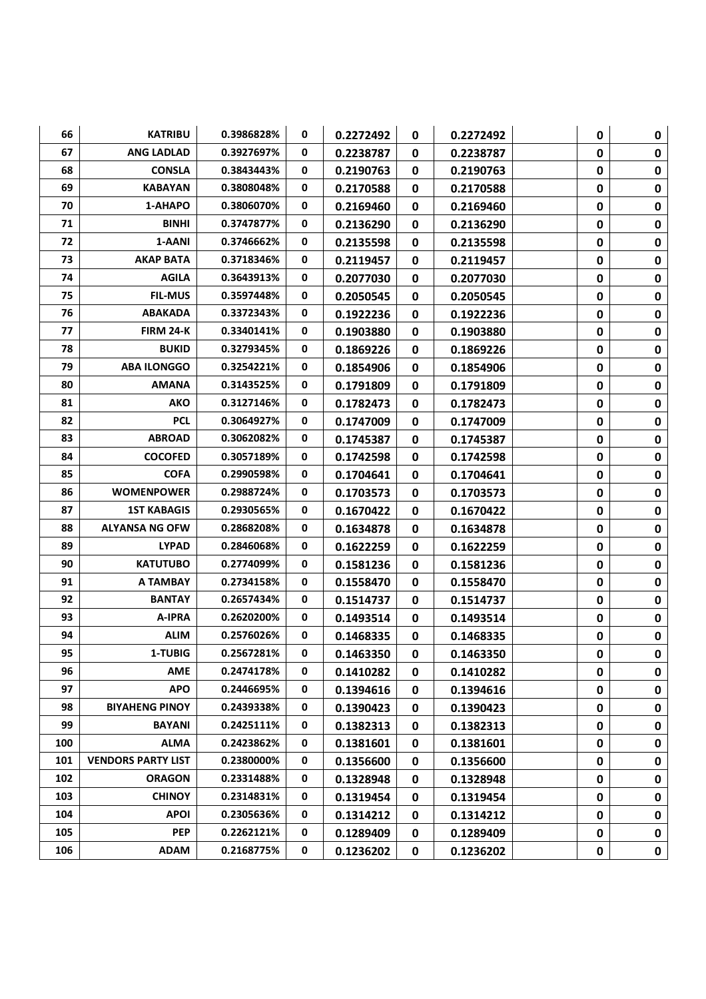| 66  | <b>KATRIBU</b>            | 0.3986828% | 0           | 0.2272492 | $\mathbf 0$ | 0.2272492 | 0         | $\mathbf 0$ |
|-----|---------------------------|------------|-------------|-----------|-------------|-----------|-----------|-------------|
| 67  | <b>ANG LADLAD</b>         | 0.3927697% | 0           | 0.2238787 | 0           | 0.2238787 | 0         | $\mathbf 0$ |
| 68  | <b>CONSLA</b>             | 0.3843443% | 0           | 0.2190763 | 0           | 0.2190763 | 0         | $\mathbf 0$ |
| 69  | <b>KABAYAN</b>            | 0.3808048% | 0           | 0.2170588 | $\mathbf 0$ | 0.2170588 | 0         | $\pmb{0}$   |
| 70  | 1-AHAPO                   | 0.3806070% | 0           | 0.2169460 | $\mathbf 0$ | 0.2169460 | $\pmb{0}$ | $\pmb{0}$   |
| 71  | <b>BINHI</b>              | 0.3747877% | 0           | 0.2136290 | $\mathbf 0$ | 0.2136290 | 0         | $\pmb{0}$   |
| 72  | 1-AANI                    | 0.3746662% | 0           | 0.2135598 | $\mathbf 0$ | 0.2135598 | $\pmb{0}$ | $\pmb{0}$   |
| 73  | <b>AKAP BATA</b>          | 0.3718346% | 0           | 0.2119457 | $\mathbf 0$ | 0.2119457 | $\pmb{0}$ | $\pmb{0}$   |
| 74  | <b>AGILA</b>              | 0.3643913% | 0           | 0.2077030 | 0           | 0.2077030 | $\pmb{0}$ | $\pmb{0}$   |
| 75  | <b>FIL-MUS</b>            | 0.3597448% | 0           | 0.2050545 | 0           | 0.2050545 | $\pmb{0}$ | $\pmb{0}$   |
| 76  | <b>ABAKADA</b>            | 0.3372343% | 0           | 0.1922236 | 0           | 0.1922236 | $\pmb{0}$ | $\pmb{0}$   |
| 77  | <b>FIRM 24-K</b>          | 0.3340141% | 0           | 0.1903880 | 0           | 0.1903880 | $\pmb{0}$ | $\pmb{0}$   |
| 78  | <b>BUKID</b>              | 0.3279345% | 0           | 0.1869226 | 0           | 0.1869226 | $\pmb{0}$ | $\pmb{0}$   |
| 79  | <b>ABA ILONGGO</b>        | 0.3254221% | 0           | 0.1854906 | 0           | 0.1854906 | $\pmb{0}$ | $\pmb{0}$   |
| 80  | <b>AMANA</b>              | 0.3143525% | 0           | 0.1791809 | $\mathbf 0$ | 0.1791809 | $\pmb{0}$ | $\pmb{0}$   |
| 81  | AKO                       | 0.3127146% | 0           | 0.1782473 | $\mathbf 0$ | 0.1782473 | $\pmb{0}$ | $\pmb{0}$   |
| 82  | <b>PCL</b>                | 0.3064927% | 0           | 0.1747009 | $\mathbf 0$ | 0.1747009 | 0         | $\pmb{0}$   |
| 83  | <b>ABROAD</b>             | 0.3062082% | 0           | 0.1745387 | 0           | 0.1745387 | $\pmb{0}$ | $\pmb{0}$   |
| 84  | <b>COCOFED</b>            | 0.3057189% | 0           | 0.1742598 | $\mathbf 0$ | 0.1742598 | $\pmb{0}$ | $\pmb{0}$   |
| 85  | <b>COFA</b>               | 0.2990598% | 0           | 0.1704641 | $\mathbf 0$ | 0.1704641 | $\pmb{0}$ | $\pmb{0}$   |
| 86  | <b>WOMENPOWER</b>         | 0.2988724% | 0           | 0.1703573 | $\mathbf 0$ | 0.1703573 | 0         | $\pmb{0}$   |
| 87  | <b>1ST KABAGIS</b>        | 0.2930565% | $\mathbf 0$ | 0.1670422 | $\mathbf 0$ | 0.1670422 | $\pmb{0}$ | $\pmb{0}$   |
| 88  | <b>ALYANSA NG OFW</b>     | 0.2868208% | 0           | 0.1634878 | $\pmb{0}$   | 0.1634878 | $\pmb{0}$ | $\pmb{0}$   |
| 89  | <b>LYPAD</b>              | 0.2846068% | 0           | 0.1622259 | $\mathbf 0$ | 0.1622259 | $\pmb{0}$ | $\pmb{0}$   |
| 90  | <b>KATUTUBO</b>           | 0.2774099% | 0           | 0.1581236 | 0           | 0.1581236 | $\pmb{0}$ | $\pmb{0}$   |
| 91  | A TAMBAY                  | 0.2734158% | $\mathbf 0$ | 0.1558470 | $\mathbf 0$ | 0.1558470 | $\pmb{0}$ | $\pmb{0}$   |
| 92  | <b>BANTAY</b>             | 0.2657434% | 0           | 0.1514737 | 0           | 0.1514737 | $\pmb{0}$ | $\mathbf 0$ |
| 93  | A-IPRA                    | 0.2620200% | 0           | 0.1493514 | 0           | 0.1493514 | $\pmb{0}$ | $\pmb{0}$   |
| 94  | <b>ALIM</b>               | 0.2576026% | 0           | 0.1468335 | $\mathbf 0$ | 0.1468335 | 0         | $\pmb{0}$   |
| 95  | 1-TUBIG                   | 0.2567281% | $\mathbf 0$ | 0.1463350 | 0           | 0.1463350 | 0         | $\mathbf 0$ |
| 96  | AME                       | 0.2474178% | 0           | 0.1410282 | $\mathbf 0$ | 0.1410282 | 0         | $\mathbf 0$ |
| 97  | <b>APO</b>                | 0.2446695% | 0           | 0.1394616 | 0           | 0.1394616 | $\pmb{0}$ | $\pmb{0}$   |
| 98  | <b>BIYAHENG PINOY</b>     | 0.2439338% | 0           | 0.1390423 | 0           | 0.1390423 | 0         | $\pmb{0}$   |
| 99  | <b>BAYANI</b>             | 0.2425111% | 0           | 0.1382313 | 0           | 0.1382313 | $\pmb{0}$ | $\pmb{0}$   |
| 100 | <b>ALMA</b>               | 0.2423862% | 0           | 0.1381601 | 0           | 0.1381601 | 0         | $\mathbf 0$ |
| 101 | <b>VENDORS PARTY LIST</b> | 0.2380000% | 0           | 0.1356600 | 0           | 0.1356600 | 0         | $\mathbf 0$ |
| 102 | <b>ORAGON</b>             | 0.2331488% | 0           | 0.1328948 | 0           | 0.1328948 | 0         | $\mathbf 0$ |
| 103 | <b>CHINOY</b>             | 0.2314831% | 0           | 0.1319454 | 0           | 0.1319454 | 0         | $\bf{0}$    |
| 104 | <b>APOI</b>               | 0.2305636% | 0           | 0.1314212 | 0           | 0.1314212 | 0         | $\pmb{0}$   |
| 105 | <b>PEP</b>                | 0.2262121% | 0           | 0.1289409 | 0           | 0.1289409 | 0         | $\pmb{0}$   |
| 106 | <b>ADAM</b>               | 0.2168775% | 0           | 0.1236202 | $\mathbf 0$ | 0.1236202 | $\pmb{0}$ | $\mathbf 0$ |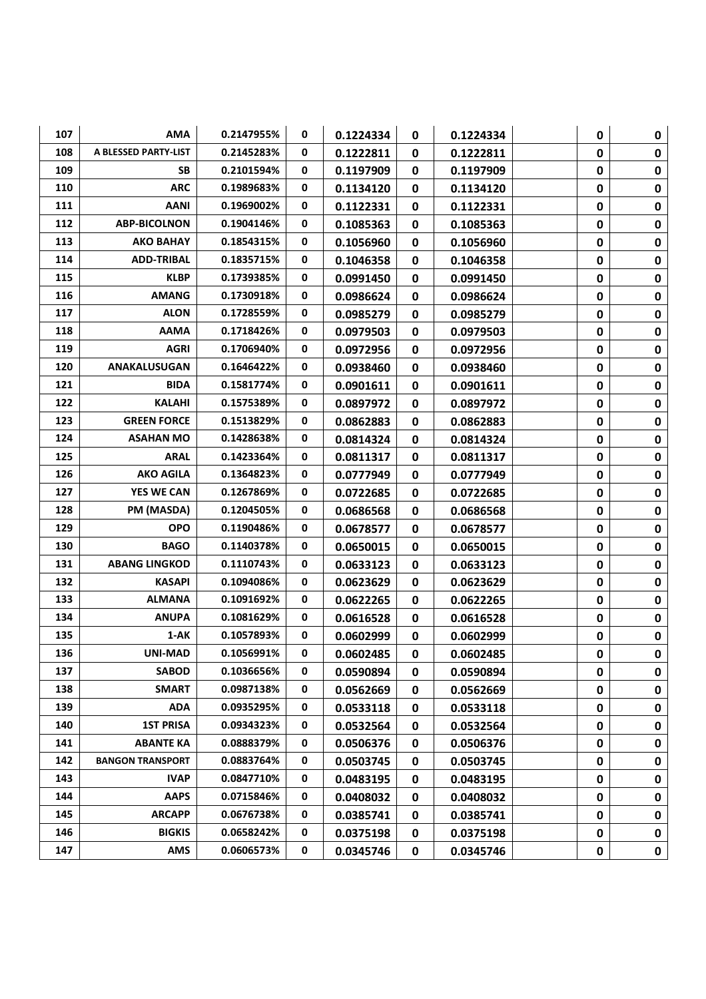| 107 | <b>AMA</b>              | 0.2147955% | 0           | 0.1224334 | $\mathbf 0$  | 0.1224334 | 0         | $\mathbf 0$ |
|-----|-------------------------|------------|-------------|-----------|--------------|-----------|-----------|-------------|
| 108 | A BLESSED PARTY-LIST    | 0.2145283% | 0           | 0.1222811 | $\mathbf{0}$ | 0.1222811 | 0         | $\pmb{0}$   |
| 109 | SB                      | 0.2101594% | 0           | 0.1197909 | $\mathbf 0$  | 0.1197909 | $\pmb{0}$ | $\mathbf 0$ |
| 110 | <b>ARC</b>              | 0.1989683% | 0           | 0.1134120 | 0            | 0.1134120 | $\pmb{0}$ | $\pmb{0}$   |
| 111 | AANI                    | 0.1969002% | 0           | 0.1122331 | 0            | 0.1122331 | $\pmb{0}$ | $\pmb{0}$   |
| 112 | <b>ABP-BICOLNON</b>     | 0.1904146% | 0           | 0.1085363 | $\mathbf 0$  | 0.1085363 | $\pmb{0}$ | $\pmb{0}$   |
| 113 | <b>AKO BAHAY</b>        | 0.1854315% | 0           | 0.1056960 | 0            | 0.1056960 | $\pmb{0}$ | $\mathbf 0$ |
| 114 | <b>ADD-TRIBAL</b>       | 0.1835715% | 0           | 0.1046358 | 0            | 0.1046358 | $\pmb{0}$ | $\mathbf 0$ |
| 115 | <b>KLBP</b>             | 0.1739385% | 0           | 0.0991450 | 0            | 0.0991450 | $\pmb{0}$ | $\mathbf 0$ |
| 116 | <b>AMANG</b>            | 0.1730918% | 0           | 0.0986624 | 0            | 0.0986624 | $\pmb{0}$ | $\pmb{0}$   |
| 117 | <b>ALON</b>             | 0.1728559% | 0           | 0.0985279 | $\mathbf 0$  | 0.0985279 | $\pmb{0}$ | $\mathbf 0$ |
| 118 | <b>AAMA</b>             | 0.1718426% | 0           | 0.0979503 | $\mathbf 0$  | 0.0979503 | $\pmb{0}$ | $\pmb{0}$   |
| 119 | <b>AGRI</b>             | 0.1706940% | 0           | 0.0972956 | 0            | 0.0972956 | $\pmb{0}$ | $\mathbf 0$ |
| 120 | ANAKALUSUGAN            | 0.1646422% | $\mathbf 0$ | 0.0938460 | 0            | 0.0938460 | $\pmb{0}$ | $\pmb{0}$   |
| 121 | <b>BIDA</b>             | 0.1581774% | 0           | 0.0901611 | $\mathbf 0$  | 0.0901611 | $\pmb{0}$ | $\mathbf 0$ |
| 122 | <b>KALAHI</b>           | 0.1575389% | $\mathbf 0$ | 0.0897972 | $\mathbf 0$  | 0.0897972 | $\pmb{0}$ | $\pmb{0}$   |
| 123 | <b>GREEN FORCE</b>      | 0.1513829% | 0           | 0.0862883 | $\mathbf 0$  | 0.0862883 | 0         | $\pmb{0}$   |
| 124 | <b>ASAHAN MO</b>        | 0.1428638% | $\mathbf 0$ | 0.0814324 | 0            | 0.0814324 | $\pmb{0}$ | $\pmb{0}$   |
| 125 | <b>ARAL</b>             | 0.1423364% | 0           | 0.0811317 | $\mathbf 0$  | 0.0811317 | $\pmb{0}$ | $\mathbf 0$ |
| 126 | <b>AKO AGILA</b>        | 0.1364823% | 0           | 0.0777949 | $\mathbf 0$  | 0.0777949 | $\pmb{0}$ | $\pmb{0}$   |
| 127 | <b>YES WE CAN</b>       | 0.1267869% | 0           | 0.0722685 | 0            | 0.0722685 | $\pmb{0}$ | $\pmb{0}$   |
| 128 | PM (MASDA)              | 0.1204505% | 0           | 0.0686568 | $\mathbf 0$  | 0.0686568 | $\pmb{0}$ | $\mathbf 0$ |
| 129 | <b>OPO</b>              | 0.1190486% | 0           | 0.0678577 | 0            | 0.0678577 | $\pmb{0}$ | $\mathbf 0$ |
| 130 | <b>BAGO</b>             | 0.1140378% | 0           | 0.0650015 | $\mathbf 0$  | 0.0650015 | $\pmb{0}$ | $\pmb{0}$   |
| 131 | <b>ABANG LINGKOD</b>    | 0.1110743% | 0           | 0.0633123 | 0            | 0.0633123 | $\pmb{0}$ | $\pmb{0}$   |
| 132 | <b>KASAPI</b>           | 0.1094086% | 0           | 0.0623629 | $\mathbf 0$  | 0.0623629 | $\pmb{0}$ | $\pmb{0}$   |
| 133 | <b>ALMANA</b>           | 0.1091692% | 0           | 0.0622265 | 0            | 0.0622265 | $\pmb{0}$ | $\mathbf 0$ |
| 134 | <b>ANUPA</b>            | 0.1081629% | 0           | 0.0616528 | $\mathbf 0$  | 0.0616528 | $\pmb{0}$ | $\pmb{0}$   |
| 135 | $1-AK$                  | 0.1057893% | 0           | 0.0602999 | $\mathbf 0$  | 0.0602999 | 0         | $\pmb{0}$   |
| 136 | <b>UNI-MAD</b>          | 0.1056991% | $\mathbf 0$ | 0.0602485 | 0            | 0.0602485 | 0         | $\mathbf 0$ |
| 137 | <b>SABOD</b>            | 0.1036656% | 0           | 0.0590894 | 0            | 0.0590894 | 0         | 0           |
| 138 | <b>SMART</b>            | 0.0987138% | 0           | 0.0562669 | 0            | 0.0562669 | 0         | 0           |
| 139 | <b>ADA</b>              | 0.0935295% | 0           | 0.0533118 | 0            | 0.0533118 | 0         | 0           |
| 140 | <b>1ST PRISA</b>        | 0.0934323% | 0           | 0.0532564 | 0            | 0.0532564 | 0         | $\mathbf 0$ |
| 141 | <b>ABANTE KA</b>        | 0.0888379% | 0           | 0.0506376 | 0            | 0.0506376 | 0         | $\pmb{0}$   |
| 142 | <b>BANGON TRANSPORT</b> | 0.0883764% | 0           | 0.0503745 | 0            | 0.0503745 | 0         | $\pmb{0}$   |
| 143 | <b>IVAP</b>             | 0.0847710% | 0           | 0.0483195 | 0            | 0.0483195 | 0         | $\pmb{0}$   |
| 144 | <b>AAPS</b>             | 0.0715846% | 0           | 0.0408032 | 0            | 0.0408032 | 0         | $\mathbf 0$ |
| 145 | <b>ARCAPP</b>           | 0.0676738% | 0           | 0.0385741 | 0            | 0.0385741 | 0         | $\pmb{0}$   |
| 146 | <b>BIGKIS</b>           | 0.0658242% | 0           | 0.0375198 | 0            | 0.0375198 | 0         | $\mathbf 0$ |
| 147 | AMS                     | 0.0606573% | 0           | 0.0345746 | $\mathbf 0$  | 0.0345746 | $\pmb{0}$ | $\mathbf 0$ |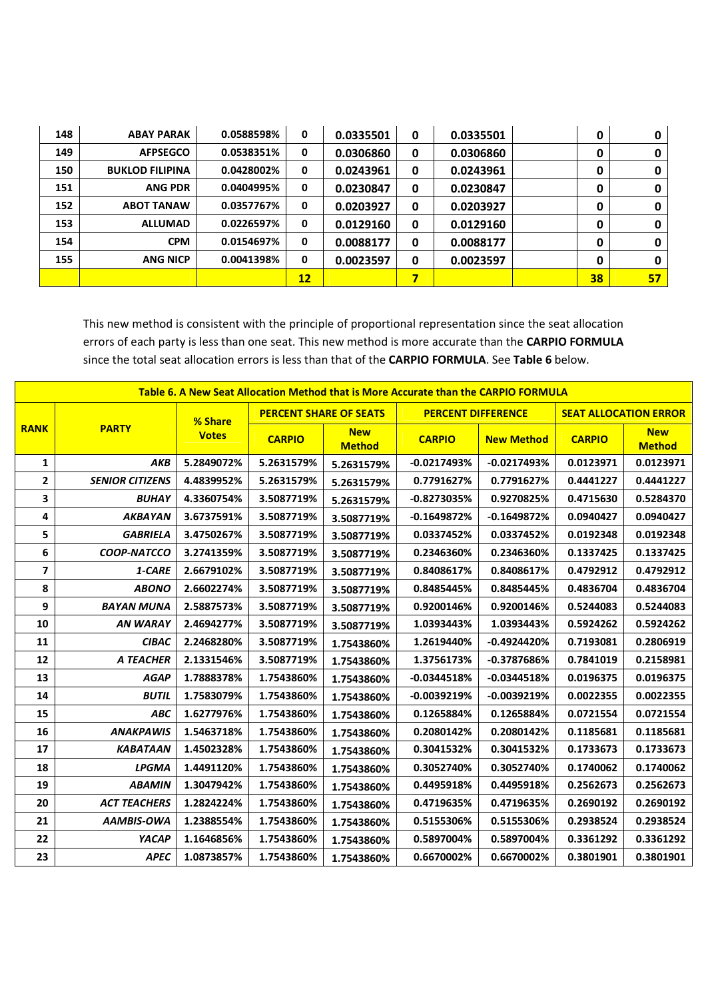| 148 | <b>ABAY PARAK</b>      | 0.0588598% | 0  | 0.0335501 | 0 | 0.0335501 | 0  | 0  |
|-----|------------------------|------------|----|-----------|---|-----------|----|----|
| 149 | <b>AFPSEGCO</b>        | 0.0538351% | 0  | 0.0306860 | 0 | 0.0306860 | 0  | 0  |
| 150 | <b>BUKLOD FILIPINA</b> | 0.0428002% | 0  | 0.0243961 | 0 | 0.0243961 | 0  | 0  |
| 151 | <b>ANG PDR</b>         | 0.0404995% | 0  | 0.0230847 | 0 | 0.0230847 | 0  | 0  |
| 152 | <b>ABOT TANAW</b>      | 0.0357767% | 0  | 0.0203927 | 0 | 0.0203927 | 0  | 0  |
| 153 | <b>ALLUMAD</b>         | 0.0226597% | 0  | 0.0129160 | 0 | 0.0129160 | 0  | 0  |
| 154 | <b>CPM</b>             | 0.0154697% | 0  | 0.0088177 | 0 | 0.0088177 | 0  | 0  |
| 155 | <b>ANG NICP</b>        | 0.0041398% | 0  | 0.0023597 | 0 | 0.0023597 | 0  | 0  |
|     |                        |            | 12 |           |   |           | 38 | 57 |

This new method is consistent with the principle of proportional representation since the seat allocation errors of each party is less than one seat. This new method is more accurate than the **CARPIO FORMULA** since the total seat allocation errors is less than that of the **CARPIO FORMULA**. See **Table 6** below.

|                         | Table 6. A New Seat Allocation Method that is More Accurate than the CARPIO FORMULA |              |                               |                             |                           |                   |               |                              |  |  |  |  |
|-------------------------|-------------------------------------------------------------------------------------|--------------|-------------------------------|-----------------------------|---------------------------|-------------------|---------------|------------------------------|--|--|--|--|
|                         |                                                                                     | % Share      | <b>PERCENT SHARE OF SEATS</b> |                             | <b>PERCENT DIFFERENCE</b> |                   |               | <b>SEAT ALLOCATION ERROR</b> |  |  |  |  |
| <b>RANK</b>             | <b>PARTY</b>                                                                        | <b>Votes</b> | <b>CARPIO</b>                 | <b>New</b><br><b>Method</b> | <b>CARPIO</b>             | <b>New Method</b> | <b>CARPIO</b> | <b>New</b><br><b>Method</b>  |  |  |  |  |
| 1                       | AKB                                                                                 | 5.2849072%   | 5.2631579%                    | 5.2631579%                  | $-0.0217493%$             | $-0.0217493%$     | 0.0123971     | 0.0123971                    |  |  |  |  |
| $\mathbf{2}$            | <b>SENIOR CITIZENS</b>                                                              | 4.4839952%   | 5.2631579%                    | 5.2631579%                  | 0.7791627%                | 0.7791627%        | 0.4441227     | 0.4441227                    |  |  |  |  |
| 3                       | <b>BUHAY</b>                                                                        | 4.3360754%   | 3.5087719%                    | 5.2631579%                  | $-0.8273035%$             | 0.9270825%        | 0.4715630     | 0.5284370                    |  |  |  |  |
| 4                       | <b>AKBAYAN</b>                                                                      | 3.6737591%   | 3.5087719%                    | 3.5087719%                  | $-0.1649872%$             | $-0.1649872%$     | 0.0940427     | 0.0940427                    |  |  |  |  |
| 5                       | <b>GABRIELA</b>                                                                     | 3.4750267%   | 3.5087719%                    | 3.5087719%                  | 0.0337452%                | 0.0337452%        | 0.0192348     | 0.0192348                    |  |  |  |  |
| 6                       | COOP-NATCCO                                                                         | 3.2741359%   | 3.5087719%                    | 3.5087719%                  | 0.2346360%                | 0.2346360%        | 0.1337425     | 0.1337425                    |  |  |  |  |
| $\overline{\mathbf{z}}$ | 1-CARE                                                                              | 2.6679102%   | 3.5087719%                    | 3.5087719%                  | 0.8408617%                | 0.8408617%        | 0.4792912     | 0.4792912                    |  |  |  |  |
| 8                       | <b>ABONO</b>                                                                        | 2.6602274%   | 3.5087719%                    | 3.5087719%                  | 0.8485445%                | 0.8485445%        | 0.4836704     | 0.4836704                    |  |  |  |  |
| 9                       | <b>BAYAN MUNA</b>                                                                   | 2.5887573%   | 3.5087719%                    | 3.5087719%                  | 0.9200146%                | 0.9200146%        | 0.5244083     | 0.5244083                    |  |  |  |  |
| 10                      | <b>AN WARAY</b>                                                                     | 2.4694277%   | 3.5087719%                    | 3.5087719%                  | 1.0393443%                | 1.0393443%        | 0.5924262     | 0.5924262                    |  |  |  |  |
| 11                      | <b>CIBAC</b>                                                                        | 2.2468280%   | 3.5087719%                    | 1.7543860%                  | 1.2619440%                | $-0.4924420%$     | 0.7193081     | 0.2806919                    |  |  |  |  |
| 12                      | <b>A TEACHER</b>                                                                    | 2.1331546%   | 3.5087719%                    | 1.7543860%                  | 1.3756173%                | $-0.3787686%$     | 0.7841019     | 0.2158981                    |  |  |  |  |
| 13                      | <b>AGAP</b>                                                                         | 1.7888378%   | 1.7543860%                    | 1.7543860%                  | $-0.0344518%$             | $-0.0344518%$     | 0.0196375     | 0.0196375                    |  |  |  |  |
| 14                      | <b>BUTIL</b>                                                                        | 1.7583079%   | 1.7543860%                    | 1.7543860%                  | $-0.0039219%$             | $-0.0039219%$     | 0.0022355     | 0.0022355                    |  |  |  |  |
| 15                      | <b>ABC</b>                                                                          | 1.6277976%   | 1.7543860%                    | 1.7543860%                  | 0.1265884%                | 0.1265884%        | 0.0721554     | 0.0721554                    |  |  |  |  |
| 16                      | <b>ANAKPAWIS</b>                                                                    | 1.5463718%   | 1.7543860%                    | 1.7543860%                  | 0.2080142%                | 0.2080142%        | 0.1185681     | 0.1185681                    |  |  |  |  |
| 17                      | <b>KABATAAN</b>                                                                     | 1.4502328%   | 1.7543860%                    | 1.7543860%                  | 0.3041532%                | 0.3041532%        | 0.1733673     | 0.1733673                    |  |  |  |  |
| 18                      | <b>LPGMA</b>                                                                        | 1.4491120%   | 1.7543860%                    | 1.7543860%                  | 0.3052740%                | 0.3052740%        | 0.1740062     | 0.1740062                    |  |  |  |  |
| 19                      | <b>ABAMIN</b>                                                                       | 1.3047942%   | 1.7543860%                    | 1.7543860%                  | 0.4495918%                | 0.4495918%        | 0.2562673     | 0.2562673                    |  |  |  |  |
| 20                      | <b>ACT TEACHERS</b>                                                                 | 1.2824224%   | 1.7543860%                    | 1.7543860%                  | 0.4719635%                | 0.4719635%        | 0.2690192     | 0.2690192                    |  |  |  |  |
| 21                      | AAMBIS-OWA                                                                          | 1.2388554%   | 1.7543860%                    | 1.7543860%                  | 0.5155306%                | 0.5155306%        | 0.2938524     | 0.2938524                    |  |  |  |  |
| 22                      | <b>YACAP</b>                                                                        | 1.1646856%   | 1.7543860%                    | 1.7543860%                  | 0.5897004%                | 0.5897004%        | 0.3361292     | 0.3361292                    |  |  |  |  |
| 23                      | <b>APEC</b>                                                                         | 1.0873857%   | 1.7543860%                    | 1.7543860%                  | 0.6670002%                | 0.6670002%        | 0.3801901     | 0.3801901                    |  |  |  |  |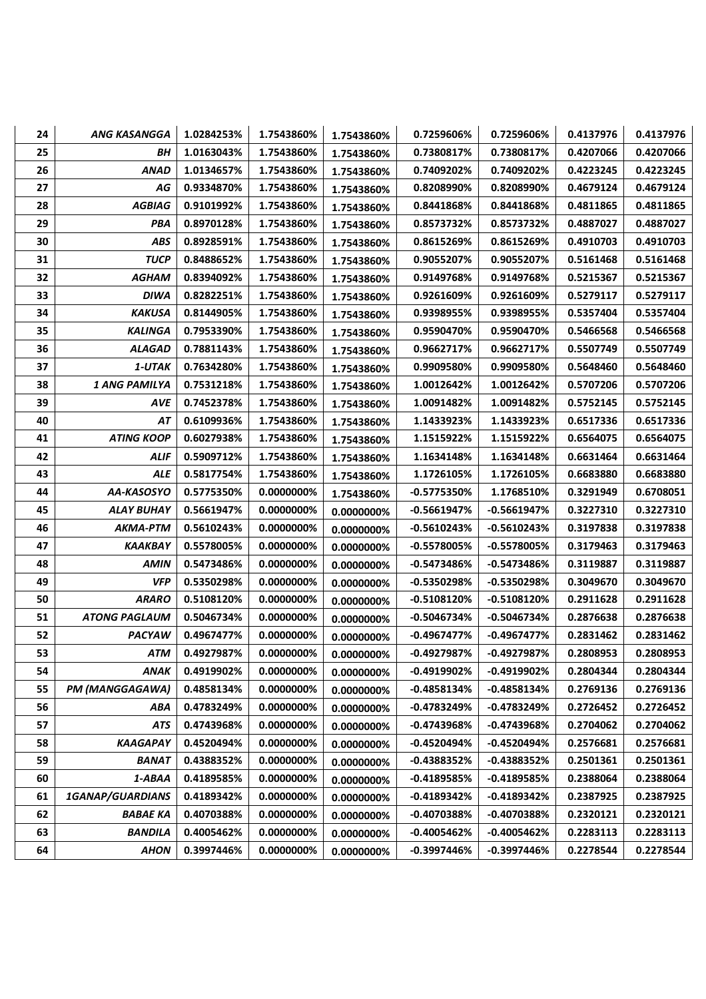| 24 | <b>ANG KASANGGA</b>     | 1.0284253% | 1.7543860% | 1.7543860% | 0.7259606%    | 0.7259606%    | 0.4137976 | 0.4137976 |
|----|-------------------------|------------|------------|------------|---------------|---------------|-----------|-----------|
| 25 | BΗ                      | 1.0163043% | 1.7543860% | 1.7543860% | 0.7380817%    | 0.7380817%    | 0.4207066 | 0.4207066 |
| 26 | <b>ANAD</b>             | 1.0134657% | 1.7543860% | 1.7543860% | 0.7409202%    | 0.7409202%    | 0.4223245 | 0.4223245 |
| 27 | AG                      | 0.9334870% | 1.7543860% | 1.7543860% | 0.8208990%    | 0.8208990%    | 0.4679124 | 0.4679124 |
| 28 | <b>AGBIAG</b>           | 0.9101992% | 1.7543860% | 1.7543860% | 0.8441868%    | 0.8441868%    | 0.4811865 | 0.4811865 |
| 29 | PBA                     | 0.8970128% | 1.7543860% | 1.7543860% | 0.8573732%    | 0.8573732%    | 0.4887027 | 0.4887027 |
| 30 | <b>ABS</b>              | 0.8928591% | 1.7543860% | 1.7543860% | 0.8615269%    | 0.8615269%    | 0.4910703 | 0.4910703 |
| 31 | <b>TUCP</b>             | 0.8488652% | 1.7543860% | 1.7543860% | 0.9055207%    | 0.9055207%    | 0.5161468 | 0.5161468 |
| 32 | <b>AGHAM</b>            | 0.8394092% | 1.7543860% | 1.7543860% | 0.9149768%    | 0.9149768%    | 0.5215367 | 0.5215367 |
| 33 | <b>DIWA</b>             | 0.8282251% | 1.7543860% | 1.7543860% | 0.9261609%    | 0.9261609%    | 0.5279117 | 0.5279117 |
| 34 | <b>KAKUSA</b>           | 0.8144905% | 1.7543860% | 1.7543860% | 0.9398955%    | 0.9398955%    | 0.5357404 | 0.5357404 |
| 35 | <b>KALINGA</b>          | 0.7953390% | 1.7543860% | 1.7543860% | 0.9590470%    | 0.9590470%    | 0.5466568 | 0.5466568 |
| 36 | <b>ALAGAD</b>           | 0.7881143% | 1.7543860% | 1.7543860% | 0.9662717%    | 0.9662717%    | 0.5507749 | 0.5507749 |
| 37 | 1-UTAK                  | 0.7634280% | 1.7543860% | 1.7543860% | 0.9909580%    | 0.9909580%    | 0.5648460 | 0.5648460 |
| 38 | 1 ANG PAMILYA           | 0.7531218% | 1.7543860% | 1.7543860% | 1.0012642%    | 1.0012642%    | 0.5707206 | 0.5707206 |
| 39 | <b>AVE</b>              | 0.7452378% | 1.7543860% | 1.7543860% | 1.0091482%    | 1.0091482%    | 0.5752145 | 0.5752145 |
| 40 | AТ                      | 0.6109936% | 1.7543860% | 1.7543860% | 1.1433923%    | 1.1433923%    | 0.6517336 | 0.6517336 |
| 41 | <b>ATING KOOP</b>       | 0.6027938% | 1.7543860% | 1.7543860% | 1.1515922%    | 1.1515922%    | 0.6564075 | 0.6564075 |
| 42 | <b>ALIF</b>             | 0.5909712% | 1.7543860% | 1.7543860% | 1.1634148%    | 1.1634148%    | 0.6631464 | 0.6631464 |
| 43 | <b>ALE</b>              | 0.5817754% | 1.7543860% | 1.7543860% | 1.1726105%    | 1.1726105%    | 0.6683880 | 0.6683880 |
| 44 | AA-KASOSYO              | 0.5775350% | 0.0000000% | 1.7543860% | $-0.5775350%$ | 1.1768510%    | 0.3291949 | 0.6708051 |
| 45 | <b>ALAY BUHAY</b>       | 0.5661947% | 0.0000000% | 0.0000000% | $-0.5661947%$ | $-0.5661947%$ | 0.3227310 | 0.3227310 |
| 46 | AKMA-PTM                | 0.5610243% | 0.0000000% | 0.0000000% | $-0.5610243%$ | $-0.5610243%$ | 0.3197838 | 0.3197838 |
| 47 | <b>KAAKBAY</b>          | 0.5578005% | 0.0000000% | 0.0000000% | $-0.5578005%$ | $-0.5578005%$ | 0.3179463 | 0.3179463 |
| 48 | <b>AMIN</b>             | 0.5473486% | 0.0000000% | 0.0000000% | -0.5473486%   | $-0.5473486%$ | 0.3119887 | 0.3119887 |
| 49 | <b>VFP</b>              | 0.5350298% | 0.0000000% | 0.0000000% | -0.5350298%   | $-0.5350298%$ | 0.3049670 | 0.3049670 |
| 50 | ARARO                   | 0.5108120% | 0.0000000% | 0.0000000% | $-0.5108120%$ | $-0.5108120%$ | 0.2911628 | 0.2911628 |
| 51 | <b>ATONG PAGLAUM</b>    | 0.5046734% | 0.0000000% | 0.0000000% | $-0.5046734%$ | $-0.5046734%$ | 0.2876638 | 0.2876638 |
| 52 | <b>PACYAW</b>           | 0.4967477% | 0.0000000% | 0.0000000% | $-0.4967477%$ | $-0.4967477%$ | 0.2831462 | 0.2831462 |
| 53 | ATM                     | 0.4927987% | 0.0000000% | 0.0000000% | $-0.4927987%$ | $-0.4927987%$ | 0.2808953 | 0.2808953 |
| 54 | <b>ANAK</b>             | 0.4919902% | 0.0000000% | 0.0000000% | -0.4919902%   | $-0.4919902%$ | 0.2804344 | 0.2804344 |
| 55 | PM (MANGGAGAWA)         | 0.4858134% | 0.0000000% | 0.0000000% | -0.4858134%   | $-0.4858134%$ | 0.2769136 | 0.2769136 |
| 56 | ABA                     | 0.4783249% | 0.0000000% | 0.0000000% | $-0.4783249%$ | $-0.4783249%$ | 0.2726452 | 0.2726452 |
| 57 | ATS                     | 0.4743968% | 0.0000000% | 0.0000000% | -0.4743968%   | $-0.4743968%$ | 0.2704062 | 0.2704062 |
| 58 | <b>KAAGAPAY</b>         | 0.4520494% | 0.0000000% | 0.0000000% | $-0.4520494%$ | $-0.4520494%$ | 0.2576681 | 0.2576681 |
| 59 | BANAT                   | 0.4388352% | 0.0000000% | 0.0000000% | -0.4388352%   | $-0.4388352%$ | 0.2501361 | 0.2501361 |
| 60 | 1-ABAA                  | 0.4189585% | 0.0000000% | 0.0000000% | -0.4189585%   | $-0.4189585%$ | 0.2388064 | 0.2388064 |
| 61 | <b>1GANAP/GUARDIANS</b> | 0.4189342% | 0.0000000% | 0.0000000% | -0.4189342%   | $-0.4189342%$ | 0.2387925 | 0.2387925 |
| 62 | <b>BABAE KA</b>         | 0.4070388% | 0.0000000% | 0.0000000% | -0.4070388%   | $-0.4070388%$ | 0.2320121 | 0.2320121 |
| 63 | <b>BANDILA</b>          | 0.4005462% | 0.0000000% | 0.0000000% | -0.4005462%   | $-0.4005462%$ | 0.2283113 | 0.2283113 |
| 64 | <b>AHON</b>             | 0.3997446% | 0.0000000% | 0.0000000% | -0.3997446%   | $-0.3997446%$ | 0.2278544 | 0.2278544 |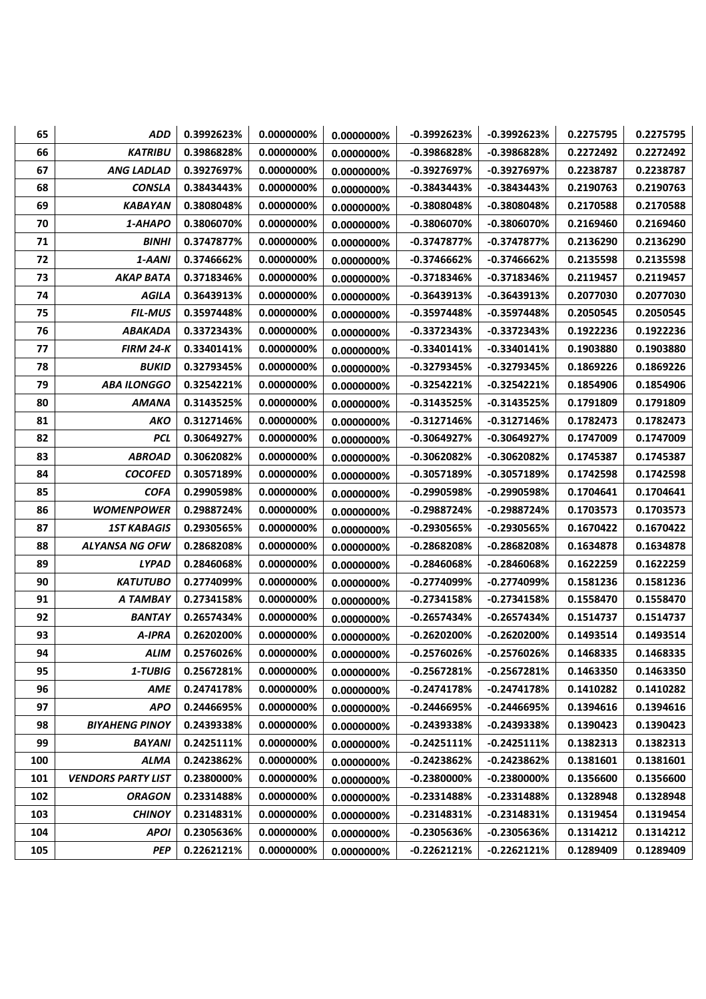| 65  | ADD                       | 0.3992623% | 0.0000000% | 0.0000000% | $-0.3992623%$ | $-0.3992623%$ | 0.2275795 | 0.2275795 |
|-----|---------------------------|------------|------------|------------|---------------|---------------|-----------|-----------|
| 66  | <b>KATRIBU</b>            | 0.3986828% | 0.0000000% | 0.0000000% | $-0.3986828%$ | -0.3986828%   | 0.2272492 | 0.2272492 |
| 67  | <b>ANG LADLAD</b>         | 0.3927697% | 0.0000000% | 0.0000000% | $-0.3927697%$ | $-0.3927697%$ | 0.2238787 | 0.2238787 |
| 68  | <b>CONSLA</b>             | 0.3843443% | 0.0000000% | 0.0000000% | $-0.3843443%$ | $-0.3843443%$ | 0.2190763 | 0.2190763 |
| 69  | <b>KABAYAN</b>            | 0.3808048% | 0.0000000% | 0.0000000% | $-0.3808048%$ | $-0.3808048%$ | 0.2170588 | 0.2170588 |
| 70  | 1-AHAPO                   | 0.3806070% | 0.0000000% | 0.0000000% | $-0.3806070%$ | -0.3806070%   | 0.2169460 | 0.2169460 |
| 71  | <b>BINHI</b>              | 0.3747877% | 0.0000000% | 0.0000000% | $-0.3747877%$ | $-0.3747877%$ | 0.2136290 | 0.2136290 |
| 72  | 1-AANI                    | 0.3746662% | 0.0000000% | 0.0000000% | $-0.3746662%$ | -0.3746662%   | 0.2135598 | 0.2135598 |
| 73  | <b>AKAP BATA</b>          | 0.3718346% | 0.0000000% | 0.0000000% | $-0.3718346%$ | $-0.3718346%$ | 0.2119457 | 0.2119457 |
| 74  | AGILA                     | 0.3643913% | 0.0000000% | 0.0000000% | -0.3643913%   | -0.3643913%   | 0.2077030 | 0.2077030 |
| 75  | <b>FIL-MUS</b>            | 0.3597448% | 0.0000000% | 0.0000000% | $-0.3597448%$ | $-0.3597448%$ | 0.2050545 | 0.2050545 |
| 76  | <b>ABAKADA</b>            | 0.3372343% | 0.0000000% | 0.0000000% | -0.3372343%   | -0.3372343%   | 0.1922236 | 0.1922236 |
| 77  | <b>FIRM 24-K</b>          | 0.3340141% | 0.0000000% | 0.0000000% | $-0.3340141%$ | $-0.3340141%$ | 0.1903880 | 0.1903880 |
| 78  | <b>BUKID</b>              | 0.3279345% | 0.0000000% | 0.0000000% | -0.3279345%   | -0.3279345%   | 0.1869226 | 0.1869226 |
| 79  | <b>ABA ILONGGO</b>        | 0.3254221% | 0.0000000% | 0.0000000% | $-0.3254221%$ | $-0.3254221%$ | 0.1854906 | 0.1854906 |
| 80  | <b>AMANA</b>              | 0.3143525% | 0.0000000% | 0.0000000% | $-0.3143525%$ | -0.3143525%   | 0.1791809 | 0.1791809 |
| 81  | АКО                       | 0.3127146% | 0.0000000% | 0.0000000% | -0.3127146%   | $-0.3127146%$ | 0.1782473 | 0.1782473 |
| 82  | <b>PCL</b>                | 0.3064927% | 0.0000000% | 0.0000000% | -0.3064927%   | -0.3064927%   | 0.1747009 | 0.1747009 |
| 83  | <b>ABROAD</b>             | 0.3062082% | 0.0000000% | 0.0000000% | $-0.3062082%$ | $-0.3062082%$ | 0.1745387 | 0.1745387 |
| 84  | <b>COCOFED</b>            | 0.3057189% | 0.0000000% | 0.0000000% | -0.3057189%   | -0.3057189%   | 0.1742598 | 0.1742598 |
| 85  | <b>COFA</b>               | 0.2990598% | 0.0000000% | 0.0000000% | -0.2990598%   | $-0.2990598%$ | 0.1704641 | 0.1704641 |
| 86  | <b>WOMENPOWER</b>         | 0.2988724% | 0.0000000% | 0.0000000% | -0.2988724%   | -0.2988724%   | 0.1703573 | 0.1703573 |
| 87  | 1ST KABAGIS               | 0.2930565% | 0.0000000% | 0.0000000% | $-0.2930565%$ | -0.2930565%   | 0.1670422 | 0.1670422 |
| 88  | ALYANSA NG OFW            | 0.2868208% | 0.0000000% | 0.0000000% | -0.2868208%   | -0.2868208%   | 0.1634878 | 0.1634878 |
| 89  | <b>LYPAD</b>              | 0.2846068% | 0.0000000% | 0.0000000% | -0.2846068%   | -0.2846068%   | 0.1622259 | 0.1622259 |
| 90  | <b>KATUTUBO</b>           | 0.2774099% | 0.0000000% | 0.0000000% | -0.2774099%   | -0.2774099%   | 0.1581236 | 0.1581236 |
| 91  | A TAMBAY                  | 0.2734158% | 0.0000000% | 0.0000000% | $-0.2734158%$ | $-0.2734158%$ | 0.1558470 | 0.1558470 |
| 92  | BANTAY                    | 0.2657434% | 0.0000000% | 0.0000000% | -0.2657434%   | -0.2657434%   | 0.1514737 | 0.1514737 |
| 93  | A-IPRA                    | 0.2620200% | 0.0000000% | 0.0000000% | $-0.2620200%$ | $-0.2620200%$ | 0.1493514 | 0.1493514 |
| 94  | ALIM                      | 0.2576026% | 0.0000000% | 0.0000000% | $-0.2576026%$ | $-0.2576026%$ | 0.1468335 | 0.1468335 |
| 95  | 1-TUBIG                   | 0.2567281% | 0.0000000% | 0.0000000% | $-0.2567281%$ | $-0.2567281%$ | 0.1463350 | 0.1463350 |
| 96  | AME                       | 0.2474178% | 0.0000000% | 0.0000000% | $-0.2474178%$ | $-0.2474178%$ | 0.1410282 | 0.1410282 |
| 97  | APO                       | 0.2446695% | 0.0000000% | 0.0000000% | $-0.2446695%$ | $-0.2446695%$ | 0.1394616 | 0.1394616 |
| 98  | <b>BIYAHENG PINOY</b>     | 0.2439338% | 0.0000000% | 0.0000000% | $-0.2439338%$ | $-0.2439338%$ | 0.1390423 | 0.1390423 |
| 99  | <b>BAYANI</b>             | 0.2425111% | 0.0000000% | 0.0000000% | $-0.2425111%$ | $-0.2425111%$ | 0.1382313 | 0.1382313 |
| 100 | <b>ALMA</b>               | 0.2423862% | 0.0000000% | 0.0000000% | $-0.2423862%$ | $-0.2423862%$ | 0.1381601 | 0.1381601 |
| 101 | <b>VENDORS PARTY LIST</b> | 0.2380000% | 0.0000000% | 0.0000000% | $-0.2380000%$ | $-0.2380000%$ | 0.1356600 | 0.1356600 |
| 102 | <b>ORAGON</b>             | 0.2331488% | 0.0000000% | 0.0000000% | $-0.2331488%$ | $-0.2331488%$ | 0.1328948 | 0.1328948 |
| 103 | <b>CHINOY</b>             | 0.2314831% | 0.0000000% | 0.0000000% | $-0.2314831%$ | $-0.2314831%$ | 0.1319454 | 0.1319454 |
| 104 | <b>APOI</b>               | 0.2305636% | 0.0000000% | 0.0000000% | $-0.2305636%$ | $-0.2305636%$ | 0.1314212 | 0.1314212 |
| 105 | <b>PEP</b>                | 0.2262121% | 0.0000000% | 0.0000000% | $-0.2262121%$ | $-0.2262121%$ | 0.1289409 | 0.1289409 |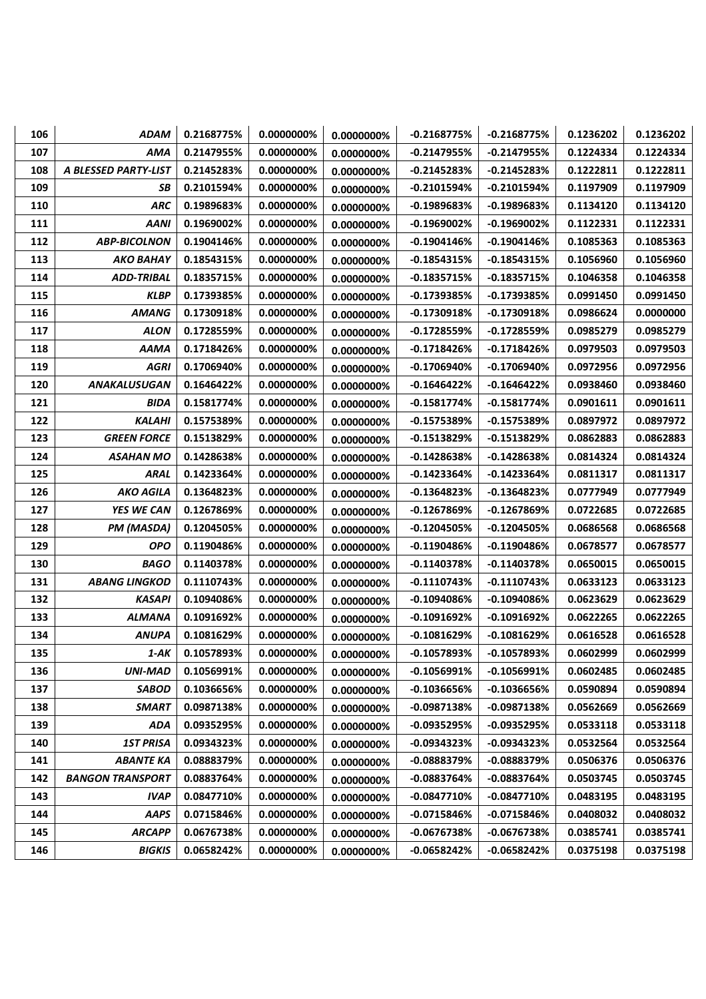| 106 | ADAM                    | 0.2168775% | 0.0000000% | 0.0000000% | $-0.2168775%$ | $-0.2168775%$ | 0.1236202 | 0.1236202 |
|-----|-------------------------|------------|------------|------------|---------------|---------------|-----------|-----------|
| 107 | <b>AMA</b>              | 0.2147955% | 0.0000000% | 0.0000000% | $-0.2147955%$ | $-0.2147955%$ | 0.1224334 | 0.1224334 |
| 108 | A BLESSED PARTY-LIST    | 0.2145283% | 0.0000000% | 0.0000000% | $-0.2145283%$ | $-0.2145283%$ | 0.1222811 | 0.1222811 |
| 109 | SB                      | 0.2101594% | 0.0000000% | 0.0000000% | $-0.2101594%$ | $-0.2101594%$ | 0.1197909 | 0.1197909 |
| 110 | <b>ARC</b>              | 0.1989683% | 0.0000000% | 0.0000000% | $-0.1989683%$ | $-0.1989683%$ | 0.1134120 | 0.1134120 |
| 111 | AANI                    | 0.1969002% | 0.0000000% | 0.0000000% | $-0.1969002%$ | -0.1969002%   | 0.1122331 | 0.1122331 |
| 112 | <b>ABP-BICOLNON</b>     | 0.1904146% | 0.0000000% | 0.0000000% | $-0.1904146%$ | $-0.1904146%$ | 0.1085363 | 0.1085363 |
| 113 | AKO BAHAY               | 0.1854315% | 0.0000000% | 0.0000000% | $-0.1854315%$ | -0.1854315%   | 0.1056960 | 0.1056960 |
| 114 | <b>ADD-TRIBAL</b>       | 0.1835715% | 0.0000000% | 0.0000000% | $-0.1835715%$ | $-0.1835715%$ | 0.1046358 | 0.1046358 |
| 115 | <b>KLBP</b>             | 0.1739385% | 0.0000000% | 0.0000000% | -0.1739385%   | -0.1739385%   | 0.0991450 | 0.0991450 |
| 116 | <b>AMANG</b>            | 0.1730918% | 0.0000000% | 0.0000000% | $-0.1730918%$ | $-0.1730918%$ | 0.0986624 | 0.0000000 |
| 117 | <b>ALON</b>             | 0.1728559% | 0.0000000% | 0.0000000% | -0.1728559%   | -0.1728559%   | 0.0985279 | 0.0985279 |
| 118 | AAMA                    | 0.1718426% | 0.0000000% | 0.0000000% | $-0.1718426%$ | $-0.1718426%$ | 0.0979503 | 0.0979503 |
| 119 | AGRI                    | 0.1706940% | 0.0000000% | 0.0000000% | $-0.1706940%$ | -0.1706940%   | 0.0972956 | 0.0972956 |
| 120 | <b>ANAKALUSUGAN</b>     | 0.1646422% | 0.0000000% | 0.0000000% | -0.1646422%   | $-0.1646422%$ | 0.0938460 | 0.0938460 |
| 121 | BIDA                    | 0.1581774% | 0.0000000% | 0.0000000% | $-0.1581774%$ | -0.1581774%   | 0.0901611 | 0.0901611 |
| 122 | KALAHI                  | 0.1575389% | 0.0000000% | 0.0000000% | -0.1575389%   | -0.1575389%   | 0.0897972 | 0.0897972 |
| 123 | <b>GREEN FORCE</b>      | 0.1513829% | 0.0000000% | 0.0000000% | $-0.1513829%$ | -0.1513829%   | 0.0862883 | 0.0862883 |
| 124 | <b>ASAHAN MO</b>        | 0.1428638% | 0.0000000% | 0.0000000% | $-0.1428638%$ | $-0.1428638%$ | 0.0814324 | 0.0814324 |
| 125 | <b>ARAL</b>             | 0.1423364% | 0.0000000% | 0.0000000% | -0.1423364%   | -0.1423364%   | 0.0811317 | 0.0811317 |
| 126 | <b>AKO AGILA</b>        | 0.1364823% | 0.0000000% | 0.0000000% | $-0.1364823%$ | $-0.1364823%$ | 0.0777949 | 0.0777949 |
| 127 | YES WE CAN              | 0.1267869% | 0.0000000% | 0.0000000% | -0.1267869%   | -0.1267869%   | 0.0722685 | 0.0722685 |
| 128 | PM (MASDA)              | 0.1204505% | 0.0000000% | 0.0000000% | -0.1204505%   | -0.1204505%   | 0.0686568 | 0.0686568 |
| 129 | <b>OPO</b>              | 0.1190486% | 0.0000000% | 0.0000000% | -0.1190486%   | -0.1190486%   | 0.0678577 | 0.0678577 |
| 130 | <b>BAGO</b>             | 0.1140378% | 0.0000000% | 0.0000000% | $-0.1140378%$ | -0.1140378%   | 0.0650015 | 0.0650015 |
| 131 | <b>ABANG LINGKOD</b>    | 0.1110743% | 0.0000000% | 0.0000000% | -0.1110743%   | -0.1110743%   | 0.0633123 | 0.0633123 |
| 132 | <b>KASAPI</b>           | 0.1094086% | 0.0000000% | 0.0000000% | $-0.1094086%$ | $-0.1094086%$ | 0.0623629 | 0.0623629 |
| 133 | <b>ALMANA</b>           | 0.1091692% | 0.0000000% | 0.0000000% | $-0.1091692%$ | -0.1091692%   | 0.0622265 | 0.0622265 |
| 134 | <b>ANUPA</b>            | 0.1081629% | 0.0000000% | 0.0000000% | $-0.1081629%$ | $-0.1081629%$ | 0.0616528 | 0.0616528 |
| 135 | 1-AK                    | 0.1057893% | 0.0000000% | 0.0000000% | $-0.1057893%$ | $-0.1057893%$ | 0.0602999 | 0.0602999 |
| 136 | <b>UNI-MAD</b>          | 0.1056991% | 0.0000000% | 0.0000000% | $-0.1056991%$ | $-0.1056991%$ | 0.0602485 | 0.0602485 |
| 137 | <b>SABOD</b>            | 0.1036656% | 0.0000000% | 0.0000000% | $-0.1036656%$ | $-0.1036656%$ | 0.0590894 | 0.0590894 |
| 138 | SMART                   | 0.0987138% | 0.0000000% | 0.0000000% | $-0.0987138%$ | $-0.0987138%$ | 0.0562669 | 0.0562669 |
| 139 | ADA                     | 0.0935295% | 0.0000000% | 0.0000000% | $-0.0935295%$ | -0.0935295%   | 0.0533118 | 0.0533118 |
| 140 | <b>1ST PRISA</b>        | 0.0934323% | 0.0000000% | 0.0000000% | $-0.0934323%$ | $-0.0934323%$ | 0.0532564 | 0.0532564 |
| 141 | <b>ABANTE KA</b>        | 0.0888379% | 0.0000000% | 0.0000000% | -0.0888379%   | $-0.0888379%$ | 0.0506376 | 0.0506376 |
| 142 | <b>BANGON TRANSPORT</b> | 0.0883764% | 0.0000000% | 0.0000000% | $-0.0883764%$ | $-0.0883764%$ | 0.0503745 | 0.0503745 |
| 143 | <b>IVAP</b>             | 0.0847710% | 0.0000000% | 0.0000000% | $-0.0847710%$ | $-0.0847710%$ | 0.0483195 | 0.0483195 |
| 144 | <b>AAPS</b>             | 0.0715846% | 0.0000000% | 0.0000000% | $-0.0715846%$ | $-0.0715846%$ | 0.0408032 | 0.0408032 |
| 145 | <b>ARCAPP</b>           | 0.0676738% | 0.0000000% | 0.0000000% | $-0.0676738%$ | $-0.0676738%$ | 0.0385741 | 0.0385741 |
| 146 | <b>BIGKIS</b>           | 0.0658242% | 0.0000000% | 0.0000000% | -0.0658242%   | -0.0658242%   | 0.0375198 | 0.0375198 |